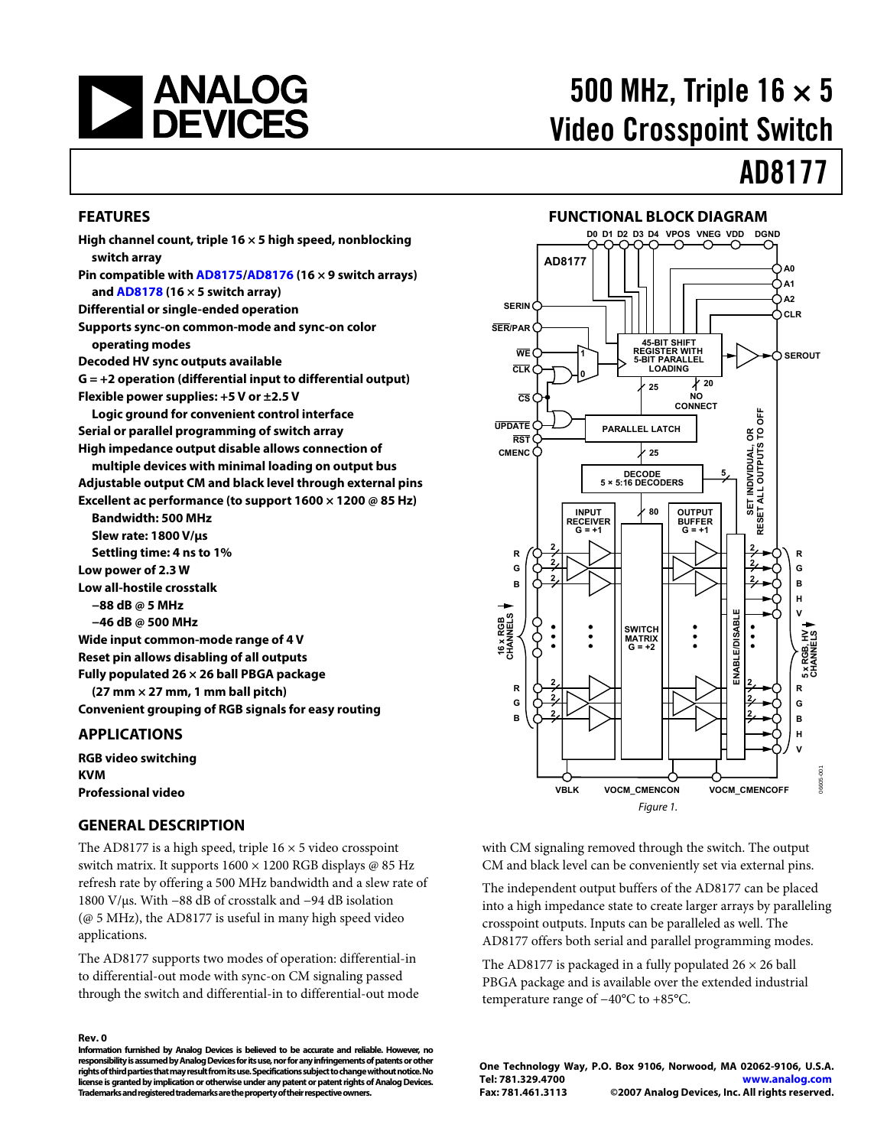<span id="page-0-0"></span>

# 500 MHz, Triple  $16 \times 5$ Video Crosspoint Switch

# AD8177

### **FEATURES**

| High channel count, triple $16 \times 5$ high speed, nonblocking<br>switch array   |
|------------------------------------------------------------------------------------|
| Pin compatible with $AD8175/AD8176$ (16 $\times$ 9 switch arrays)                  |
| and $AD8178(16 \times 5$ switch array)                                             |
| <b>Differential or single-ended operation</b>                                      |
| Supports sync-on common-mode and sync-on color                                     |
| operating modes                                                                    |
| Decoded HV sync outputs available                                                  |
| $G = +2$ operation (differential input to differential output)                     |
| Flexible power supplies: $+5$ V or $\pm 2.5$ V                                     |
| Logic ground for convenient control interface                                      |
| Serial or parallel programming of switch array                                     |
| High impedance output disable allows connection of                                 |
| multiple devices with minimal loading on output bus                                |
| Adjustable output CM and black level through external pins                         |
| Excellent ac performance (to support $1600 \times 1200 \text{ @ } 85 \text{ Hz}$ ) |
| <b>Bandwidth: 500 MHz</b>                                                          |
| Slew rate: 1800 V/us                                                               |
| Settling time: 4 ns to 1%                                                          |
| Low power of 2.3 W                                                                 |
| Low all-hostile crosstalk                                                          |
| $-88$ dB $\omega$ 5 MHz                                                            |
| -46 dB @ 500 MHz                                                                   |
| Wide input common-mode range of 4 V                                                |
| Reset pin allows disabling of all outputs                                          |
| Fully populated $26 \times 26$ ball PBGA package                                   |
| $(27 \text{ mm} \times 27 \text{ mm}, 1 \text{ mm}$ ball pitch)                    |
| <b>Convenient grouping of RGB signals for easy routing</b>                         |
| <b>APPLICATIONS</b>                                                                |

**RGB video switching KVM Professional video** 

#### **GENERAL DESCRIPTION**

The AD8177 is a high speed, triple  $16 \times 5$  video crosspoint switch matrix. It supports  $1600 \times 1200$  RGB displays @ 85 Hz refresh rate by offering a 500 MHz bandwidth and a slew rate of 1800 V/μs. With −88 dB of crosstalk and −94 dB isolation (@ 5 MHz), the AD8177 is useful in many high speed video applications.

The AD8177 supports two modes of operation: differential-in to differential-out mode with sync-on CM signaling passed through the switch and differential-in to differential-out mode

#### **Rev. 0**

**Information furnished by Analog Devices is believed to be accurate and reliable. However, no responsibility is assumed by Analog Devices for its use, nor for any infringements of patents or other rights of third parties that may result from its use. Specifications subject to change without notice. No license is granted by implication or otherwise under any patent or patent rights of Analog Devices. Trademarks and registered trademarks are the property of their respective owners.** 

### **FUNCTIONAL BLOCK DIAGRAM**



with CM signaling removed through the switch. The output CM and black level can be conveniently set via external pins.

The independent output buffers of the AD8177 can be placed into a high impedance state to create larger arrays by paralleling crosspoint outputs. Inputs can be paralleled as well. The AD8177 offers both serial and parallel programming modes.

The AD8177 is packaged in a fully populated  $26 \times 26$  ball PBGA package and is available over the extended industrial temperature range of −40°C to +85°C.

**One Technology Way, P.O. Box 9106, Norwood, MA 02062-9106, U.S.A. Tel: 781.329.4700 www.analog.com Fax: 781.461.3113 ©2007 Analog Devices, Inc. All rights reserved.**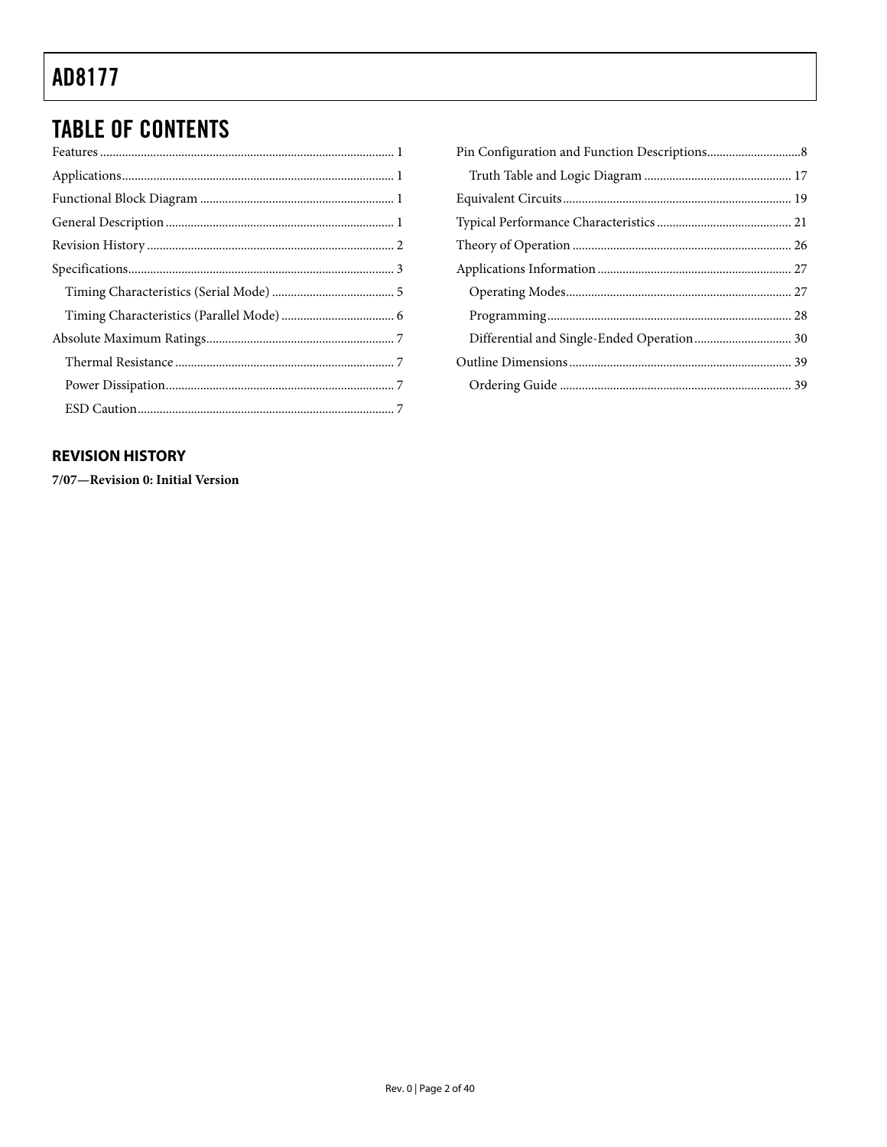## <span id="page-1-0"></span>**TABLE OF CONTENTS**

## **REVISION HISTORY**

7/07-Revision 0: Initial Version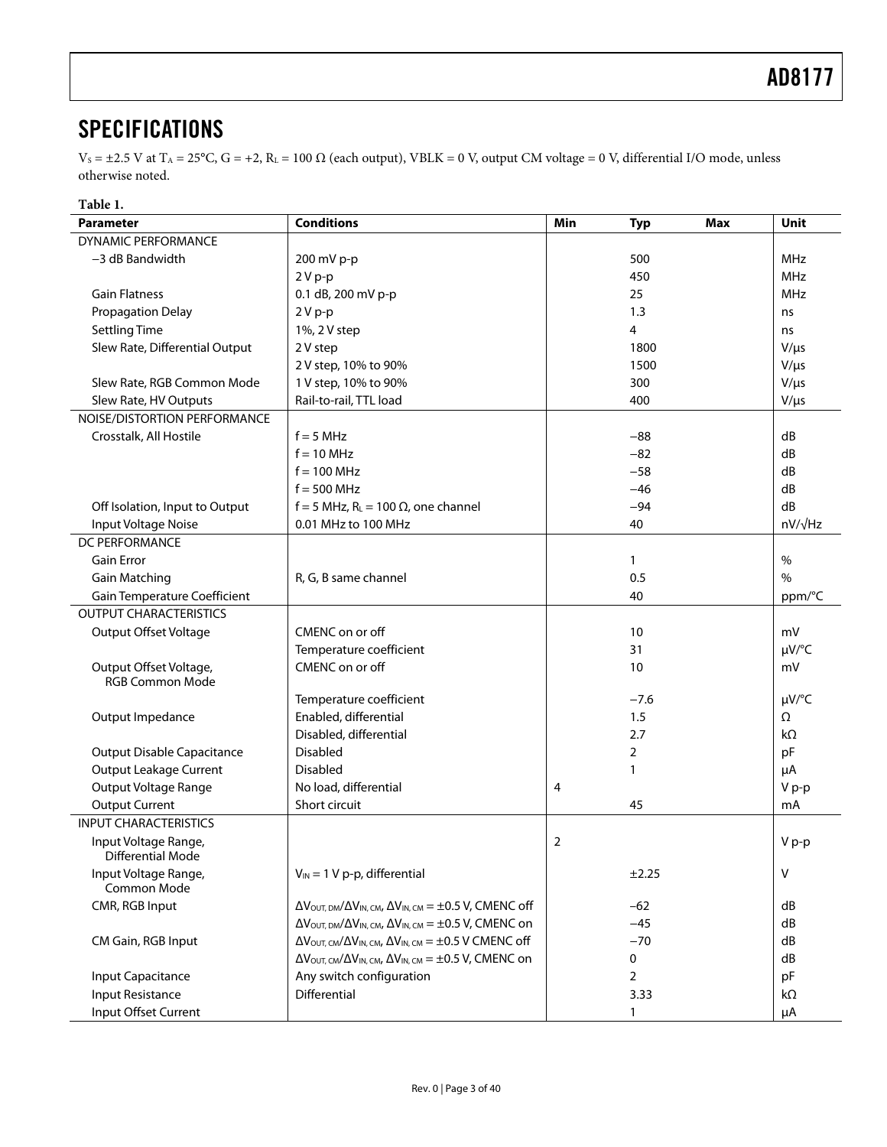## <span id="page-2-1"></span><span id="page-2-0"></span>**SPECIFICATIONS**

 $V_s = \pm 2.5$  V at T<sub>A</sub> = 25°C, G = +2, R<sub>L</sub> = 100  $\Omega$  (each output), VBLK = 0 V, output CM voltage = 0 V, differential I/O mode, unless otherwise noted.

## **Table 1.**

| <b>Parameter</b>                          | <b>Conditions</b>                                                                                               | Min<br><b>Max</b><br><b>Typ</b> | Unit           |
|-------------------------------------------|-----------------------------------------------------------------------------------------------------------------|---------------------------------|----------------|
| <b>DYNAMIC PERFORMANCE</b>                |                                                                                                                 |                                 |                |
| -3 dB Bandwidth                           | 200 mV p-p                                                                                                      | 500                             | MHz            |
|                                           | $2Vp-p$                                                                                                         | 450                             | <b>MHz</b>     |
| <b>Gain Flatness</b>                      | 0.1 dB, 200 mV p-p                                                                                              | 25                              | MHz            |
| Propagation Delay                         | $2Vp-p$                                                                                                         | 1.3                             | ns             |
| <b>Settling Time</b>                      | 1%, 2 V step                                                                                                    | 4                               | ns             |
| Slew Rate, Differential Output            | 2 V step                                                                                                        | 1800                            | $V/\mu s$      |
|                                           | 2 V step, 10% to 90%                                                                                            | 1500                            | $V/\mu s$      |
| Slew Rate, RGB Common Mode                | 1 V step, 10% to 90%                                                                                            | 300                             | $V/\mu s$      |
| Slew Rate, HV Outputs                     | Rail-to-rail, TTL load                                                                                          | 400                             | $V/\mu s$      |
| NOISE/DISTORTION PERFORMANCE              |                                                                                                                 |                                 |                |
| Crosstalk, All Hostile                    | $f = 5 MHz$                                                                                                     | $-88$                           | dB             |
|                                           | $f = 10$ MHz                                                                                                    | $-82$                           | dB             |
|                                           | $f = 100$ MHz                                                                                                   | $-58$                           | dB             |
|                                           | $f = 500$ MHz                                                                                                   | $-46$                           | dB             |
| Off Isolation, Input to Output            | f = 5 MHz, $R_L$ = 100 $\Omega$ , one channel                                                                   | $-94$                           | dB             |
| Input Voltage Noise                       | 0.01 MHz to 100 MHz                                                                                             | 40                              | $nV/\sqrt{Hz}$ |
| DC PERFORMANCE                            |                                                                                                                 |                                 |                |
| <b>Gain Error</b>                         |                                                                                                                 | 1                               | $\%$           |
| <b>Gain Matching</b>                      | R, G, B same channel                                                                                            |                                 | $\%$           |
| <b>Gain Temperature Coefficient</b>       |                                                                                                                 | 40                              | ppm/°C         |
| <b>OUTPUT CHARACTERISTICS</b>             |                                                                                                                 |                                 |                |
| <b>Output Offset Voltage</b>              | CMENC on or off                                                                                                 | 10                              | mV             |
|                                           | Temperature coefficient                                                                                         | 31                              | $\mu V$ /°C    |
| Output Offset Voltage,                    | CMENC on or off                                                                                                 | 10                              | mV             |
| <b>RGB Common Mode</b>                    |                                                                                                                 |                                 |                |
|                                           | Temperature coefficient                                                                                         | $-7.6$                          | $\mu V$ /°C    |
| Output Impedance                          | Enabled, differential                                                                                           | 1.5                             | Ω              |
|                                           | Disabled, differential                                                                                          | 2.7                             | kΩ             |
| <b>Output Disable Capacitance</b>         | <b>Disabled</b>                                                                                                 | 2                               | pF             |
| Output Leakage Current                    | <b>Disabled</b>                                                                                                 | 1                               | μA             |
| Output Voltage Range                      | No load, differential                                                                                           | 4                               | V p-p          |
| <b>Output Current</b>                     | Short circuit                                                                                                   | 45                              | mA             |
| <b>INPUT CHARACTERISTICS</b>              |                                                                                                                 |                                 |                |
| Input Voltage Range,<br>Differential Mode |                                                                                                                 | $\overline{2}$                  | V p-p          |
| Input Voltage Range,<br>Common Mode       | $V_{IN}$ = 1 V p-p, differential                                                                                | ±2.25                           | V              |
| CMR, RGB Input                            | $\Delta V_{\text{OUT, DM}}/\Delta V_{\text{IN, CM}}$ , $\Delta V_{\text{IN, CM}} = \pm 0.5$ V, CMENC off        | $-62$                           | dB             |
|                                           | $\Delta V_{\text{OUT, DM}}/\Delta V_{\text{IN, CM}}$ , $\Delta V_{\text{IN, CM}} = \pm 0.5$ V, CMENC on         | $-45$                           | dB             |
| CM Gain, RGB Input                        | $\Delta V_{\text{OUT, CM}}/\Delta V_{\text{IN, CM}}$ , $\Delta V_{\text{IN, CM}} = \pm 0.5 \text{ V}$ CMENC off | $-70$                           | dB             |
|                                           | $\Delta V_{\text{OUT, CM}}/\Delta V_{\text{IN, CM}}$ , $\Delta V_{\text{IN, CM}} = \pm 0.5$ V, CMENC on         | 0                               | dB             |
| Input Capacitance                         | Any switch configuration                                                                                        | $\overline{2}$                  | pF             |
| <b>Input Resistance</b>                   | Differential                                                                                                    | 3.33                            | kΩ             |
| Input Offset Current                      |                                                                                                                 | 1                               | μA             |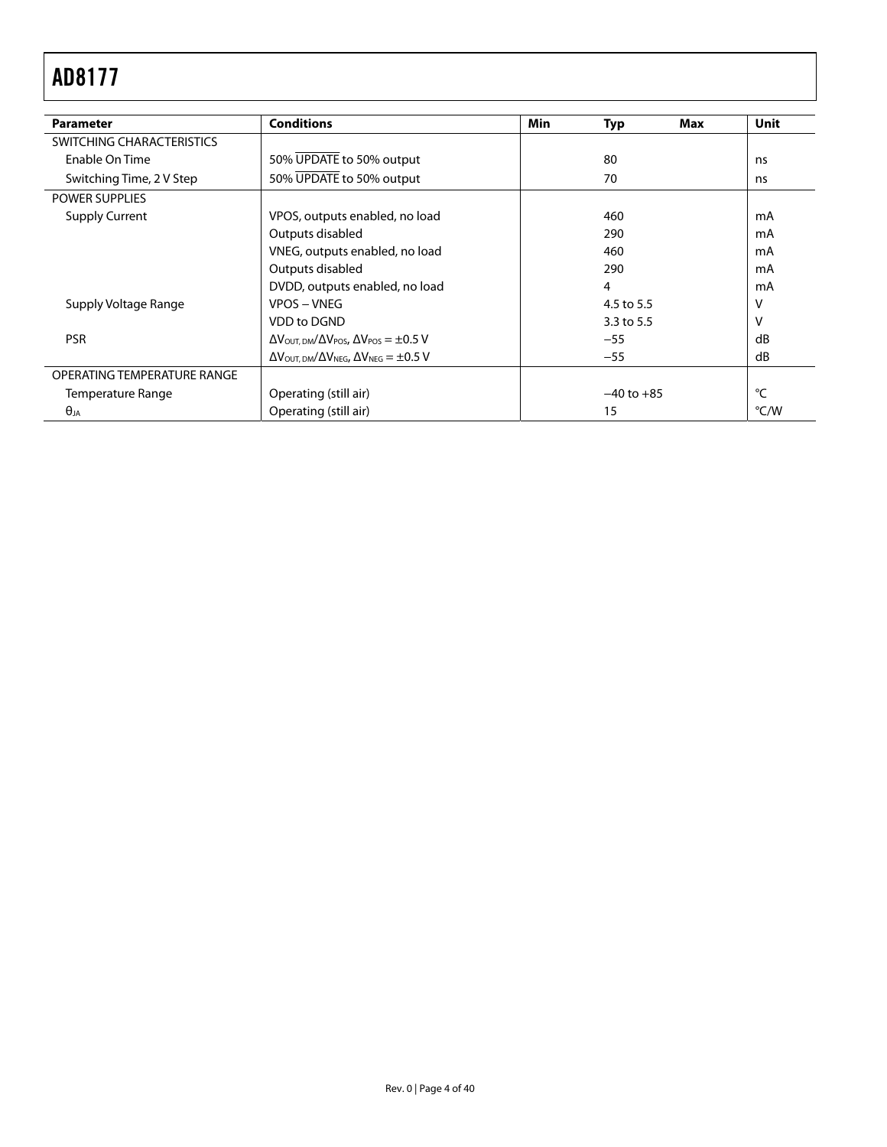| <b>Parameter</b>            | <b>Conditions</b>                                                                       | Min        | <b>Typ</b> | Max | Unit |
|-----------------------------|-----------------------------------------------------------------------------------------|------------|------------|-----|------|
|                             |                                                                                         |            |            |     |      |
| SWITCHING CHARACTERISTICS   |                                                                                         |            |            |     |      |
| Enable On Time              | 50% UPDATE to 50% output                                                                |            | 80         |     | ns   |
| Switching Time, 2 V Step    | 50% UPDATE to 50% output                                                                |            | 70         |     | ns.  |
| <b>POWER SUPPLIES</b>       |                                                                                         |            |            |     |      |
| <b>Supply Current</b>       | VPOS, outputs enabled, no load                                                          |            | 460        |     | mA   |
|                             | Outputs disabled                                                                        |            | 290        |     | mA   |
|                             | VNEG, outputs enabled, no load                                                          |            | 460        |     | mA   |
|                             | Outputs disabled                                                                        | 290        |            |     |      |
|                             | DVDD, outputs enabled, no load                                                          | 4          |            |     |      |
| Supply Voltage Range        | VPOS - VNEG                                                                             | 4.5 to 5.5 |            |     | v    |
|                             | <b>VDD to DGND</b>                                                                      |            | 3.3 to 5.5 |     |      |
| <b>PSR</b>                  | $\Delta V_{\text{OUT. DM}}/\Delta V_{\text{POS}}$ , $\Delta V_{\text{POS}} = \pm 0.5$ V |            | $-55$      |     | dB   |
|                             | $\Delta V_{\text{OUT. DM}}/\Delta V_{\text{NEG}}$ , $\Delta V_{\text{NEG}} = \pm 0.5$ V |            | $-55$      |     | dB   |
| OPERATING TEMPERATURE RANGE |                                                                                         |            |            |     |      |
| Temperature Range           | Operating (still air)<br>$-40$ to $+85$                                                 |            |            |     | °C   |
| $\theta_{JA}$               | Operating (still air)                                                                   |            | 15         |     | °C/W |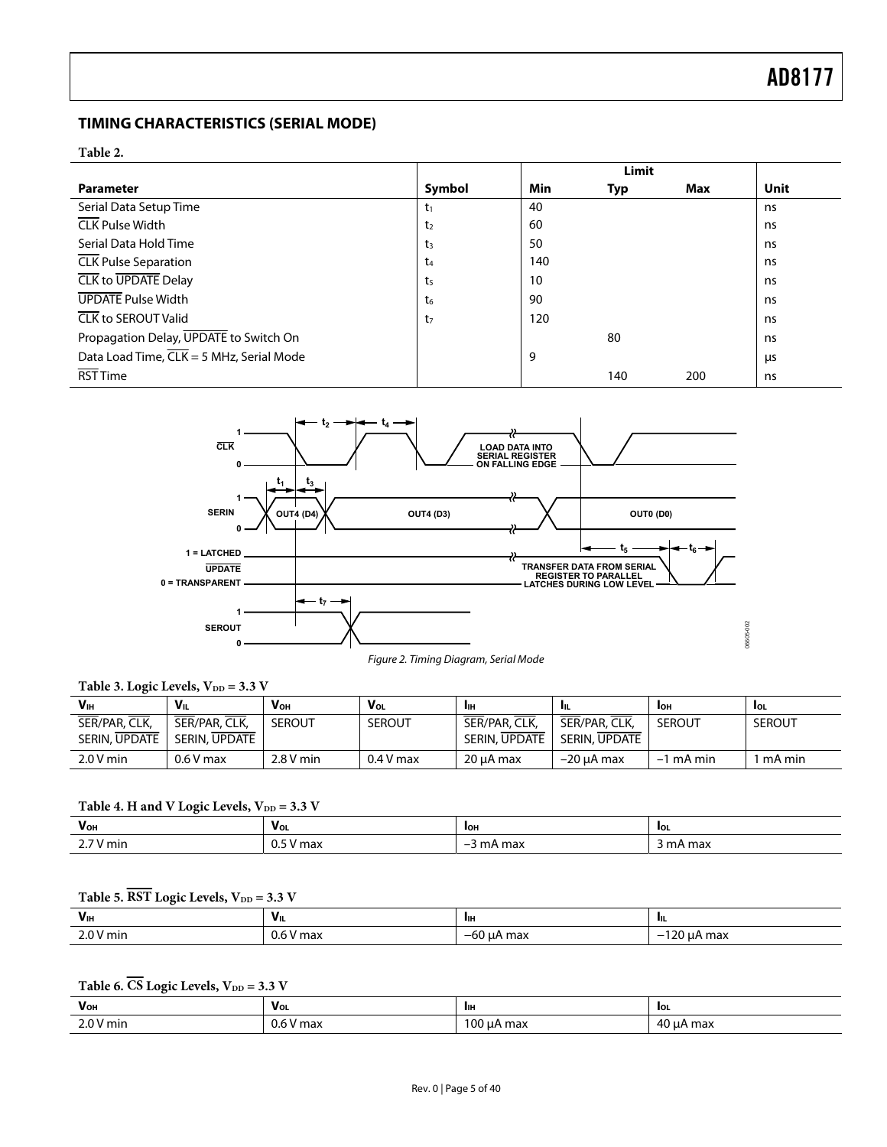06605-002

## <span id="page-4-0"></span>**TIMING CHARACTERISTICS (SERIAL MODE)**

**Table 2.** 

|                                                       |                |     | Limit |     |      |
|-------------------------------------------------------|----------------|-----|-------|-----|------|
| <b>Parameter</b>                                      | Symbol         | Min | Typ   | Max | Unit |
| Serial Data Setup Time                                | t <sub>1</sub> | 40  |       |     | ns   |
| <b>CLK Pulse Width</b>                                | t <sub>2</sub> | 60  |       |     | ns   |
| Serial Data Hold Time                                 | $t_3$          | 50  |       |     | ns   |
| <b>CLK</b> Pulse Separation                           | t <sub>4</sub> | 140 |       |     | ns   |
| <b>CLK</b> to <b>UPDATE</b> Delay                     | t <sub>5</sub> | 10  |       |     | ns   |
| <b>UPDATE Pulse Width</b>                             | t <sub>6</sub> | 90  |       |     | ns   |
| <b>CLK</b> to SEROUT Valid                            | t <sub>7</sub> | 120 |       |     | ns   |
| Propagation Delay, UPDATE to Switch On                |                |     | 80    |     | ns   |
| Data Load Time, $\overline{CLK} = 5$ MHz, Serial Mode |                | 9   |       |     | μs   |
| <b>RST Time</b>                                       |                |     | 140   | 200 | ns   |



Figure 2. Timing Diagram, Serial Mode

Table 3. Logic Levels,  $V_{DD} = 3.3 V$ 

| V <sub>IH</sub> | $V_{\parallel}$ | $V_{OH}$      | $V_{OL}$      | Лн                   | - IIL         | ∎он           | -loL          |
|-----------------|-----------------|---------------|---------------|----------------------|---------------|---------------|---------------|
| SER/PAR, CLK,   | SER/PAR, CLK,   | <b>SEROUT</b> | <b>SEROUT</b> | SER/PAR, CLK,        | SER/PAR, CLK, | <b>SEROUT</b> | <b>SEROUT</b> |
| SERIN, UPDATE   | SERIN, UPDATE   |               |               | <b>SERIN, UPDATE</b> | SERIN, UPDATE |               |               |
| 2.0 V min       | $0.6V$ max      | 2.8 V min     | $0.4V$ max    | 20 uA max            | $-20$ uA max  | $-1$ mA min   | mA min        |

### Table 4. H and V Logic Levels,  $V_{DD} = 3.3 V$

| Vон     | VOL                   | Іон                                  | lol.   |
|---------|-----------------------|--------------------------------------|--------|
| י V min | $-11$<br>/ max<br>U.J | } mA max<br>$\overline{\phantom{0}}$ | mA max |

## Table 5.  $\overline{\text{RST}}$  Logic Levels,  $V_{\text{DD}} = 3.3 \text{ V}$

| V <sub>IH</sub> | VIL           | Лн                          | - Lit                                                |
|-----------------|---------------|-----------------------------|------------------------------------------------------|
| $2.0 V$ min     | 0.6V<br>' max | - -<br>max ا<br>–6∪ .<br>ЦA | 120<br>) uA max<br>$\overline{\phantom{0}}$<br>. د ب |

## Table 6.  $\overline{\text{CS}}$  Logic Levels,  $V_{\text{DD}} = 3.3 \text{ V}$

| <b>V</b> <sub>OH</sub>          | VOL        | ЛН             | lol                     |
|---------------------------------|------------|----------------|-------------------------|
| $\sim$ $\sim$<br>' min<br>$-.0$ | U.O<br>шах | $_{00}$<br>max | ΛC<br>$m \sim$<br>۱۱a۶، |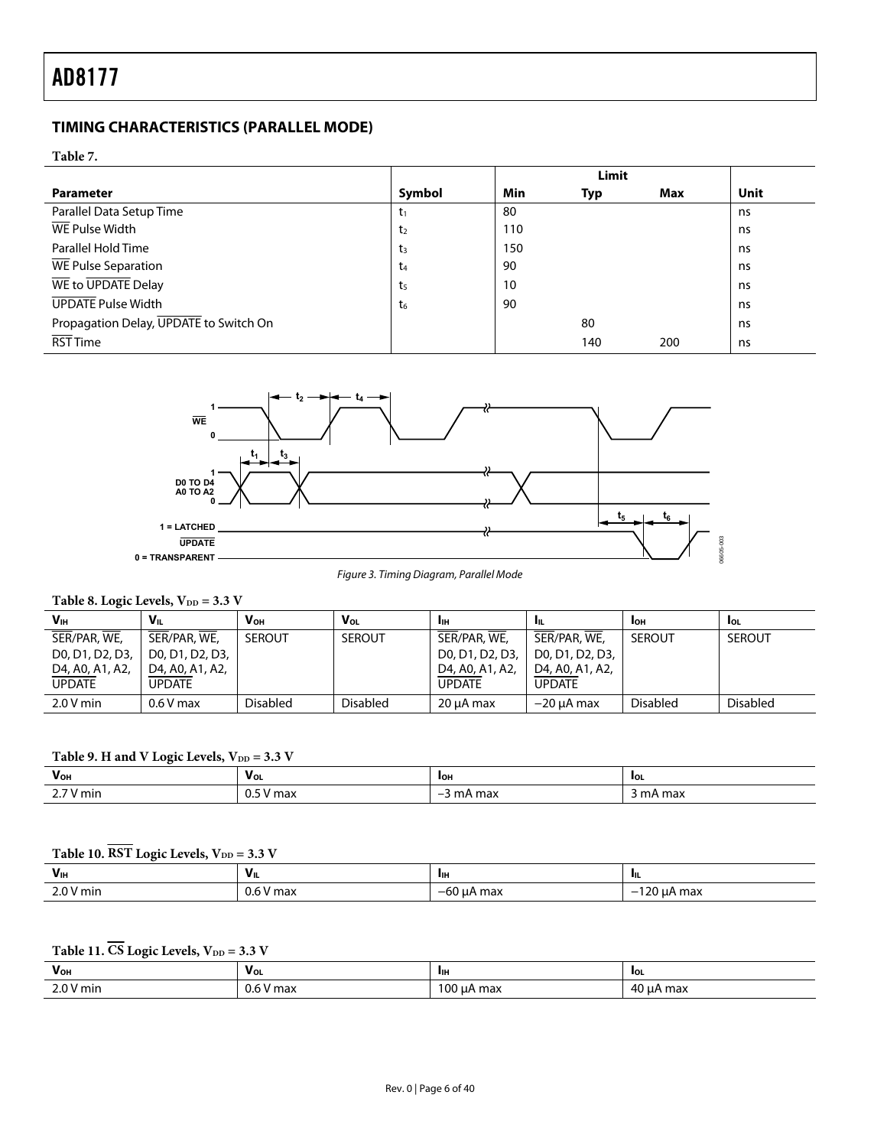## <span id="page-5-0"></span>**TIMING CHARACTERISTICS (PARALLEL MODE)**

**Table 7.** 

|                                        |                |            | Limit |     |             |
|----------------------------------------|----------------|------------|-------|-----|-------------|
| <b>Parameter</b>                       | Symbol         | <b>Min</b> | Typ   | Max | <b>Unit</b> |
| Parallel Data Setup Time               | t1             | 80         |       |     | ns          |
| WE Pulse Width                         | t <sub>2</sub> | 110        |       |     | ns          |
| Parallel Hold Time                     | t <sub>3</sub> | 150        |       |     | ns          |
| WE Pulse Separation                    | t <sub>4</sub> | 90         |       |     | ns          |
| WE to UPDATE Delay                     | t <sub>5</sub> | 10         |       |     | ns          |
| <b>UPDATE Pulse Width</b>              | t <sub>6</sub> | 90         |       |     | ns          |
| Propagation Delay, UPDATE to Switch On |                |            | 80    |     | ns          |
| <b>RST Time</b>                        |                |            | 140   | 200 | ns          |



### Figure 3. Timing Diagram, Parallel Mode

### Table 8. Logic Levels,  $V_{DD} = 3.3 V$

| V <sub>IH</sub> | Vπ              | V <sub>он</sub> | Vol             | Лн              | - HL            | Iон           | <b>I</b> OL     |
|-----------------|-----------------|-----------------|-----------------|-----------------|-----------------|---------------|-----------------|
| SER/PAR, WE,    | SER/PAR, WE,    | <b>SEROUT</b>   | <b>SEROUT</b>   | SER/PAR, WE,    | SER/PAR, WE,    | <b>SEROUT</b> | <b>SEROUT</b>   |
| D0, D1, D2, D3, | D0, D1, D2, D3, |                 |                 | D0, D1, D2, D3, | D0, D1, D2, D3, |               |                 |
| D4, A0, A1, A2, | D4, A0, A1, A2, |                 |                 | D4, A0, A1, A2, | D4, A0, A1, A2, |               |                 |
| <b>UPDATE</b>   | <b>UPDATE</b>   |                 |                 | <b>UPDATE</b>   | <b>UPDATE</b>   |               |                 |
| 2.0 V min       | $0.6V$ max      | <b>Disabled</b> | <b>Disabled</b> | 20 uA max       | $-20 \mu A$ max | Disabled      | <b>Disabled</b> |

### Table 9. H and V Logic Levels,  $V_{DD} = 3.3$  V

| VoH                                           | VOL                 | Іон                       | lol                               |
|-----------------------------------------------|---------------------|---------------------------|-----------------------------------|
| $\sim$ $\sim$ $\sim$ $\sim$<br>min<br><u></u> | .<br>шах<br>v<br>ິ. | $m \sim$<br>THA HIAX<br>- | $ -$<br>A max<br>. .<br>∖HIA<br>◡ |

## Table 10.  $\overline{\text{RST}}$  Logic Levels,  $V_{\text{DD}} = 3.3 \text{ V}$

| V <sub>IH</sub> | VIL        | ЛН                    | ՝ կլ                                        |
|-----------------|------------|-----------------------|---------------------------------------------|
| າ 0 V min       | max<br>v.o | ۱d۸،<br>$\sim$ $\sim$ | 320<br>max<br>–<br>$\cdot$<br>. .<br>$\sim$ |

## Table 11.  $\overline{\text{CS}}$  Logic Levels,  $V_{\text{DD}} = 3.3 \text{ V}$

| <b>V</b> <sub>OH</sub> | VOL | ШН   | loL |
|------------------------|-----|------|-----|
| $2.0V$ min             | max | 00 ا | ΛC  |
|                        | v.o | max  | max |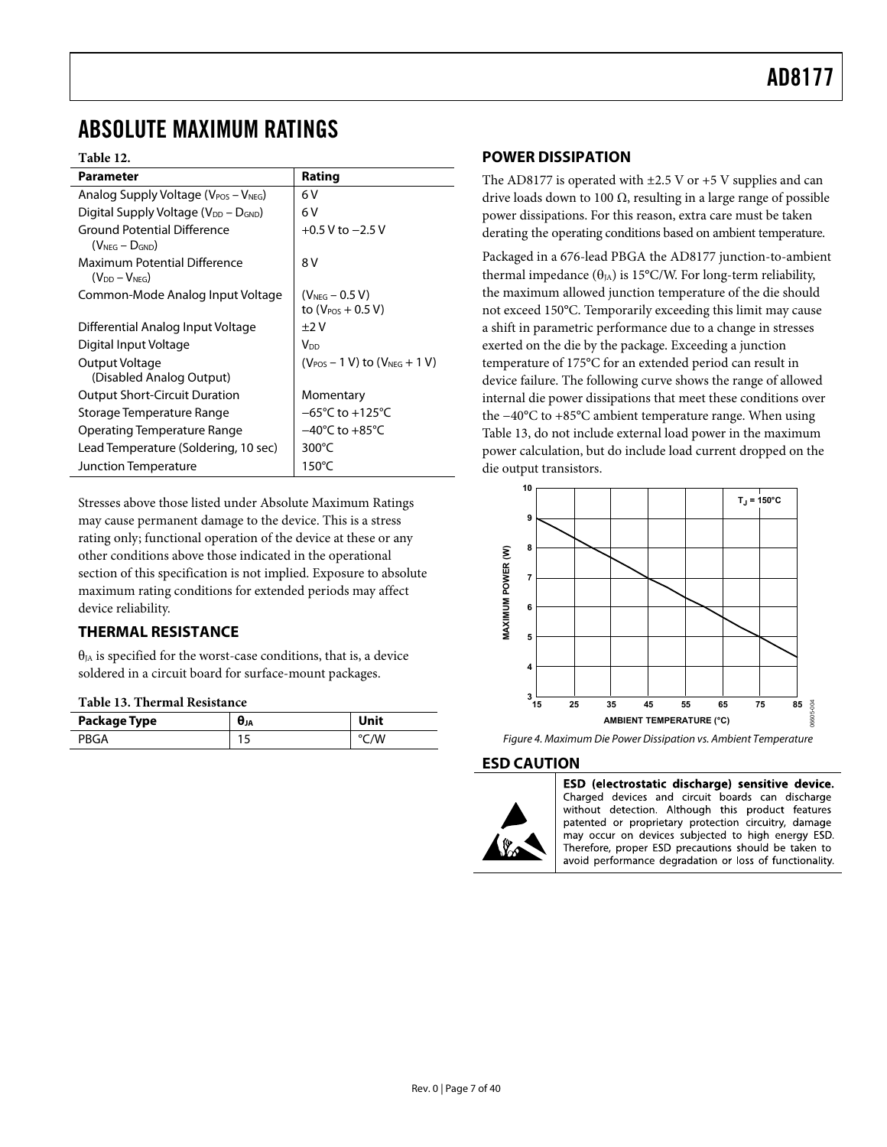## <span id="page-6-1"></span><span id="page-6-0"></span>ABSOLUTE MAXIMUM RATINGS

#### **Table 12.**

| Parameter                                                    | Rating                                               |
|--------------------------------------------------------------|------------------------------------------------------|
| Analog Supply Voltage (V <sub>POS</sub> – V <sub>NEG</sub> ) | 6 V                                                  |
| Digital Supply Voltage (V <sub>DD</sub> – D <sub>GND</sub> ) | 6 V                                                  |
| <b>Ground Potential Difference</b><br>$(V_{NEG}-D_{GND})$    | $+0.5$ V to $-2.5$ V                                 |
| Maximum Potential Difference<br>$(V_{DD}-V_{NEG})$           | 8V                                                   |
| Common-Mode Analog Input Voltage                             | $(V_{\text{NEG}} - 0.5 V)$<br>to $(V_{POS} + 0.5 V)$ |
| Differential Analog Input Voltage                            | +2 V                                                 |
| Digital Input Voltage                                        | V <sub>DD</sub>                                      |
| Output Voltage<br>(Disabled Analog Output)                   | $(V_{POS} - 1 V)$ to $(V_{NEG} + 1 V)$               |
| <b>Output Short-Circuit Duration</b>                         | Momentary                                            |
| Storage Temperature Range                                    | $-65^{\circ}$ C to $+125^{\circ}$ C                  |
| <b>Operating Temperature Range</b>                           | $-40^{\circ}$ C to $+85^{\circ}$ C                   |
| Lead Temperature (Soldering, 10 sec)                         | 300 $\degree$ C                                      |
| Junction Temperature                                         | 150°C                                                |

Stresses above those listed under Absolute Maximum Ratings may cause permanent damage to the device. This is a stress rating only; functional operation of the device at these or any other conditions above those indicated in the operational section of this specification is not implied. Exposure to absolute maximum rating conditions for extended periods may affect device reliability.

## **THERMAL RESISTANCE**

 $\theta_{IA}$  is specified for the worst-case conditions, that is, a device soldered in a circuit board for surface-mount packages.

|  |  | Table 13. Thermal Resistance |
|--|--|------------------------------|
|--|--|------------------------------|

| Package Type | UJA | Unit |
|--------------|-----|------|
| PRGA         |     | 'W   |

### **POWER DISSIPATION**

The AD8177 is operated with  $\pm 2.5$  V or  $+5$  V supplies and can drive loads down to 100  $Ω$ , resulting in a large range of possible power dissipations. For this reason, extra care must be taken derating the operating conditions based on ambient temperature.

Packaged in a 676-lead PBGA the AD8177 junction-to-ambient thermal impedance  $(\theta_{JA})$  is 15°C/W. For long-term reliability, the maximum allowed junction temperature of the die should not exceed 150°C. Temporarily exceeding this limit may cause a shift in parametric performance due to a change in stresses exerted on the die by the package. Exceeding a junction temperature of 175°C for an extended period can result in device failure. The following curve shows the range of allowed internal die power dissipations that meet these conditions over the −40°C to +85°C ambient temperature range. When using Table 13, do not include external load power in the maximum power calculation, but do include load current dropped on the die output transistors.



Figure 4. Maximum Die Power Dissipation vs. Ambient Temperature

### **ESD CAUTION**



ESD (electrostatic discharge) sensitive device. Charged devices and circuit boards can discharge without detection. Although this product features patented or proprietary protection circuitry, damage may occur on devices subjected to high energy ESD. Therefore, proper ESD precautions should be taken to avoid performance degradation or loss of functionality.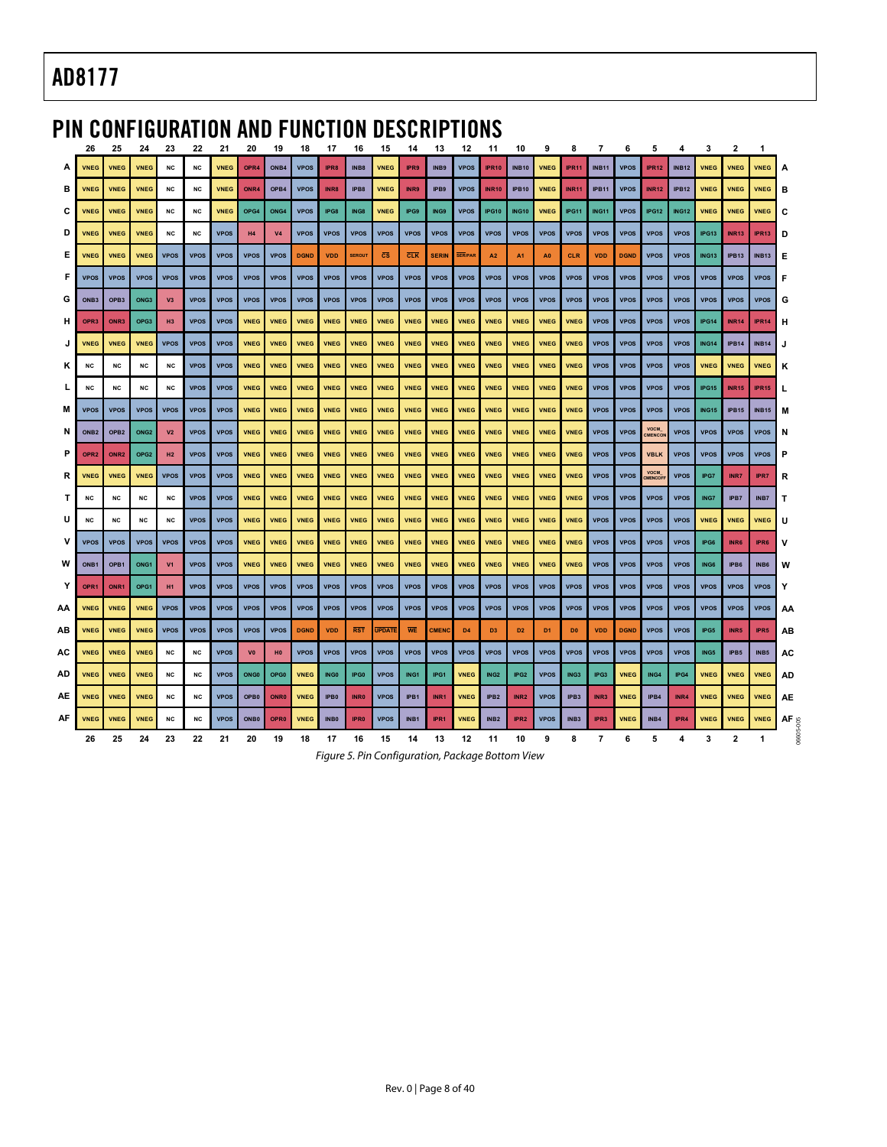## <span id="page-7-0"></span>PIN CONFIGURATION AND FUNCTION DESCRIPTIONS

|    | 26               | 25               | 24               | 23             | 22          | 21          | 20               | 19               | 18          | 17               | 16               | 15                                               | 14          | 13           | 12             | 11               | 10               | 9              | 8              | 7              | 6           | 5               |              | з            |                   |                  |           |
|----|------------------|------------------|------------------|----------------|-------------|-------------|------------------|------------------|-------------|------------------|------------------|--------------------------------------------------|-------------|--------------|----------------|------------------|------------------|----------------|----------------|----------------|-------------|-----------------|--------------|--------------|-------------------|------------------|-----------|
| A  | <b>VNEG</b>      | <b>VNEG</b>      | <b>VNEG</b>      | <b>NC</b>      | <b>NC</b>   | <b>VNEG</b> | OPR <sub>4</sub> | ONB4             | <b>VPOS</b> | IPR8             | INB8             | <b>VNEG</b>                                      | IPR9        | INB9         | <b>VPOS</b>    | <b>IPR10</b>     | <b>INB10</b>     | <b>VNEG</b>    | <b>IPR11</b>   | <b>INB11</b>   | <b>VPOS</b> | <b>IPR12</b>    | <b>INB12</b> | <b>VNEG</b>  | <b>VNEG</b>       | <b>VNEG</b>      | A         |
| в  | <b>VNEG</b>      | <b>VNEG</b>      | <b>VNEG</b>      | <b>NC</b>      | <b>NC</b>   | <b>VNEG</b> | ONR4             | OPB4             | <b>VPOS</b> | INR8             | IPB8             | <b>VNEG</b>                                      | INR9        | IPB9         | <b>VPOS</b>    | <b>INR10</b>     | <b>IPB10</b>     | <b>VNEG</b>    | <b>INR11</b>   | <b>IPB11</b>   | <b>VPOS</b> | <b>INR12</b>    | <b>IPB12</b> | <b>VNEG</b>  | <b>VNEG</b>       | <b>VNEG</b>      | в         |
| С  | <b>VNEG</b>      | <b>VNEG</b>      | <b>VNEG</b>      | <b>NC</b>      | <b>NC</b>   | <b>VNEG</b> | OPG4             | ONG4             | <b>VPOS</b> | IPG8             | ING8             | <b>VNEG</b>                                      | IPG9        | ING9         | <b>VPOS</b>    | <b>IPG10</b>     | <b>ING10</b>     | <b>VNEG</b>    | IPG11          | <b>ING11</b>   | <b>VPOS</b> | <b>IPG12</b>    | <b>ING12</b> | <b>VNEG</b>  | <b>VNEG</b>       | <b>VNEG</b>      | C         |
| D  | <b>VNEG</b>      | <b>VNEG</b>      | <b>VNEG</b>      | <b>NC</b>      | <b>NC</b>   | <b>VPOS</b> | H <sub>4</sub>   | V <sub>4</sub>   | <b>VPOS</b> | <b>VPOS</b>      | <b>VPOS</b>      | <b>VPOS</b>                                      | <b>VPOS</b> | <b>VPOS</b>  | <b>VPOS</b>    | <b>VPOS</b>      | <b>VPOS</b>      | <b>VPOS</b>    | <b>VPOS</b>    | <b>VPOS</b>    | <b>VPOS</b> | <b>VPOS</b>     | <b>VPOS</b>  | IPG13        | <b>INR13</b>      | IPR13            | D         |
| Е  | <b>VNEG</b>      | <b>VNEG</b>      | <b>VNEG</b>      | <b>VPOS</b>    | <b>VPOS</b> | <b>VPOS</b> | <b>VPOS</b>      | <b>VPOS</b>      | <b>DGND</b> | <b>VDD</b>       | <b>SEROUT</b>    | $\overline{\text{cs}}$                           | CLK         | <b>SERIN</b> | <b>SER/PAR</b> | A2               | A1               | A <sub>0</sub> | CLR            | <b>VDD</b>     | <b>DGND</b> | <b>VPOS</b>     | <b>VPOS</b>  | <b>ING13</b> | IPB <sub>13</sub> | <b>INB13</b>     | Е         |
| F  | <b>VPOS</b>      | <b>VPOS</b>      | <b>VPOS</b>      | <b>VPOS</b>    | <b>VPOS</b> | <b>VPOS</b> | <b>VPOS</b>      | <b>VPOS</b>      | <b>VPOS</b> | <b>VPOS</b>      | <b>VPOS</b>      | <b>VPOS</b>                                      | <b>VPOS</b> | <b>VPOS</b>  | <b>VPOS</b>    | <b>VPOS</b>      | <b>VPOS</b>      | <b>VPOS</b>    | <b>VPOS</b>    | <b>VPOS</b>    | <b>VPOS</b> | <b>VPOS</b>     | <b>VPOS</b>  | <b>VPOS</b>  | <b>VPOS</b>       | <b>VPOS</b>      | F         |
| G  | ONB <sub>3</sub> | OPB <sub>3</sub> | ONG <sub>3</sub> | V <sub>3</sub> | <b>VPOS</b> | <b>VPOS</b> | <b>VPOS</b>      | <b>VPOS</b>      | <b>VPOS</b> | <b>VPOS</b>      | <b>VPOS</b>      | <b>VPOS</b>                                      | <b>VPOS</b> | <b>VPOS</b>  | <b>VPOS</b>    | <b>VPOS</b>      | <b>VPOS</b>      | <b>VPOS</b>    | <b>VPOS</b>    | <b>VPOS</b>    | <b>VPOS</b> | <b>VPOS</b>     | <b>VPOS</b>  | <b>VPOS</b>  | <b>VPOS</b>       | <b>VPOS</b>      | G         |
| н  | OPR <sub>3</sub> | ONR3             | OPG3             | H <sub>3</sub> | <b>VPOS</b> | <b>VPOS</b> | <b>VNEG</b>      | <b>VNEG</b>      | <b>VNEG</b> | <b>VNEG</b>      | <b>VNEG</b>      | <b>VNEG</b>                                      | <b>VNEG</b> | <b>VNEG</b>  | <b>VNEG</b>    | <b>VNEG</b>      | <b>VNEG</b>      | <b>VNEG</b>    | <b>VNEG</b>    | <b>VPOS</b>    | <b>VPOS</b> | <b>VPOS</b>     | <b>VPOS</b>  | IPG14        | <b>INR14</b>      | <b>IPR14</b>     | н         |
|    | <b>VNEG</b>      | <b>VNEG</b>      | <b>VNEG</b>      | <b>VPOS</b>    | <b>VPOS</b> | <b>VPOS</b> | <b>VNEG</b>      | <b>VNEG</b>      | <b>VNEG</b> | <b>VNEG</b>      | <b>VNEG</b>      | <b>VNEG</b>                                      | <b>VNEG</b> | <b>VNEG</b>  | <b>VNEG</b>    | <b>VNEG</b>      | <b>VNEG</b>      | <b>VNEG</b>    | <b>VNEG</b>    | <b>VPOS</b>    | <b>VPOS</b> | <b>VPOS</b>     | <b>VPOS</b>  | <b>ING14</b> | <b>IPB14</b>      | <b>INB14</b>     |           |
| κ  | <b>NC</b>        | NC               | <b>NC</b>        | <b>NC</b>      | <b>VPOS</b> | <b>VPOS</b> | <b>VNEG</b>      | <b>VNEG</b>      | <b>VNEG</b> | <b>VNEG</b>      | <b>VNEG</b>      | <b>VNEG</b>                                      | <b>VNEG</b> | <b>VNEG</b>  | <b>VNEG</b>    | <b>VNEG</b>      | <b>VNEG</b>      | <b>VNEG</b>    | <b>VNEG</b>    | <b>VPOS</b>    | <b>VPOS</b> | <b>VPOS</b>     | <b>VPOS</b>  | <b>VNEG</b>  | <b>VNEG</b>       | <b>VNEG</b>      | ĸ         |
|    | <b>NC</b>        | <b>NC</b>        | <b>NC</b>        | <b>NC</b>      | <b>VPOS</b> | <b>VPOS</b> | <b>VNEG</b>      | <b>VNEG</b>      | <b>VNEG</b> | <b>VNEG</b>      | <b>VNEG</b>      | <b>VNEG</b>                                      | <b>VNEG</b> | <b>VNEG</b>  | <b>VNEG</b>    | <b>VNEG</b>      | <b>VNEG</b>      | <b>VNEG</b>    | <b>VNEG</b>    | <b>VPOS</b>    | <b>VPOS</b> | <b>VPOS</b>     | <b>VPOS</b>  | <b>IPG15</b> | <b>INR15</b>      | <b>IPR15</b>     |           |
| м  | <b>VPOS</b>      | <b>VPOS</b>      | <b>VPOS</b>      | <b>VPOS</b>    | <b>VPOS</b> | <b>VPOS</b> | <b>VNEG</b>      | <b>VNEG</b>      | <b>VNEG</b> | <b>VNEG</b>      | <b>VNEG</b>      | <b>VNEG</b>                                      | <b>VNEG</b> | <b>VNEG</b>  | <b>VNEG</b>    | <b>VNEG</b>      | <b>VNEG</b>      | <b>VNEG</b>    | <b>VNEG</b>    | <b>VPOS</b>    | <b>VPOS</b> | <b>VPOS</b>     | <b>VPOS</b>  | <b>ING15</b> | IPB <sub>15</sub> | <b>INB15</b>     | м         |
| N  | ONB <sub>2</sub> | OPB <sub>2</sub> | ONG <sub>2</sub> | V <sub>2</sub> | <b>VPOS</b> | <b>VPOS</b> | <b>VNEG</b>      | <b>VNEG</b>      | <b>VNEG</b> | <b>VNEG</b>      | <b>VNEG</b>      | <b>VNEG</b>                                      | <b>VNEG</b> | <b>VNEG</b>  | <b>VNEG</b>    | <b>VNEG</b>      | <b>VNEG</b>      | <b>VNEG</b>    | <b>VNEG</b>    | <b>VPOS</b>    | <b>VPOS</b> | VOCM<br>CMENCOI | <b>VPOS</b>  | <b>VPOS</b>  | <b>VPOS</b>       | <b>VPOS</b>      | N         |
| Р  | OPR <sub>2</sub> | ONR <sub>2</sub> | OPG <sub>2</sub> | H2             | <b>VPOS</b> | <b>VPOS</b> | <b>VNEG</b>      | <b>VNEG</b>      | <b>VNEG</b> | <b>VNEG</b>      | <b>VNEG</b>      | <b>VNEG</b>                                      | <b>VNEG</b> | <b>VNEG</b>  | <b>VNEG</b>    | <b>VNEG</b>      | <b>VNEG</b>      | <b>VNEG</b>    | <b>VNEG</b>    | <b>VPOS</b>    | <b>VPOS</b> | <b>VBLK</b>     | <b>VPOS</b>  | <b>VPOS</b>  | <b>VPOS</b>       | <b>VPOS</b>      | P         |
| R  | <b>VNEG</b>      | <b>VNEG</b>      | <b>VNEG</b>      | <b>VPOS</b>    | <b>VPOS</b> | <b>VPOS</b> | <b>VNEG</b>      | <b>VNEG</b>      | <b>VNEG</b> | <b>VNEG</b>      | <b>VNEG</b>      | <b>VNEG</b>                                      | <b>VNEG</b> | <b>VNEG</b>  | <b>VNEG</b>    | <b>VNEG</b>      | <b>VNEG</b>      | <b>VNEG</b>    | <b>VNEG</b>    | <b>VPOS</b>    | <b>VPOS</b> | VOCM            | <b>VPOS</b>  | IPG7         | INR7              | IPR7             | R         |
| т  | <b>NC</b>        | <b>NC</b>        | <b>NC</b>        | <b>NC</b>      | <b>VPOS</b> | <b>VPOS</b> | <b>VNEG</b>      | <b>VNEG</b>      | <b>VNEG</b> | <b>VNEG</b>      | <b>VNEG</b>      | <b>VNEG</b>                                      | <b>VNEG</b> | <b>VNEG</b>  | <b>VNEG</b>    | <b>VNEG</b>      | <b>VNEG</b>      | <b>VNEG</b>    | <b>VNEG</b>    | <b>VPOS</b>    | <b>VPOS</b> | <b>VPOS</b>     | <b>VPOS</b>  | ING7         | IPB7              | INB7             | т         |
| U  | <b>NC</b>        | <b>NC</b>        | <b>NC</b>        | <b>NC</b>      | <b>VPOS</b> | <b>VPOS</b> | <b>VNEG</b>      | <b>VNEG</b>      | <b>VNEG</b> | <b>VNEG</b>      | <b>VNEG</b>      | <b>VNEG</b>                                      | <b>VNEG</b> | <b>VNEG</b>  | <b>VNEG</b>    | <b>VNEG</b>      | <b>VNEG</b>      | <b>VNEG</b>    | <b>VNEG</b>    | <b>VPOS</b>    | <b>VPOS</b> | <b>VPOS</b>     | <b>VPOS</b>  | <b>VNEG</b>  | <b>VNEG</b>       | <b>VNEG</b>      | u         |
| ۷  | <b>VPOS</b>      | <b>VPOS</b>      | <b>VPOS</b>      | <b>VPOS</b>    | <b>VPOS</b> | <b>VPOS</b> | <b>VNEG</b>      | <b>VNEG</b>      | <b>VNEG</b> | <b>VNEG</b>      | <b>VNEG</b>      | <b>VNEG</b>                                      | <b>VNEG</b> | <b>VNEG</b>  | <b>VNEG</b>    | <b>VNEG</b>      | <b>VNEG</b>      | <b>VNEG</b>    | <b>VNEG</b>    | <b>VPOS</b>    | <b>VPOS</b> | <b>VPOS</b>     | <b>VPOS</b>  | IPG6         | INR6              | IPR6             | v         |
| W  | ONB1             | OPB1             | ONG1             | V <sub>1</sub> | <b>VPOS</b> | <b>VPOS</b> | <b>VNEG</b>      | <b>VNEG</b>      | <b>VNEG</b> | <b>VNEG</b>      | <b>VNEG</b>      | <b>VNEG</b>                                      | <b>VNEG</b> | <b>VNEG</b>  | <b>VNEG</b>    | <b>VNEG</b>      | <b>VNEG</b>      | <b>VNEG</b>    | <b>VNEG</b>    | <b>VPOS</b>    | <b>VPOS</b> | <b>VPOS</b>     | <b>VPOS</b>  | ING6         | IPB6              | INB6             | W         |
| Y  | OPR <sub>1</sub> | ONR1             | OPG1             | <b>H1</b>      | <b>VPOS</b> | <b>VPOS</b> | <b>VPOS</b>      | <b>VPOS</b>      | <b>VPOS</b> | <b>VPOS</b>      | <b>VPOS</b>      | <b>VPOS</b>                                      | <b>VPOS</b> | <b>VPOS</b>  | <b>VPOS</b>    | <b>VPOS</b>      | <b>VPOS</b>      | <b>VPOS</b>    | <b>VPOS</b>    | <b>VPOS</b>    | <b>VPOS</b> | <b>VPOS</b>     | <b>VPOS</b>  | <b>VPOS</b>  | <b>VPOS</b>       | <b>VPOS</b>      | Y         |
| ΑА | <b>VNEG</b>      | <b>VNEG</b>      | <b>VNEG</b>      | <b>VPOS</b>    | <b>VPOS</b> | <b>VPOS</b> | <b>VPOS</b>      | <b>VPOS</b>      | <b>VPOS</b> | <b>VPOS</b>      | <b>VPOS</b>      | <b>VPOS</b>                                      | <b>VPOS</b> | <b>VPOS</b>  | <b>VPOS</b>    | <b>VPOS</b>      | <b>VPOS</b>      | <b>VPOS</b>    | <b>VPOS</b>    | <b>VPOS</b>    | <b>VPOS</b> | <b>VPOS</b>     | <b>VPOS</b>  | <b>VPOS</b>  | <b>VPOS</b>       | <b>VPOS</b>      | AA        |
| AВ | <b>VNEG</b>      | <b>VNEG</b>      | <b>VNEG</b>      | <b>VPOS</b>    | <b>VPOS</b> | <b>VPOS</b> | <b>VPOS</b>      | <b>VPOS</b>      | <b>DGND</b> | <b>VDD</b>       | <b>RST</b>       | <b>UPDATE</b>                                    | WE          | <b>CMENC</b> | D <sub>4</sub> | D <sub>3</sub>   | D <sub>2</sub>   | D <sub>1</sub> | D <sub>0</sub> | <b>VDD</b>     | <b>DGND</b> | <b>VPOS</b>     | <b>VPOS</b>  | IPG5         | INR5              | IPR <sub>5</sub> | AB        |
| АC | <b>VNEG</b>      | <b>VNEG</b>      | <b>VNEG</b>      | <b>NC</b>      | <b>NC</b>   | <b>VPOS</b> | V <sub>0</sub>   | H <sub>0</sub>   | <b>VPOS</b> | <b>VPOS</b>      | <b>VPOS</b>      | <b>VPOS</b>                                      | <b>VPOS</b> | <b>VPOS</b>  | <b>VPOS</b>    | <b>VPOS</b>      | <b>VPOS</b>      | <b>VPOS</b>    | <b>VPOS</b>    | <b>VPOS</b>    | <b>VPOS</b> | <b>VPOS</b>     | <b>VPOS</b>  | ING5         | IPB5              | INB <sub>5</sub> | AC        |
| AD | <b>VNEG</b>      | <b>VNEG</b>      | <b>VNEG</b>      | <b>NC</b>      | <b>NC</b>   | <b>VPOS</b> | <b>ONGO</b>      | OPG0             | <b>VNEG</b> | ING0             | IPG0             | <b>VPOS</b>                                      | ING1        | IPG1         | <b>VNEG</b>    | ING <sub>2</sub> | IPG <sub>2</sub> | <b>VPOS</b>    | ING3           | IPG3           | <b>VNEG</b> | ING4            | IPG4         | <b>VNEG</b>  | <b>VNEG</b>       | <b>VNEG</b>      | <b>AD</b> |
| АE | <b>VNEG</b>      | <b>VNEG</b>      | <b>VNEG</b>      | <b>NC</b>      | NC          | <b>VPOS</b> | OPB <sub>0</sub> | <b>ONR0</b>      | <b>VNEG</b> | IPB <sub>0</sub> | <b>INRO</b>      | <b>VPOS</b>                                      | IPB1        | INR1         | <b>VNEG</b>    | IPB <sub>2</sub> | INR <sub>2</sub> | <b>VPOS</b>    | IPB3           | INR3           | <b>VNEG</b> | IPB4            | INR4         | <b>VNEG</b>  | <b>VNEG</b>       | <b>VNEG</b>      | <b>AE</b> |
| AF | <b>VNEG</b>      | <b>VNEG</b>      | <b>VNEG</b>      | <b>NC</b>      | <b>NC</b>   | <b>VPOS</b> | <b>ONBO</b>      | OPR <sub>0</sub> | <b>VNEG</b> | INB <sub>0</sub> | IPR <sub>0</sub> | <b>VPOS</b>                                      | INB1        | IPR1         | <b>VNEG</b>    | INB <sub>2</sub> | IPR <sub>2</sub> | <b>VPOS</b>    | INB3           | IPR3           | <b>VNEG</b> | INB4            | IPR4         | <b>VNEG</b>  | <b>VNEG</b>       | <b>VNEG</b>      | $AF$ $g$  |
|    | 26               | 25               | 24               | 23             | 22          | 21          | 20               | 19               | 18          | 17               | 16               | 15                                               | 14          | 13           | 12             | 11               | 10               | 9              | 8              | $\overline{7}$ | 6           | 5               | 4            | 3            | 2                 | 1                |           |
|    |                  |                  |                  |                |             |             |                  |                  |             |                  |                  | Figure 5. Pin Configuration, Package Bottom View |             |              |                |                  |                  |                |                |                |             |                 |              |              |                   |                  |           |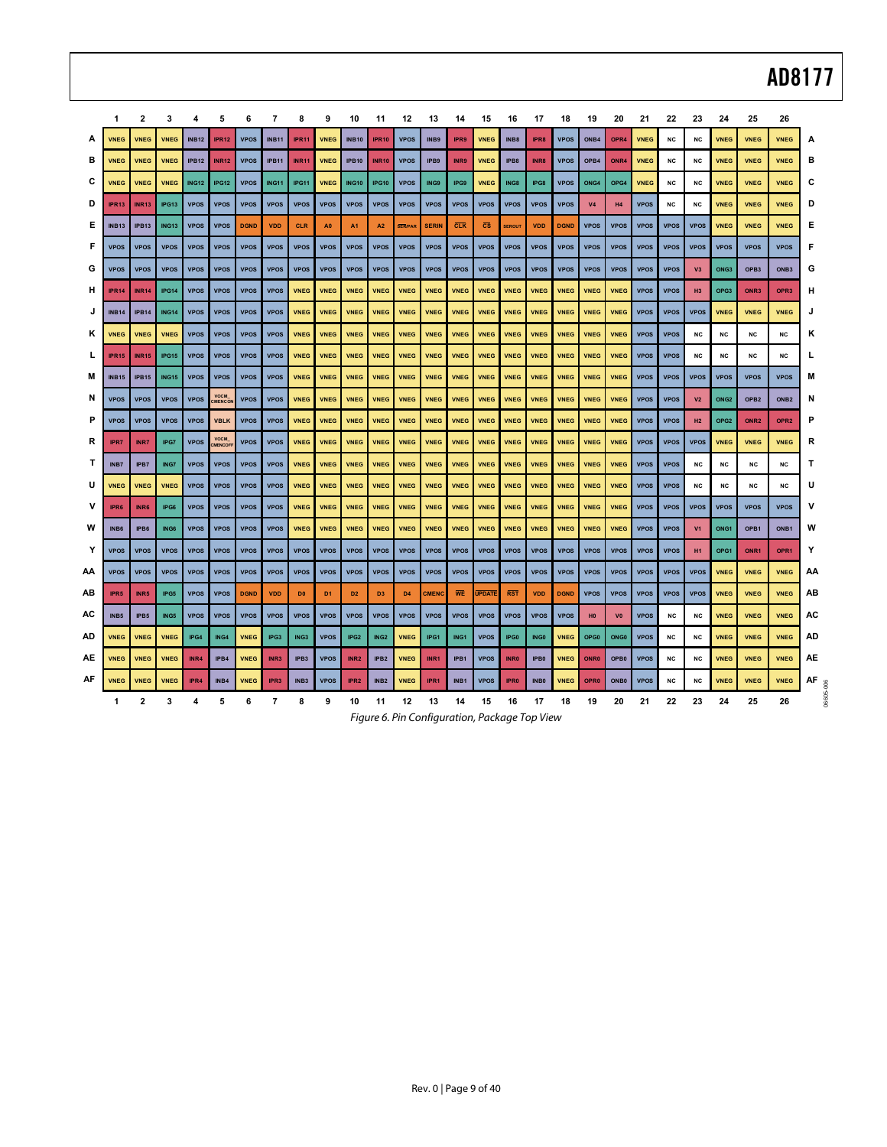|     | $\mathbf{1}$      | $\overline{2}$    | 3            | 4            | 5                      | 6           | $\overline{7}$   | 8                | 9              | 10               | 11               | 12             | 13           | 14                     | 15                     | 16            | 17                                                  | 18          | 19             | 20               | 21          | 22          | 23             | 24               | 25               | 26               |                 |
|-----|-------------------|-------------------|--------------|--------------|------------------------|-------------|------------------|------------------|----------------|------------------|------------------|----------------|--------------|------------------------|------------------------|---------------|-----------------------------------------------------|-------------|----------------|------------------|-------------|-------------|----------------|------------------|------------------|------------------|-----------------|
| Α   | <b>VNEG</b>       | <b>VNEG</b>       | <b>VNEG</b>  | <b>INB12</b> | <b>IPR12</b>           | <b>VPOS</b> | <b>INB11</b>     | <b>IPR11</b>     | <b>VNEG</b>    | <b>INB10</b>     | <b>IPR10</b>     | <b>VPOS</b>    | INB9         | <b>IPR9</b>            | <b>VNEG</b>            | INB8          | IPR8                                                | <b>VPOS</b> | ONB4           | OPR4             | <b>VNEG</b> | <b>NC</b>   | <b>NC</b>      | <b>VNEG</b>      | <b>VNEG</b>      | <b>VNEG</b>      | A               |
| в   | <b>VNEG</b>       | <b>VNEG</b>       | <b>VNEG</b>  | <b>IPB12</b> | <b>INR12</b>           | <b>VPOS</b> | <b>IPB11</b>     | <b>INR11</b>     | <b>VNEG</b>    | <b>IPB10</b>     | <b>INR10</b>     | <b>VPOS</b>    | IPB9         | INR9                   | <b>VNEG</b>            | IPB8          | INR8                                                | <b>VPOS</b> | OPB4           | ONR4             | <b>VNEG</b> | <b>NC</b>   | <b>NC</b>      | <b>VNEG</b>      | <b>VNEG</b>      | <b>VNEG</b>      | в               |
| C   | <b>VNEG</b>       | <b>VNEG</b>       | <b>VNEG</b>  | <b>ING12</b> | <b>IPG12</b>           | <b>VPOS</b> | <b>ING11</b>     | IPG11            | <b>VNEG</b>    | <b>ING10</b>     | <b>IPG10</b>     | <b>VPOS</b>    | ING9         | IPG9                   | <b>VNEG</b>            | ING8          | IPG8                                                | <b>VPOS</b> | ONG4           | OPG4             | <b>VNEG</b> | <b>NC</b>   | <b>NC</b>      | <b>VNEG</b>      | <b>VNEG</b>      | <b>VNEG</b>      | с               |
| D   | IPR <sub>13</sub> | <b>INR13</b>      | IPG13        | <b>VPOS</b>  | <b>VPOS</b>            | <b>VPOS</b> | <b>VPOS</b>      | <b>VPOS</b>      | <b>VPOS</b>    | <b>VPOS</b>      | <b>VPOS</b>      | <b>VPOS</b>    | <b>VPOS</b>  | <b>VPOS</b>            | <b>VPOS</b>            | <b>VPOS</b>   | <b>VPOS</b>                                         | <b>VPOS</b> | V <sub>4</sub> | H4               | <b>VPOS</b> | <b>NC</b>   | <b>NC</b>      | <b>VNEG</b>      | <b>VNEG</b>      | <b>VNEG</b>      | D               |
| Е   | <b>INB13</b>      | <b>IPB13</b>      | <b>ING13</b> | <b>VPOS</b>  | <b>VPOS</b>            | <b>DGND</b> | <b>VDD</b>       | <b>CLR</b>       | A <sub>0</sub> | <b>A1</b>        | A2               | <b>SER/PAR</b> | <b>SERIN</b> | CLK                    | $\overline{\text{cs}}$ | <b>SEROUT</b> | <b>VDD</b>                                          | <b>DGND</b> | <b>VPOS</b>    | <b>VPOS</b>      | <b>VPOS</b> | <b>VPOS</b> | <b>VPOS</b>    | <b>VNEG</b>      | <b>VNEG</b>      | <b>VNEG</b>      | Е               |
| F   | <b>VPOS</b>       | <b>VPOS</b>       | <b>VPOS</b>  | <b>VPOS</b>  | <b>VPOS</b>            | <b>VPOS</b> | <b>VPOS</b>      | <b>VPOS</b>      | <b>VPOS</b>    | <b>VPOS</b>      | <b>VPOS</b>      | <b>VPOS</b>    | <b>VPOS</b>  | <b>VPOS</b>            | <b>VPOS</b>            | <b>VPOS</b>   | <b>VPOS</b>                                         | <b>VPOS</b> | <b>VPOS</b>    | <b>VPOS</b>      | <b>VPOS</b> | <b>VPOS</b> | <b>VPOS</b>    | <b>VPOS</b>      | <b>VPOS</b>      | <b>VPOS</b>      | F               |
| G   | <b>VPOS</b>       | <b>VPOS</b>       | <b>VPOS</b>  | <b>VPOS</b>  | <b>VPOS</b>            | <b>VPOS</b> | <b>VPOS</b>      | <b>VPOS</b>      | <b>VPOS</b>    | <b>VPOS</b>      | <b>VPOS</b>      | <b>VPOS</b>    | <b>VPOS</b>  | <b>VPOS</b>            | <b>VPOS</b>            | <b>VPOS</b>   | <b>VPOS</b>                                         | <b>VPOS</b> | <b>VPOS</b>    | <b>VPOS</b>      | <b>VPOS</b> | <b>VPOS</b> | V <sub>3</sub> | ONG3             | OPB <sub>3</sub> | ONB3             | G               |
| н   | IPR <sub>14</sub> | <b>INR14</b>      | IPG14        | <b>VPOS</b>  | <b>VPOS</b>            | <b>VPOS</b> | <b>VPOS</b>      | <b>VNEG</b>      | <b>VNEG</b>    | <b>VNEG</b>      | <b>VNEG</b>      | <b>VNEG</b>    | <b>VNEG</b>  | <b>VNEG</b>            | <b>VNEG</b>            | <b>VNEG</b>   | <b>VNEG</b>                                         | <b>VNEG</b> | <b>VNEG</b>    | <b>VNEG</b>      | <b>VPOS</b> | <b>VPOS</b> | H <sub>3</sub> | OPG3             | ONR <sub>3</sub> | OPR3             | н               |
| J   | <b>INB14</b>      | IPB <sub>14</sub> | <b>ING14</b> | <b>VPOS</b>  | <b>VPOS</b>            | <b>VPOS</b> | <b>VPOS</b>      | <b>VNEG</b>      | <b>VNEG</b>    | <b>VNEG</b>      | <b>VNEG</b>      | <b>VNEG</b>    | <b>VNEG</b>  | <b>VNEG</b>            | <b>VNEG</b>            | <b>VNEG</b>   | <b>VNEG</b>                                         | <b>VNEG</b> | <b>VNEG</b>    | <b>VNEG</b>      | <b>VPOS</b> | <b>VPOS</b> | <b>VPOS</b>    | <b>VNEG</b>      | <b>VNEG</b>      | <b>VNEG</b>      |                 |
| κ   | <b>VNEG</b>       | <b>VNEG</b>       | <b>VNEG</b>  | <b>VPOS</b>  | <b>VPOS</b>            | <b>VPOS</b> | <b>VPOS</b>      | <b>VNEG</b>      | <b>VNEG</b>    | <b>VNEG</b>      | <b>VNEG</b>      | <b>VNEG</b>    | <b>VNEG</b>  | <b>VNEG</b>            | <b>VNEG</b>            | <b>VNEG</b>   | <b>VNEG</b>                                         | <b>VNEG</b> | <b>VNEG</b>    | <b>VNEG</b>      | <b>VPOS</b> | <b>VPOS</b> | <b>NC</b>      | <b>NC</b>        | <b>NC</b>        | <b>NC</b>        | κ               |
|     | IPR <sub>15</sub> | <b>INR15</b>      | IPG15        | <b>VPOS</b>  | <b>VPOS</b>            | <b>VPOS</b> | <b>VPOS</b>      | <b>VNEG</b>      | <b>VNEG</b>    | <b>VNEG</b>      | <b>VNEG</b>      | <b>VNEG</b>    | <b>VNEG</b>  | <b>VNEG</b>            | <b>VNEG</b>            | <b>VNEG</b>   | <b>VNEG</b>                                         | <b>VNEG</b> | <b>VNEG</b>    | <b>VNEG</b>      | <b>VPOS</b> | <b>VPOS</b> | <b>NC</b>      | <b>NC</b>        | <b>NC</b>        | <b>NC</b>        | L               |
| м   | <b>INB15</b>      | <b>IPB15</b>      | <b>ING15</b> | <b>VPOS</b>  | <b>VPOS</b>            | <b>VPOS</b> | <b>VPOS</b>      | <b>VNEG</b>      | <b>VNEG</b>    | <b>VNEG</b>      | <b>VNEG</b>      | <b>VNEG</b>    | <b>VNEG</b>  | <b>VNEG</b>            | <b>VNEG</b>            | <b>VNEG</b>   | <b>VNEG</b>                                         | <b>VNEG</b> | <b>VNEG</b>    | <b>VNEG</b>      | <b>VPOS</b> | <b>VPOS</b> | <b>VPOS</b>    | <b>VPOS</b>      | <b>VPOS</b>      | <b>VPOS</b>      | м               |
| N   | <b>VPOS</b>       | <b>VPOS</b>       | <b>VPOS</b>  | <b>VPOS</b>  | VOCM                   | <b>VPOS</b> | <b>VPOS</b>      | <b>VNEG</b>      | <b>VNEG</b>    | <b>VNEG</b>      | <b>VNEG</b>      | <b>VNEG</b>    | <b>VNEG</b>  | <b>VNEG</b>            | <b>VNEG</b>            | <b>VNEG</b>   | <b>VNEG</b>                                         | <b>VNEG</b> | <b>VNEG</b>    | <b>VNEG</b>      | <b>VPOS</b> | <b>VPOS</b> | V <sub>2</sub> | ONG <sub>2</sub> | OPB <sub>2</sub> | ONB <sub>2</sub> | N               |
| P   | <b>VPOS</b>       | <b>VPOS</b>       | <b>VPOS</b>  | <b>VPOS</b>  | <b>VBLK</b>            | <b>VPOS</b> | <b>VPOS</b>      | <b>VNEG</b>      | <b>VNEG</b>    | <b>VNEG</b>      | <b>VNEG</b>      | <b>VNEG</b>    | <b>VNEG</b>  | <b>VNEG</b>            | <b>VNEG</b>            | <b>VNEG</b>   | <b>VNEG</b>                                         | <b>VNEG</b> | <b>VNEG</b>    | <b>VNEG</b>      | <b>VPOS</b> | <b>VPOS</b> | H2             | OPG <sub>2</sub> | ONR <sub>2</sub> | OPR <sub>2</sub> | P               |
| R   | IPR7              | INR7              | IPG7         | <b>VPOS</b>  | VOCM_<br><b>MENCOF</b> | <b>VPOS</b> | <b>VPOS</b>      | <b>VNEG</b>      | <b>VNEG</b>    | <b>VNEG</b>      | <b>VNEG</b>      | <b>VNEG</b>    | <b>VNEG</b>  | <b>VNEG</b>            | <b>VNEG</b>            | <b>VNEG</b>   | <b>VNEG</b>                                         | <b>VNEG</b> | <b>VNEG</b>    | <b>VNEG</b>      | <b>VPOS</b> | <b>VPOS</b> | <b>VPOS</b>    | <b>VNEG</b>      | <b>VNEG</b>      | <b>VNEG</b>      | R               |
| т   | INB7              | IPB7              | ING7         | <b>VPOS</b>  | <b>VPOS</b>            | <b>VPOS</b> | <b>VPOS</b>      | <b>VNEG</b>      | <b>VNEG</b>    | <b>VNEG</b>      | <b>VNEG</b>      | <b>VNEG</b>    | <b>VNEG</b>  | <b>VNEG</b>            | <b>VNEG</b>            | <b>VNEG</b>   | <b>VNEG</b>                                         | <b>VNEG</b> | <b>VNEG</b>    | <b>VNEG</b>      | <b>VPOS</b> | <b>VPOS</b> | <b>NC</b>      | <b>NC</b>        | <b>NC</b>        | <b>NC</b>        | т               |
| U   | <b>VNEG</b>       | <b>VNEG</b>       | <b>VNEG</b>  | <b>VPOS</b>  | <b>VPOS</b>            | <b>VPOS</b> | <b>VPOS</b>      | <b>VNEG</b>      | <b>VNEG</b>    | <b>VNEG</b>      | <b>VNEG</b>      | <b>VNEG</b>    | <b>VNEG</b>  | <b>VNEG</b>            | <b>VNEG</b>            | <b>VNEG</b>   | <b>VNEG</b>                                         | <b>VNEG</b> | <b>VNEG</b>    | <b>VNEG</b>      | <b>VPOS</b> | <b>VPOS</b> | <b>NC</b>      | <b>NC</b>        | <b>NC</b>        | <b>NC</b>        | U               |
| v   | IPR6              | INR <sub>6</sub>  | IPG6         | <b>VPOS</b>  | <b>VPOS</b>            | <b>VPOS</b> | <b>VPOS</b>      | <b>VNEG</b>      | <b>VNEG</b>    | <b>VNEG</b>      | <b>VNEG</b>      | <b>VNEG</b>    | <b>VNEG</b>  | <b>VNEG</b>            | <b>VNEG</b>            | <b>VNEG</b>   | <b>VNEG</b>                                         | <b>VNEG</b> | <b>VNEG</b>    | <b>VNEG</b>      | <b>VPOS</b> | <b>VPOS</b> | <b>VPOS</b>    | <b>VPOS</b>      | <b>VPOS</b>      | <b>VPOS</b>      | v               |
| W   | INB6              | IPB6              | ING6         | <b>VPOS</b>  | <b>VPOS</b>            | <b>VPOS</b> | <b>VPOS</b>      | <b>VNEG</b>      | <b>VNEG</b>    | <b>VNEG</b>      | <b>VNEG</b>      | <b>VNEG</b>    | <b>VNEG</b>  | <b>VNEG</b>            | <b>VNEG</b>            | <b>VNEG</b>   | <b>VNEG</b>                                         | <b>VNEG</b> | <b>VNEG</b>    | <b>VNEG</b>      | <b>VPOS</b> | <b>VPOS</b> | V <sub>1</sub> | ONG1             | OPB1             | ONB1             | w               |
| Y   | <b>VPOS</b>       | <b>VPOS</b>       | <b>VPOS</b>  | <b>VPOS</b>  | <b>VPOS</b>            | <b>VPOS</b> | <b>VPOS</b>      | <b>VPOS</b>      | <b>VPOS</b>    | <b>VPOS</b>      | <b>VPOS</b>      | <b>VPOS</b>    | <b>VPOS</b>  | <b>VPOS</b>            | <b>VPOS</b>            | <b>VPOS</b>   | <b>VPOS</b>                                         | <b>VPOS</b> | <b>VPOS</b>    | <b>VPOS</b>      | <b>VPOS</b> | <b>VPOS</b> | <b>H1</b>      | OPG1             | ONR1             | OPR <sub>1</sub> | Y               |
| ΑА  | <b>VPOS</b>       | <b>VPOS</b>       | <b>VPOS</b>  | <b>VPOS</b>  | <b>VPOS</b>            | <b>VPOS</b> | <b>VPOS</b>      | <b>VPOS</b>      | <b>VPOS</b>    | <b>VPOS</b>      | <b>VPOS</b>      | <b>VPOS</b>    | <b>VPOS</b>  | <b>VPOS</b>            | <b>VPOS</b>            | <b>VPOS</b>   | <b>VPOS</b>                                         | <b>VPOS</b> | <b>VPOS</b>    | <b>VPOS</b>      | <b>VPOS</b> | <b>VPOS</b> | <b>VPOS</b>    | <b>VNEG</b>      | <b>VNEG</b>      | <b>VNEG</b>      | AA              |
| AВ  | IPR <sub>5</sub>  | INR5              | IPG5         | <b>VPOS</b>  | <b>VPOS</b>            | <b>DGND</b> | <b>VDD</b>       | D <sub>0</sub>   | D <sub>1</sub> | D <sub>2</sub>   | D <sub>3</sub>   | D <sub>4</sub> | <b>CMENC</b> | $\overline{\text{WE}}$ | UPDATE                 | <b>RST</b>    | <b>VDD</b>                                          | <b>DGND</b> | <b>VPOS</b>    | <b>VPOS</b>      | <b>VPOS</b> | <b>VPOS</b> | <b>VPOS</b>    | <b>VNEG</b>      | <b>VNEG</b>      | <b>VNEG</b>      | AB              |
| AC  | INB5              | IPB5              | ING5         | <b>VPOS</b>  | <b>VPOS</b>            | <b>VPOS</b> | <b>VPOS</b>      | <b>VPOS</b>      | <b>VPOS</b>    | <b>VPOS</b>      | <b>VPOS</b>      | <b>VPOS</b>    | <b>VPOS</b>  | <b>VPOS</b>            | <b>VPOS</b>            | <b>VPOS</b>   | <b>VPOS</b>                                         | <b>VPOS</b> | HO             | V <sub>0</sub>   | <b>VPOS</b> | <b>NC</b>   | <b>NC</b>      | <b>VNEG</b>      | <b>VNEG</b>      | <b>VNEG</b>      | AC              |
| AD  | <b>VNEG</b>       | <b>VNEG</b>       | <b>VNEG</b>  | IPG4         | ING4                   | <b>VNEG</b> | IPG3             | ING3             | <b>VPOS</b>    | IPG <sub>2</sub> | ING <sub>2</sub> | <b>VNEG</b>    | IPG1         | ING1                   | <b>VPOS</b>            | IPG0          | ING0                                                | <b>VNEG</b> | OPG0           | <b>ONGO</b>      | <b>VPOS</b> | <b>NC</b>   | <b>NC</b>      | <b>VNEG</b>      | <b>VNEG</b>      | <b>VNEG</b>      | <b>AD</b>       |
| АE. | <b>VNEG</b>       | <b>VNEG</b>       | <b>VNEG</b>  | INR4         | IPB4                   | <b>VNEG</b> | INR <sub>3</sub> | IPB <sub>3</sub> | <b>VPOS</b>    | INR <sub>2</sub> | IPB <sub>2</sub> | <b>VNEG</b>    | INR1         | IPB1                   | <b>VPOS</b>            | <b>INRO</b>   | IPB <sub>0</sub>                                    | <b>VNEG</b> | <b>ONR0</b>    | OPB <sub>0</sub> | <b>VPOS</b> | <b>NC</b>   | <b>NC</b>      | <b>VNEG</b>      | <b>VNEG</b>      | <b>VNEG</b>      | <b>AE</b>       |
| AF  | <b>VNEG</b>       | <b>VNEG</b>       | <b>VNEG</b>  | IPR4         | INB4                   | <b>VNEG</b> | IPR3             | INB <sub>3</sub> | <b>VPOS</b>    | IPR <sub>2</sub> | INB2             | <b>VNEG</b>    | IPR1         | INB <sub>1</sub>       | <b>VPOS</b>            | <b>IPRO</b>   | <b>INBO</b>                                         | <b>VNEG</b> | <b>OPRO</b>    | <b>ONBO</b>      | <b>VPOS</b> | <b>NC</b>   | <b>NC</b>      | <b>VNEG</b>      | <b>VNEG</b>      | <b>VNEG</b>      | AF<br>06605-006 |
|     | $\mathbf{1}$      | $\mathbf{2}$      | 3            | 4            | 5                      | 6           | $\overline{7}$   | 8                | 9              | 10               | 11               | 12             | 13           | 14                     | 15                     | 16            | 17<br>Figure 6. Pin Configuration, Package Top View | 18          | 19             | 20               | 21          | 22          | 23             | 24               | 25               | 26               |                 |

Rev. 0 | Page 9 of 40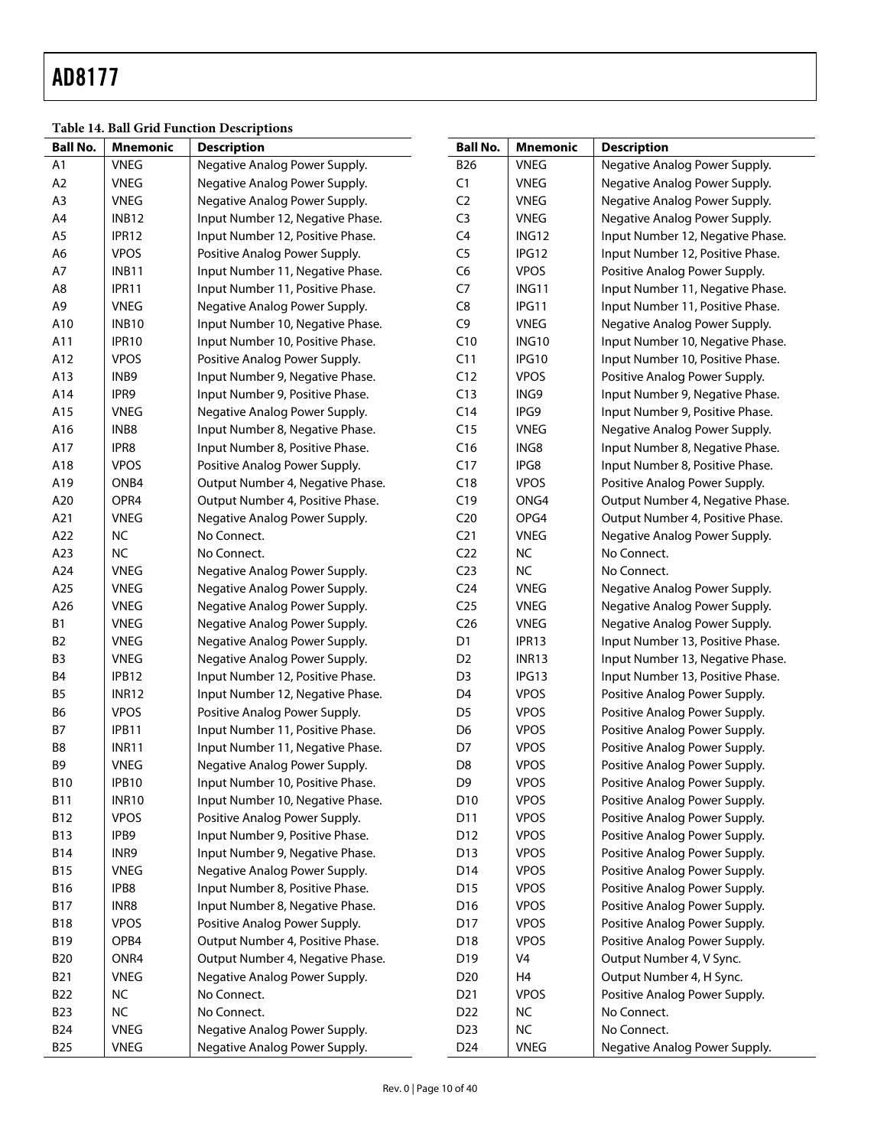### **Table 14. Ball Grid Function Descriptions**

| <b>Ball No.</b> | <b>Mnemonic</b> | <b>Description</b>               | <b>Ball No.</b> | <b>Mnemonic</b> | <b>Description</b>               |
|-----------------|-----------------|----------------------------------|-----------------|-----------------|----------------------------------|
| A1              | <b>VNEG</b>     | Negative Analog Power Supply.    | <b>B26</b>      | <b>VNEG</b>     | Negative Analog Power Supply.    |
| A2              | <b>VNEG</b>     | Negative Analog Power Supply.    | C1              | <b>VNEG</b>     | Negative Analog Power Supply.    |
| A <sub>3</sub>  | <b>VNEG</b>     | Negative Analog Power Supply.    | C <sub>2</sub>  | <b>VNEG</b>     | Negative Analog Power Supply.    |
| A4              | <b>INB12</b>    | Input Number 12, Negative Phase. | C <sub>3</sub>  | <b>VNEG</b>     | Negative Analog Power Supply.    |
| A5              | IPR12           | Input Number 12, Positive Phase. | C <sub>4</sub>  | ING12           | Input Number 12, Negative Phase. |
| A6              | <b>VPOS</b>     | Positive Analog Power Supply.    | C <sub>5</sub>  | IPG12           | Input Number 12, Positive Phase. |
| A7              | <b>INB11</b>    | Input Number 11, Negative Phase. | C6              | <b>VPOS</b>     | Positive Analog Power Supply.    |
| A8              | IPR11           | Input Number 11, Positive Phase. | C7              | ING11           | Input Number 11, Negative Phase. |
| A9              | <b>VNEG</b>     | Negative Analog Power Supply.    | C8              | IPG11           | Input Number 11, Positive Phase. |
| A10             | <b>INB10</b>    | Input Number 10, Negative Phase. | C <sub>9</sub>  | <b>VNEG</b>     | Negative Analog Power Supply.    |
| A11             | IPR10           | Input Number 10, Positive Phase. | C10             | <b>ING10</b>    | Input Number 10, Negative Phase. |
| A12             | <b>VPOS</b>     | Positive Analog Power Supply.    | C11             | IPG10           | Input Number 10, Positive Phase. |
| A13             | INB9            | Input Number 9, Negative Phase.  | C12             | <b>VPOS</b>     | Positive Analog Power Supply.    |
| A14             | IPR9            | Input Number 9, Positive Phase.  | C13             | ING9            | Input Number 9, Negative Phase.  |
| A15             | <b>VNEG</b>     | Negative Analog Power Supply.    | C14             | IPG9            | Input Number 9, Positive Phase.  |
| A16             | INB8            | Input Number 8, Negative Phase.  | C15             | <b>VNEG</b>     | Negative Analog Power Supply.    |
| A17             | IPR8            | Input Number 8, Positive Phase.  | C16             | ING8            | Input Number 8, Negative Phase.  |
| A18             | <b>VPOS</b>     | Positive Analog Power Supply.    | C17             | IPG8            | Input Number 8, Positive Phase.  |
| A19             | ONB4            | Output Number 4, Negative Phase. | C18             | <b>VPOS</b>     | Positive Analog Power Supply.    |
| A20             | OPR4            | Output Number 4, Positive Phase. | C19             | ONG4            | Output Number 4, Negative Phase. |
| A21             | <b>VNEG</b>     | Negative Analog Power Supply.    | C <sub>20</sub> | OPG4            | Output Number 4, Positive Phase. |
| A22             | <b>NC</b>       | No Connect.                      | C <sub>21</sub> | <b>VNEG</b>     | Negative Analog Power Supply.    |
| A23             | <b>NC</b>       | No Connect.                      | C <sub>22</sub> | <b>NC</b>       | No Connect.                      |
| A24             | <b>VNEG</b>     | Negative Analog Power Supply.    | C <sub>23</sub> | <b>NC</b>       | No Connect.                      |
| A25             | <b>VNEG</b>     | Negative Analog Power Supply.    | C <sub>24</sub> | <b>VNEG</b>     | Negative Analog Power Supply.    |
| A26             | <b>VNEG</b>     | Negative Analog Power Supply.    | C <sub>25</sub> | <b>VNEG</b>     | Negative Analog Power Supply.    |
| B1              | <b>VNEG</b>     | Negative Analog Power Supply.    | C <sub>26</sub> | <b>VNEG</b>     | Negative Analog Power Supply.    |
| B <sub>2</sub>  | <b>VNEG</b>     | Negative Analog Power Supply.    | D <sub>1</sub>  | IPR13           | Input Number 13, Positive Phase. |
| B <sub>3</sub>  | <b>VNEG</b>     | Negative Analog Power Supply.    | D <sub>2</sub>  | <b>INR13</b>    | Input Number 13, Negative Phase. |
| B4              | IPB12           | Input Number 12, Positive Phase. | D <sub>3</sub>  | IPG13           | Input Number 13, Positive Phase. |
| B <sub>5</sub>  | <b>INR12</b>    | Input Number 12, Negative Phase. | D <sub>4</sub>  | <b>VPOS</b>     | Positive Analog Power Supply.    |
| B6              | <b>VPOS</b>     | Positive Analog Power Supply.    | D <sub>5</sub>  | <b>VPOS</b>     | Positive Analog Power Supply.    |
| <b>B7</b>       | IPB11           | Input Number 11, Positive Phase. | D <sub>6</sub>  | <b>VPOS</b>     | Positive Analog Power Supply.    |
| B8              | <b>INR11</b>    | Input Number 11, Negative Phase. | D7              | <b>VPOS</b>     | Positive Analog Power Supply.    |
| B9              | <b>VNEG</b>     | Negative Analog Power Supply.    | D <sub>8</sub>  | <b>VPOS</b>     | Positive Analog Power Supply.    |
| <b>B10</b>      | IPB10           | Input Number 10, Positive Phase. | D <sub>9</sub>  | <b>VPOS</b>     | Positive Analog Power Supply.    |
| <b>B11</b>      | <b>INR10</b>    | Input Number 10, Negative Phase. | D <sub>10</sub> | <b>VPOS</b>     | Positive Analog Power Supply.    |
| <b>B12</b>      | <b>VPOS</b>     | Positive Analog Power Supply.    | D11             | <b>VPOS</b>     | Positive Analog Power Supply.    |
| <b>B13</b>      | IPB9            | Input Number 9, Positive Phase.  | D12             | <b>VPOS</b>     | Positive Analog Power Supply.    |
| <b>B14</b>      | INR9            | Input Number 9, Negative Phase.  | D13             | <b>VPOS</b>     | Positive Analog Power Supply.    |
| <b>B15</b>      | <b>VNEG</b>     | Negative Analog Power Supply.    | D14             | <b>VPOS</b>     | Positive Analog Power Supply.    |
| <b>B16</b>      | IPB8            | Input Number 8, Positive Phase.  | D15             | <b>VPOS</b>     | Positive Analog Power Supply.    |
| <b>B17</b>      | INR8            | Input Number 8, Negative Phase.  | D16             | <b>VPOS</b>     | Positive Analog Power Supply.    |
| <b>B18</b>      | <b>VPOS</b>     | Positive Analog Power Supply.    | D17             | <b>VPOS</b>     | Positive Analog Power Supply.    |
| <b>B19</b>      | OPB4            | Output Number 4, Positive Phase. | D18             | <b>VPOS</b>     | Positive Analog Power Supply.    |
| <b>B20</b>      | ONR4            | Output Number 4, Negative Phase. | D19             | V4              | Output Number 4, V Sync.         |
| <b>B21</b>      | <b>VNEG</b>     | Negative Analog Power Supply.    | D <sub>20</sub> | H4              | Output Number 4, H Sync.         |
| <b>B22</b>      | NC              | No Connect.                      | D <sub>21</sub> | <b>VPOS</b>     | Positive Analog Power Supply.    |
| <b>B23</b>      | NC              | No Connect.                      | D <sub>22</sub> | <b>NC</b>       | No Connect.                      |
| <b>B24</b>      | <b>VNEG</b>     | Negative Analog Power Supply.    | D23             | <b>NC</b>       | No Connect.                      |
| <b>B25</b>      | <b>VNEG</b>     | Negative Analog Power Supply.    | D24             | <b>VNEG</b>     | Negative Analog Power Supply.    |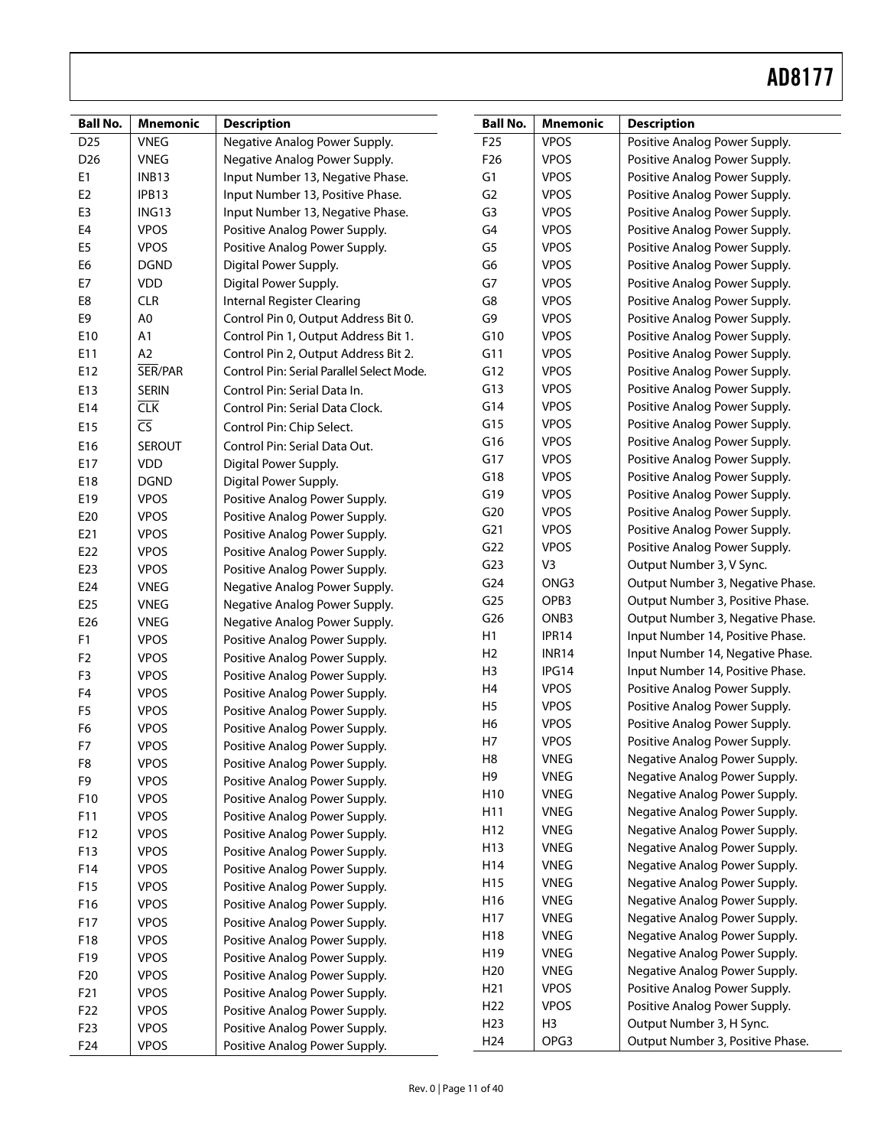| <b>VNEG</b><br>Negative Analog Power Supply.<br>VPOS<br>Positive Analog Power Supply.<br>D <sub>25</sub><br>F <sub>25</sub><br>VPOS<br>D <sub>26</sub><br><b>VNEG</b><br>F <sub>26</sub><br>Negative Analog Power Supply.<br>Positive Analog Power Supply.<br>G1<br>VPOS<br>E1<br><b>INB13</b><br>Input Number 13, Negative Phase.<br>Positive Analog Power Supply.<br>E <sub>2</sub><br>G <sub>2</sub><br>VPOS<br>IPB13<br>Input Number 13, Positive Phase.<br>Positive Analog Power Supply.<br>E3<br>G3<br>VPOS<br>ING13<br>Input Number 13, Negative Phase.<br>Positive Analog Power Supply.<br>E4<br><b>VPOS</b><br>G4<br>VPOS<br>Positive Analog Power Supply.<br>Positive Analog Power Supply.<br>E <sub>5</sub><br><b>VPOS</b><br>G <sub>5</sub><br>VPOS<br>Positive Analog Power Supply.<br>Positive Analog Power Supply.<br>E6<br><b>VPOS</b><br><b>DGND</b><br>Digital Power Supply.<br>G6<br>Positive Analog Power Supply.<br>E7<br>G7<br><b>VPOS</b><br><b>VDD</b><br>Digital Power Supply.<br>Positive Analog Power Supply.<br>VPOS<br>E8<br><b>CLR</b><br><b>Internal Register Clearing</b><br>G8<br>Positive Analog Power Supply.<br>E9<br><b>VPOS</b><br>A0<br>Control Pin 0, Output Address Bit 0.<br>G9<br>Positive Analog Power Supply.<br>E10<br>A1<br>G10<br><b>VPOS</b><br>Control Pin 1, Output Address Bit 1.<br>Positive Analog Power Supply.<br>E11<br><b>VPOS</b><br>A <sub>2</sub><br>Control Pin 2, Output Address Bit 2.<br>G11<br>Positive Analog Power Supply.<br>SER/PAR<br>E12<br>Control Pin: Serial Parallel Select Mode.<br>G12<br><b>VPOS</b><br>Positive Analog Power Supply.<br><b>VPOS</b><br>G13<br>Positive Analog Power Supply.<br>E13<br><b>SERIN</b><br>Control Pin: Serial Data In.<br>G14<br><b>VPOS</b><br><b>CLK</b><br>Positive Analog Power Supply.<br>Control Pin: Serial Data Clock.<br>E14<br>G15<br><b>VPOS</b><br>Positive Analog Power Supply.<br>$\overline{\text{CS}}$<br>Control Pin: Chip Select.<br>E15<br><b>VPOS</b><br>G16<br>Positive Analog Power Supply.<br>E16<br><b>SEROUT</b><br>Control Pin: Serial Data Out.<br>G17<br><b>VPOS</b><br>Positive Analog Power Supply.<br>E17<br><b>VDD</b><br>Digital Power Supply.<br>G18<br><b>VPOS</b><br>Positive Analog Power Supply.<br>E18<br><b>DGND</b><br>Digital Power Supply.<br>G19<br><b>VPOS</b><br>Positive Analog Power Supply.<br>E19<br><b>VPOS</b><br>Positive Analog Power Supply.<br>G20<br><b>VPOS</b><br>Positive Analog Power Supply.<br>E20<br><b>VPOS</b><br>Positive Analog Power Supply.<br><b>VPOS</b><br>G21<br>Positive Analog Power Supply.<br>E21<br><b>VPOS</b><br>Positive Analog Power Supply.<br><b>VPOS</b><br>G22<br>Positive Analog Power Supply.<br>E22<br><b>VPOS</b><br>Positive Analog Power Supply.<br>G <sub>23</sub><br>V3<br>Output Number 3, V Sync.<br>E23<br><b>VPOS</b><br>Positive Analog Power Supply.<br>G <sub>24</sub><br>ONG3<br>Output Number 3, Negative Phase.<br>E24<br><b>VNEG</b><br>Negative Analog Power Supply.<br>G <sub>25</sub><br>OPB3<br>Output Number 3, Positive Phase.<br>E25<br><b>VNEG</b><br>Negative Analog Power Supply.<br>ONB3<br>G <sub>26</sub><br>Output Number 3, Negative Phase.<br>E26<br><b>VNEG</b><br>Negative Analog Power Supply.<br>H1<br>IPR14<br>Input Number 14, Positive Phase.<br>F1<br><b>VPOS</b><br>Positive Analog Power Supply.<br><b>INR14</b><br>H <sub>2</sub><br>Input Number 14, Negative Phase.<br>F <sub>2</sub><br><b>VPOS</b><br>Positive Analog Power Supply.<br>IPG14<br>H <sub>3</sub><br>Input Number 14, Positive Phase.<br>F <sub>3</sub><br><b>VPOS</b><br>Positive Analog Power Supply.<br><b>VPOS</b><br>H <sub>4</sub><br>Positive Analog Power Supply.<br>F4<br><b>VPOS</b><br>Positive Analog Power Supply.<br>VPOS<br>H <sub>5</sub><br>Positive Analog Power Supply.<br>F <sub>5</sub><br><b>VPOS</b><br>Positive Analog Power Supply.<br>VPOS<br>H <sub>6</sub><br>Positive Analog Power Supply.<br>F <sub>6</sub><br><b>VPOS</b><br>Positive Analog Power Supply.<br>H7<br><b>VPOS</b><br>Positive Analog Power Supply.<br>F7<br><b>VPOS</b><br>Positive Analog Power Supply.<br>H <sub>8</sub><br><b>VNEG</b><br>Negative Analog Power Supply.<br><b>VPOS</b><br>Positive Analog Power Supply.<br>F8<br>H <sub>9</sub><br><b>VNEG</b><br>Negative Analog Power Supply.<br>F9<br><b>VPOS</b><br>Positive Analog Power Supply.<br><b>VNEG</b><br>Negative Analog Power Supply.<br>H <sub>10</sub><br>F10<br><b>VPOS</b><br>Positive Analog Power Supply.<br><b>VNEG</b><br>Negative Analog Power Supply.<br>H11<br>F11<br><b>VPOS</b><br>Positive Analog Power Supply.<br><b>VNEG</b><br>Negative Analog Power Supply.<br>H <sub>12</sub><br>F12<br><b>VPOS</b><br>Positive Analog Power Supply.<br><b>VNEG</b><br>Negative Analog Power Supply.<br>H13<br>F13<br><b>VPOS</b><br>Positive Analog Power Supply.<br><b>VNEG</b><br>H14<br>Negative Analog Power Supply.<br><b>VPOS</b><br>F14<br>Positive Analog Power Supply.<br><b>VNEG</b><br>Negative Analog Power Supply.<br>H15<br>VPOS<br>Positive Analog Power Supply.<br>F15<br><b>VNEG</b><br>Negative Analog Power Supply.<br>H16<br>F16<br><b>VPOS</b><br>Positive Analog Power Supply.<br><b>VNEG</b><br>Negative Analog Power Supply.<br>H17<br>F17<br>VPOS<br>Positive Analog Power Supply.<br><b>VNEG</b><br>Negative Analog Power Supply.<br>H18<br>F18<br>VPOS<br>Positive Analog Power Supply.<br><b>VNEG</b><br>Negative Analog Power Supply.<br>H19<br><b>VPOS</b><br>Positive Analog Power Supply.<br>F19<br><b>VNEG</b><br>Negative Analog Power Supply.<br>H <sub>20</sub><br>VPOS<br>Positive Analog Power Supply.<br>F <sub>20</sub><br>VPOS<br>Positive Analog Power Supply.<br>H <sub>21</sub><br>VPOS<br>Positive Analog Power Supply.<br>F21<br>VPOS<br>Positive Analog Power Supply.<br>H <sub>22</sub><br><b>VPOS</b><br>Positive Analog Power Supply.<br>F <sub>22</sub><br>H <sub>23</sub><br>Output Number 3, H Sync.<br>H <sub>3</sub><br>F <sub>23</sub><br><b>VPOS</b><br>Positive Analog Power Supply.<br>OPG3<br>Output Number 3, Positive Phase.<br>H <sub>24</sub><br>Positive Analog Power Supply.<br>F24<br><b>VPOS</b> |                 |                 |                    |                 |                 |                    |
|------------------------------------------------------------------------------------------------------------------------------------------------------------------------------------------------------------------------------------------------------------------------------------------------------------------------------------------------------------------------------------------------------------------------------------------------------------------------------------------------------------------------------------------------------------------------------------------------------------------------------------------------------------------------------------------------------------------------------------------------------------------------------------------------------------------------------------------------------------------------------------------------------------------------------------------------------------------------------------------------------------------------------------------------------------------------------------------------------------------------------------------------------------------------------------------------------------------------------------------------------------------------------------------------------------------------------------------------------------------------------------------------------------------------------------------------------------------------------------------------------------------------------------------------------------------------------------------------------------------------------------------------------------------------------------------------------------------------------------------------------------------------------------------------------------------------------------------------------------------------------------------------------------------------------------------------------------------------------------------------------------------------------------------------------------------------------------------------------------------------------------------------------------------------------------------------------------------------------------------------------------------------------------------------------------------------------------------------------------------------------------------------------------------------------------------------------------------------------------------------------------------------------------------------------------------------------------------------------------------------------------------------------------------------------------------------------------------------------------------------------------------------------------------------------------------------------------------------------------------------------------------------------------------------------------------------------------------------------------------------------------------------------------------------------------------------------------------------------------------------------------------------------------------------------------------------------------------------------------------------------------------------------------------------------------------------------------------------------------------------------------------------------------------------------------------------------------------------------------------------------------------------------------------------------------------------------------------------------------------------------------------------------------------------------------------------------------------------------------------------------------------------------------------------------------------------------------------------------------------------------------------------------------------------------------------------------------------------------------------------------------------------------------------------------------------------------------------------------------------------------------------------------------------------------------------------------------------------------------------------------------------------------------------------------------------------------------------------------------------------------------------------------------------------------------------------------------------------------------------------------------------------------------------------------------------------------------------------------------------------------------------------------------------------------------------------------------------------------------------------------------------------------------------------------------------------------------------------------------------------------------------------------------------------------------------------------------------------------------------------------------------------------------------------------------------------------------------------------------------------------------------------------------------------------------------------------------------------------------------------------------------------------------------------------------------------------------------------------------------------------------------------------------------------------------------------------------------------------------------------------------------------------------------------------------------------------------------------------------------------------------------------------------------------------------------------------------------------------------------------------------------------------------------------------------------------------------------------------------------------------------------------------------------------------------------------------------------------------------------------------------------------------------------------------------------------------------------------------------------------------------------------------------|-----------------|-----------------|--------------------|-----------------|-----------------|--------------------|
|                                                                                                                                                                                                                                                                                                                                                                                                                                                                                                                                                                                                                                                                                                                                                                                                                                                                                                                                                                                                                                                                                                                                                                                                                                                                                                                                                                                                                                                                                                                                                                                                                                                                                                                                                                                                                                                                                                                                                                                                                                                                                                                                                                                                                                                                                                                                                                                                                                                                                                                                                                                                                                                                                                                                                                                                                                                                                                                                                                                                                                                                                                                                                                                                                                                                                                                                                                                                                                                                                                                                                                                                                                                                                                                                                                                                                                                                                                                                                                                                                                                                                                                                                                                                                                                                                                                                                                                                                                                                                                                                                                                                                                                                                                                                                                                                                                                                                                                                                                                                                                                                                                                                                                                                                                                                                                                                                                                                                                                                                                                                                                                                                                                                                                                                                                                                                                                                                                                                                                                                                                                                                                                                                            | <b>Ball No.</b> | <b>Mnemonic</b> | <b>Description</b> | <b>Ball No.</b> | <b>Mnemonic</b> | <b>Description</b> |
|                                                                                                                                                                                                                                                                                                                                                                                                                                                                                                                                                                                                                                                                                                                                                                                                                                                                                                                                                                                                                                                                                                                                                                                                                                                                                                                                                                                                                                                                                                                                                                                                                                                                                                                                                                                                                                                                                                                                                                                                                                                                                                                                                                                                                                                                                                                                                                                                                                                                                                                                                                                                                                                                                                                                                                                                                                                                                                                                                                                                                                                                                                                                                                                                                                                                                                                                                                                                                                                                                                                                                                                                                                                                                                                                                                                                                                                                                                                                                                                                                                                                                                                                                                                                                                                                                                                                                                                                                                                                                                                                                                                                                                                                                                                                                                                                                                                                                                                                                                                                                                                                                                                                                                                                                                                                                                                                                                                                                                                                                                                                                                                                                                                                                                                                                                                                                                                                                                                                                                                                                                                                                                                                                            |                 |                 |                    |                 |                 |                    |
|                                                                                                                                                                                                                                                                                                                                                                                                                                                                                                                                                                                                                                                                                                                                                                                                                                                                                                                                                                                                                                                                                                                                                                                                                                                                                                                                                                                                                                                                                                                                                                                                                                                                                                                                                                                                                                                                                                                                                                                                                                                                                                                                                                                                                                                                                                                                                                                                                                                                                                                                                                                                                                                                                                                                                                                                                                                                                                                                                                                                                                                                                                                                                                                                                                                                                                                                                                                                                                                                                                                                                                                                                                                                                                                                                                                                                                                                                                                                                                                                                                                                                                                                                                                                                                                                                                                                                                                                                                                                                                                                                                                                                                                                                                                                                                                                                                                                                                                                                                                                                                                                                                                                                                                                                                                                                                                                                                                                                                                                                                                                                                                                                                                                                                                                                                                                                                                                                                                                                                                                                                                                                                                                                            |                 |                 |                    |                 |                 |                    |
|                                                                                                                                                                                                                                                                                                                                                                                                                                                                                                                                                                                                                                                                                                                                                                                                                                                                                                                                                                                                                                                                                                                                                                                                                                                                                                                                                                                                                                                                                                                                                                                                                                                                                                                                                                                                                                                                                                                                                                                                                                                                                                                                                                                                                                                                                                                                                                                                                                                                                                                                                                                                                                                                                                                                                                                                                                                                                                                                                                                                                                                                                                                                                                                                                                                                                                                                                                                                                                                                                                                                                                                                                                                                                                                                                                                                                                                                                                                                                                                                                                                                                                                                                                                                                                                                                                                                                                                                                                                                                                                                                                                                                                                                                                                                                                                                                                                                                                                                                                                                                                                                                                                                                                                                                                                                                                                                                                                                                                                                                                                                                                                                                                                                                                                                                                                                                                                                                                                                                                                                                                                                                                                                                            |                 |                 |                    |                 |                 |                    |
|                                                                                                                                                                                                                                                                                                                                                                                                                                                                                                                                                                                                                                                                                                                                                                                                                                                                                                                                                                                                                                                                                                                                                                                                                                                                                                                                                                                                                                                                                                                                                                                                                                                                                                                                                                                                                                                                                                                                                                                                                                                                                                                                                                                                                                                                                                                                                                                                                                                                                                                                                                                                                                                                                                                                                                                                                                                                                                                                                                                                                                                                                                                                                                                                                                                                                                                                                                                                                                                                                                                                                                                                                                                                                                                                                                                                                                                                                                                                                                                                                                                                                                                                                                                                                                                                                                                                                                                                                                                                                                                                                                                                                                                                                                                                                                                                                                                                                                                                                                                                                                                                                                                                                                                                                                                                                                                                                                                                                                                                                                                                                                                                                                                                                                                                                                                                                                                                                                                                                                                                                                                                                                                                                            |                 |                 |                    |                 |                 |                    |
|                                                                                                                                                                                                                                                                                                                                                                                                                                                                                                                                                                                                                                                                                                                                                                                                                                                                                                                                                                                                                                                                                                                                                                                                                                                                                                                                                                                                                                                                                                                                                                                                                                                                                                                                                                                                                                                                                                                                                                                                                                                                                                                                                                                                                                                                                                                                                                                                                                                                                                                                                                                                                                                                                                                                                                                                                                                                                                                                                                                                                                                                                                                                                                                                                                                                                                                                                                                                                                                                                                                                                                                                                                                                                                                                                                                                                                                                                                                                                                                                                                                                                                                                                                                                                                                                                                                                                                                                                                                                                                                                                                                                                                                                                                                                                                                                                                                                                                                                                                                                                                                                                                                                                                                                                                                                                                                                                                                                                                                                                                                                                                                                                                                                                                                                                                                                                                                                                                                                                                                                                                                                                                                                                            |                 |                 |                    |                 |                 |                    |
|                                                                                                                                                                                                                                                                                                                                                                                                                                                                                                                                                                                                                                                                                                                                                                                                                                                                                                                                                                                                                                                                                                                                                                                                                                                                                                                                                                                                                                                                                                                                                                                                                                                                                                                                                                                                                                                                                                                                                                                                                                                                                                                                                                                                                                                                                                                                                                                                                                                                                                                                                                                                                                                                                                                                                                                                                                                                                                                                                                                                                                                                                                                                                                                                                                                                                                                                                                                                                                                                                                                                                                                                                                                                                                                                                                                                                                                                                                                                                                                                                                                                                                                                                                                                                                                                                                                                                                                                                                                                                                                                                                                                                                                                                                                                                                                                                                                                                                                                                                                                                                                                                                                                                                                                                                                                                                                                                                                                                                                                                                                                                                                                                                                                                                                                                                                                                                                                                                                                                                                                                                                                                                                                                            |                 |                 |                    |                 |                 |                    |
|                                                                                                                                                                                                                                                                                                                                                                                                                                                                                                                                                                                                                                                                                                                                                                                                                                                                                                                                                                                                                                                                                                                                                                                                                                                                                                                                                                                                                                                                                                                                                                                                                                                                                                                                                                                                                                                                                                                                                                                                                                                                                                                                                                                                                                                                                                                                                                                                                                                                                                                                                                                                                                                                                                                                                                                                                                                                                                                                                                                                                                                                                                                                                                                                                                                                                                                                                                                                                                                                                                                                                                                                                                                                                                                                                                                                                                                                                                                                                                                                                                                                                                                                                                                                                                                                                                                                                                                                                                                                                                                                                                                                                                                                                                                                                                                                                                                                                                                                                                                                                                                                                                                                                                                                                                                                                                                                                                                                                                                                                                                                                                                                                                                                                                                                                                                                                                                                                                                                                                                                                                                                                                                                                            |                 |                 |                    |                 |                 |                    |
|                                                                                                                                                                                                                                                                                                                                                                                                                                                                                                                                                                                                                                                                                                                                                                                                                                                                                                                                                                                                                                                                                                                                                                                                                                                                                                                                                                                                                                                                                                                                                                                                                                                                                                                                                                                                                                                                                                                                                                                                                                                                                                                                                                                                                                                                                                                                                                                                                                                                                                                                                                                                                                                                                                                                                                                                                                                                                                                                                                                                                                                                                                                                                                                                                                                                                                                                                                                                                                                                                                                                                                                                                                                                                                                                                                                                                                                                                                                                                                                                                                                                                                                                                                                                                                                                                                                                                                                                                                                                                                                                                                                                                                                                                                                                                                                                                                                                                                                                                                                                                                                                                                                                                                                                                                                                                                                                                                                                                                                                                                                                                                                                                                                                                                                                                                                                                                                                                                                                                                                                                                                                                                                                                            |                 |                 |                    |                 |                 |                    |
|                                                                                                                                                                                                                                                                                                                                                                                                                                                                                                                                                                                                                                                                                                                                                                                                                                                                                                                                                                                                                                                                                                                                                                                                                                                                                                                                                                                                                                                                                                                                                                                                                                                                                                                                                                                                                                                                                                                                                                                                                                                                                                                                                                                                                                                                                                                                                                                                                                                                                                                                                                                                                                                                                                                                                                                                                                                                                                                                                                                                                                                                                                                                                                                                                                                                                                                                                                                                                                                                                                                                                                                                                                                                                                                                                                                                                                                                                                                                                                                                                                                                                                                                                                                                                                                                                                                                                                                                                                                                                                                                                                                                                                                                                                                                                                                                                                                                                                                                                                                                                                                                                                                                                                                                                                                                                                                                                                                                                                                                                                                                                                                                                                                                                                                                                                                                                                                                                                                                                                                                                                                                                                                                                            |                 |                 |                    |                 |                 |                    |
|                                                                                                                                                                                                                                                                                                                                                                                                                                                                                                                                                                                                                                                                                                                                                                                                                                                                                                                                                                                                                                                                                                                                                                                                                                                                                                                                                                                                                                                                                                                                                                                                                                                                                                                                                                                                                                                                                                                                                                                                                                                                                                                                                                                                                                                                                                                                                                                                                                                                                                                                                                                                                                                                                                                                                                                                                                                                                                                                                                                                                                                                                                                                                                                                                                                                                                                                                                                                                                                                                                                                                                                                                                                                                                                                                                                                                                                                                                                                                                                                                                                                                                                                                                                                                                                                                                                                                                                                                                                                                                                                                                                                                                                                                                                                                                                                                                                                                                                                                                                                                                                                                                                                                                                                                                                                                                                                                                                                                                                                                                                                                                                                                                                                                                                                                                                                                                                                                                                                                                                                                                                                                                                                                            |                 |                 |                    |                 |                 |                    |
|                                                                                                                                                                                                                                                                                                                                                                                                                                                                                                                                                                                                                                                                                                                                                                                                                                                                                                                                                                                                                                                                                                                                                                                                                                                                                                                                                                                                                                                                                                                                                                                                                                                                                                                                                                                                                                                                                                                                                                                                                                                                                                                                                                                                                                                                                                                                                                                                                                                                                                                                                                                                                                                                                                                                                                                                                                                                                                                                                                                                                                                                                                                                                                                                                                                                                                                                                                                                                                                                                                                                                                                                                                                                                                                                                                                                                                                                                                                                                                                                                                                                                                                                                                                                                                                                                                                                                                                                                                                                                                                                                                                                                                                                                                                                                                                                                                                                                                                                                                                                                                                                                                                                                                                                                                                                                                                                                                                                                                                                                                                                                                                                                                                                                                                                                                                                                                                                                                                                                                                                                                                                                                                                                            |                 |                 |                    |                 |                 |                    |
|                                                                                                                                                                                                                                                                                                                                                                                                                                                                                                                                                                                                                                                                                                                                                                                                                                                                                                                                                                                                                                                                                                                                                                                                                                                                                                                                                                                                                                                                                                                                                                                                                                                                                                                                                                                                                                                                                                                                                                                                                                                                                                                                                                                                                                                                                                                                                                                                                                                                                                                                                                                                                                                                                                                                                                                                                                                                                                                                                                                                                                                                                                                                                                                                                                                                                                                                                                                                                                                                                                                                                                                                                                                                                                                                                                                                                                                                                                                                                                                                                                                                                                                                                                                                                                                                                                                                                                                                                                                                                                                                                                                                                                                                                                                                                                                                                                                                                                                                                                                                                                                                                                                                                                                                                                                                                                                                                                                                                                                                                                                                                                                                                                                                                                                                                                                                                                                                                                                                                                                                                                                                                                                                                            |                 |                 |                    |                 |                 |                    |
|                                                                                                                                                                                                                                                                                                                                                                                                                                                                                                                                                                                                                                                                                                                                                                                                                                                                                                                                                                                                                                                                                                                                                                                                                                                                                                                                                                                                                                                                                                                                                                                                                                                                                                                                                                                                                                                                                                                                                                                                                                                                                                                                                                                                                                                                                                                                                                                                                                                                                                                                                                                                                                                                                                                                                                                                                                                                                                                                                                                                                                                                                                                                                                                                                                                                                                                                                                                                                                                                                                                                                                                                                                                                                                                                                                                                                                                                                                                                                                                                                                                                                                                                                                                                                                                                                                                                                                                                                                                                                                                                                                                                                                                                                                                                                                                                                                                                                                                                                                                                                                                                                                                                                                                                                                                                                                                                                                                                                                                                                                                                                                                                                                                                                                                                                                                                                                                                                                                                                                                                                                                                                                                                                            |                 |                 |                    |                 |                 |                    |
|                                                                                                                                                                                                                                                                                                                                                                                                                                                                                                                                                                                                                                                                                                                                                                                                                                                                                                                                                                                                                                                                                                                                                                                                                                                                                                                                                                                                                                                                                                                                                                                                                                                                                                                                                                                                                                                                                                                                                                                                                                                                                                                                                                                                                                                                                                                                                                                                                                                                                                                                                                                                                                                                                                                                                                                                                                                                                                                                                                                                                                                                                                                                                                                                                                                                                                                                                                                                                                                                                                                                                                                                                                                                                                                                                                                                                                                                                                                                                                                                                                                                                                                                                                                                                                                                                                                                                                                                                                                                                                                                                                                                                                                                                                                                                                                                                                                                                                                                                                                                                                                                                                                                                                                                                                                                                                                                                                                                                                                                                                                                                                                                                                                                                                                                                                                                                                                                                                                                                                                                                                                                                                                                                            |                 |                 |                    |                 |                 |                    |
|                                                                                                                                                                                                                                                                                                                                                                                                                                                                                                                                                                                                                                                                                                                                                                                                                                                                                                                                                                                                                                                                                                                                                                                                                                                                                                                                                                                                                                                                                                                                                                                                                                                                                                                                                                                                                                                                                                                                                                                                                                                                                                                                                                                                                                                                                                                                                                                                                                                                                                                                                                                                                                                                                                                                                                                                                                                                                                                                                                                                                                                                                                                                                                                                                                                                                                                                                                                                                                                                                                                                                                                                                                                                                                                                                                                                                                                                                                                                                                                                                                                                                                                                                                                                                                                                                                                                                                                                                                                                                                                                                                                                                                                                                                                                                                                                                                                                                                                                                                                                                                                                                                                                                                                                                                                                                                                                                                                                                                                                                                                                                                                                                                                                                                                                                                                                                                                                                                                                                                                                                                                                                                                                                            |                 |                 |                    |                 |                 |                    |
|                                                                                                                                                                                                                                                                                                                                                                                                                                                                                                                                                                                                                                                                                                                                                                                                                                                                                                                                                                                                                                                                                                                                                                                                                                                                                                                                                                                                                                                                                                                                                                                                                                                                                                                                                                                                                                                                                                                                                                                                                                                                                                                                                                                                                                                                                                                                                                                                                                                                                                                                                                                                                                                                                                                                                                                                                                                                                                                                                                                                                                                                                                                                                                                                                                                                                                                                                                                                                                                                                                                                                                                                                                                                                                                                                                                                                                                                                                                                                                                                                                                                                                                                                                                                                                                                                                                                                                                                                                                                                                                                                                                                                                                                                                                                                                                                                                                                                                                                                                                                                                                                                                                                                                                                                                                                                                                                                                                                                                                                                                                                                                                                                                                                                                                                                                                                                                                                                                                                                                                                                                                                                                                                                            |                 |                 |                    |                 |                 |                    |
|                                                                                                                                                                                                                                                                                                                                                                                                                                                                                                                                                                                                                                                                                                                                                                                                                                                                                                                                                                                                                                                                                                                                                                                                                                                                                                                                                                                                                                                                                                                                                                                                                                                                                                                                                                                                                                                                                                                                                                                                                                                                                                                                                                                                                                                                                                                                                                                                                                                                                                                                                                                                                                                                                                                                                                                                                                                                                                                                                                                                                                                                                                                                                                                                                                                                                                                                                                                                                                                                                                                                                                                                                                                                                                                                                                                                                                                                                                                                                                                                                                                                                                                                                                                                                                                                                                                                                                                                                                                                                                                                                                                                                                                                                                                                                                                                                                                                                                                                                                                                                                                                                                                                                                                                                                                                                                                                                                                                                                                                                                                                                                                                                                                                                                                                                                                                                                                                                                                                                                                                                                                                                                                                                            |                 |                 |                    |                 |                 |                    |
|                                                                                                                                                                                                                                                                                                                                                                                                                                                                                                                                                                                                                                                                                                                                                                                                                                                                                                                                                                                                                                                                                                                                                                                                                                                                                                                                                                                                                                                                                                                                                                                                                                                                                                                                                                                                                                                                                                                                                                                                                                                                                                                                                                                                                                                                                                                                                                                                                                                                                                                                                                                                                                                                                                                                                                                                                                                                                                                                                                                                                                                                                                                                                                                                                                                                                                                                                                                                                                                                                                                                                                                                                                                                                                                                                                                                                                                                                                                                                                                                                                                                                                                                                                                                                                                                                                                                                                                                                                                                                                                                                                                                                                                                                                                                                                                                                                                                                                                                                                                                                                                                                                                                                                                                                                                                                                                                                                                                                                                                                                                                                                                                                                                                                                                                                                                                                                                                                                                                                                                                                                                                                                                                                            |                 |                 |                    |                 |                 |                    |
|                                                                                                                                                                                                                                                                                                                                                                                                                                                                                                                                                                                                                                                                                                                                                                                                                                                                                                                                                                                                                                                                                                                                                                                                                                                                                                                                                                                                                                                                                                                                                                                                                                                                                                                                                                                                                                                                                                                                                                                                                                                                                                                                                                                                                                                                                                                                                                                                                                                                                                                                                                                                                                                                                                                                                                                                                                                                                                                                                                                                                                                                                                                                                                                                                                                                                                                                                                                                                                                                                                                                                                                                                                                                                                                                                                                                                                                                                                                                                                                                                                                                                                                                                                                                                                                                                                                                                                                                                                                                                                                                                                                                                                                                                                                                                                                                                                                                                                                                                                                                                                                                                                                                                                                                                                                                                                                                                                                                                                                                                                                                                                                                                                                                                                                                                                                                                                                                                                                                                                                                                                                                                                                                                            |                 |                 |                    |                 |                 |                    |
|                                                                                                                                                                                                                                                                                                                                                                                                                                                                                                                                                                                                                                                                                                                                                                                                                                                                                                                                                                                                                                                                                                                                                                                                                                                                                                                                                                                                                                                                                                                                                                                                                                                                                                                                                                                                                                                                                                                                                                                                                                                                                                                                                                                                                                                                                                                                                                                                                                                                                                                                                                                                                                                                                                                                                                                                                                                                                                                                                                                                                                                                                                                                                                                                                                                                                                                                                                                                                                                                                                                                                                                                                                                                                                                                                                                                                                                                                                                                                                                                                                                                                                                                                                                                                                                                                                                                                                                                                                                                                                                                                                                                                                                                                                                                                                                                                                                                                                                                                                                                                                                                                                                                                                                                                                                                                                                                                                                                                                                                                                                                                                                                                                                                                                                                                                                                                                                                                                                                                                                                                                                                                                                                                            |                 |                 |                    |                 |                 |                    |
|                                                                                                                                                                                                                                                                                                                                                                                                                                                                                                                                                                                                                                                                                                                                                                                                                                                                                                                                                                                                                                                                                                                                                                                                                                                                                                                                                                                                                                                                                                                                                                                                                                                                                                                                                                                                                                                                                                                                                                                                                                                                                                                                                                                                                                                                                                                                                                                                                                                                                                                                                                                                                                                                                                                                                                                                                                                                                                                                                                                                                                                                                                                                                                                                                                                                                                                                                                                                                                                                                                                                                                                                                                                                                                                                                                                                                                                                                                                                                                                                                                                                                                                                                                                                                                                                                                                                                                                                                                                                                                                                                                                                                                                                                                                                                                                                                                                                                                                                                                                                                                                                                                                                                                                                                                                                                                                                                                                                                                                                                                                                                                                                                                                                                                                                                                                                                                                                                                                                                                                                                                                                                                                                                            |                 |                 |                    |                 |                 |                    |
|                                                                                                                                                                                                                                                                                                                                                                                                                                                                                                                                                                                                                                                                                                                                                                                                                                                                                                                                                                                                                                                                                                                                                                                                                                                                                                                                                                                                                                                                                                                                                                                                                                                                                                                                                                                                                                                                                                                                                                                                                                                                                                                                                                                                                                                                                                                                                                                                                                                                                                                                                                                                                                                                                                                                                                                                                                                                                                                                                                                                                                                                                                                                                                                                                                                                                                                                                                                                                                                                                                                                                                                                                                                                                                                                                                                                                                                                                                                                                                                                                                                                                                                                                                                                                                                                                                                                                                                                                                                                                                                                                                                                                                                                                                                                                                                                                                                                                                                                                                                                                                                                                                                                                                                                                                                                                                                                                                                                                                                                                                                                                                                                                                                                                                                                                                                                                                                                                                                                                                                                                                                                                                                                                            |                 |                 |                    |                 |                 |                    |
|                                                                                                                                                                                                                                                                                                                                                                                                                                                                                                                                                                                                                                                                                                                                                                                                                                                                                                                                                                                                                                                                                                                                                                                                                                                                                                                                                                                                                                                                                                                                                                                                                                                                                                                                                                                                                                                                                                                                                                                                                                                                                                                                                                                                                                                                                                                                                                                                                                                                                                                                                                                                                                                                                                                                                                                                                                                                                                                                                                                                                                                                                                                                                                                                                                                                                                                                                                                                                                                                                                                                                                                                                                                                                                                                                                                                                                                                                                                                                                                                                                                                                                                                                                                                                                                                                                                                                                                                                                                                                                                                                                                                                                                                                                                                                                                                                                                                                                                                                                                                                                                                                                                                                                                                                                                                                                                                                                                                                                                                                                                                                                                                                                                                                                                                                                                                                                                                                                                                                                                                                                                                                                                                                            |                 |                 |                    |                 |                 |                    |
|                                                                                                                                                                                                                                                                                                                                                                                                                                                                                                                                                                                                                                                                                                                                                                                                                                                                                                                                                                                                                                                                                                                                                                                                                                                                                                                                                                                                                                                                                                                                                                                                                                                                                                                                                                                                                                                                                                                                                                                                                                                                                                                                                                                                                                                                                                                                                                                                                                                                                                                                                                                                                                                                                                                                                                                                                                                                                                                                                                                                                                                                                                                                                                                                                                                                                                                                                                                                                                                                                                                                                                                                                                                                                                                                                                                                                                                                                                                                                                                                                                                                                                                                                                                                                                                                                                                                                                                                                                                                                                                                                                                                                                                                                                                                                                                                                                                                                                                                                                                                                                                                                                                                                                                                                                                                                                                                                                                                                                                                                                                                                                                                                                                                                                                                                                                                                                                                                                                                                                                                                                                                                                                                                            |                 |                 |                    |                 |                 |                    |
|                                                                                                                                                                                                                                                                                                                                                                                                                                                                                                                                                                                                                                                                                                                                                                                                                                                                                                                                                                                                                                                                                                                                                                                                                                                                                                                                                                                                                                                                                                                                                                                                                                                                                                                                                                                                                                                                                                                                                                                                                                                                                                                                                                                                                                                                                                                                                                                                                                                                                                                                                                                                                                                                                                                                                                                                                                                                                                                                                                                                                                                                                                                                                                                                                                                                                                                                                                                                                                                                                                                                                                                                                                                                                                                                                                                                                                                                                                                                                                                                                                                                                                                                                                                                                                                                                                                                                                                                                                                                                                                                                                                                                                                                                                                                                                                                                                                                                                                                                                                                                                                                                                                                                                                                                                                                                                                                                                                                                                                                                                                                                                                                                                                                                                                                                                                                                                                                                                                                                                                                                                                                                                                                                            |                 |                 |                    |                 |                 |                    |
|                                                                                                                                                                                                                                                                                                                                                                                                                                                                                                                                                                                                                                                                                                                                                                                                                                                                                                                                                                                                                                                                                                                                                                                                                                                                                                                                                                                                                                                                                                                                                                                                                                                                                                                                                                                                                                                                                                                                                                                                                                                                                                                                                                                                                                                                                                                                                                                                                                                                                                                                                                                                                                                                                                                                                                                                                                                                                                                                                                                                                                                                                                                                                                                                                                                                                                                                                                                                                                                                                                                                                                                                                                                                                                                                                                                                                                                                                                                                                                                                                                                                                                                                                                                                                                                                                                                                                                                                                                                                                                                                                                                                                                                                                                                                                                                                                                                                                                                                                                                                                                                                                                                                                                                                                                                                                                                                                                                                                                                                                                                                                                                                                                                                                                                                                                                                                                                                                                                                                                                                                                                                                                                                                            |                 |                 |                    |                 |                 |                    |
|                                                                                                                                                                                                                                                                                                                                                                                                                                                                                                                                                                                                                                                                                                                                                                                                                                                                                                                                                                                                                                                                                                                                                                                                                                                                                                                                                                                                                                                                                                                                                                                                                                                                                                                                                                                                                                                                                                                                                                                                                                                                                                                                                                                                                                                                                                                                                                                                                                                                                                                                                                                                                                                                                                                                                                                                                                                                                                                                                                                                                                                                                                                                                                                                                                                                                                                                                                                                                                                                                                                                                                                                                                                                                                                                                                                                                                                                                                                                                                                                                                                                                                                                                                                                                                                                                                                                                                                                                                                                                                                                                                                                                                                                                                                                                                                                                                                                                                                                                                                                                                                                                                                                                                                                                                                                                                                                                                                                                                                                                                                                                                                                                                                                                                                                                                                                                                                                                                                                                                                                                                                                                                                                                            |                 |                 |                    |                 |                 |                    |
|                                                                                                                                                                                                                                                                                                                                                                                                                                                                                                                                                                                                                                                                                                                                                                                                                                                                                                                                                                                                                                                                                                                                                                                                                                                                                                                                                                                                                                                                                                                                                                                                                                                                                                                                                                                                                                                                                                                                                                                                                                                                                                                                                                                                                                                                                                                                                                                                                                                                                                                                                                                                                                                                                                                                                                                                                                                                                                                                                                                                                                                                                                                                                                                                                                                                                                                                                                                                                                                                                                                                                                                                                                                                                                                                                                                                                                                                                                                                                                                                                                                                                                                                                                                                                                                                                                                                                                                                                                                                                                                                                                                                                                                                                                                                                                                                                                                                                                                                                                                                                                                                                                                                                                                                                                                                                                                                                                                                                                                                                                                                                                                                                                                                                                                                                                                                                                                                                                                                                                                                                                                                                                                                                            |                 |                 |                    |                 |                 |                    |
|                                                                                                                                                                                                                                                                                                                                                                                                                                                                                                                                                                                                                                                                                                                                                                                                                                                                                                                                                                                                                                                                                                                                                                                                                                                                                                                                                                                                                                                                                                                                                                                                                                                                                                                                                                                                                                                                                                                                                                                                                                                                                                                                                                                                                                                                                                                                                                                                                                                                                                                                                                                                                                                                                                                                                                                                                                                                                                                                                                                                                                                                                                                                                                                                                                                                                                                                                                                                                                                                                                                                                                                                                                                                                                                                                                                                                                                                                                                                                                                                                                                                                                                                                                                                                                                                                                                                                                                                                                                                                                                                                                                                                                                                                                                                                                                                                                                                                                                                                                                                                                                                                                                                                                                                                                                                                                                                                                                                                                                                                                                                                                                                                                                                                                                                                                                                                                                                                                                                                                                                                                                                                                                                                            |                 |                 |                    |                 |                 |                    |
|                                                                                                                                                                                                                                                                                                                                                                                                                                                                                                                                                                                                                                                                                                                                                                                                                                                                                                                                                                                                                                                                                                                                                                                                                                                                                                                                                                                                                                                                                                                                                                                                                                                                                                                                                                                                                                                                                                                                                                                                                                                                                                                                                                                                                                                                                                                                                                                                                                                                                                                                                                                                                                                                                                                                                                                                                                                                                                                                                                                                                                                                                                                                                                                                                                                                                                                                                                                                                                                                                                                                                                                                                                                                                                                                                                                                                                                                                                                                                                                                                                                                                                                                                                                                                                                                                                                                                                                                                                                                                                                                                                                                                                                                                                                                                                                                                                                                                                                                                                                                                                                                                                                                                                                                                                                                                                                                                                                                                                                                                                                                                                                                                                                                                                                                                                                                                                                                                                                                                                                                                                                                                                                                                            |                 |                 |                    |                 |                 |                    |
|                                                                                                                                                                                                                                                                                                                                                                                                                                                                                                                                                                                                                                                                                                                                                                                                                                                                                                                                                                                                                                                                                                                                                                                                                                                                                                                                                                                                                                                                                                                                                                                                                                                                                                                                                                                                                                                                                                                                                                                                                                                                                                                                                                                                                                                                                                                                                                                                                                                                                                                                                                                                                                                                                                                                                                                                                                                                                                                                                                                                                                                                                                                                                                                                                                                                                                                                                                                                                                                                                                                                                                                                                                                                                                                                                                                                                                                                                                                                                                                                                                                                                                                                                                                                                                                                                                                                                                                                                                                                                                                                                                                                                                                                                                                                                                                                                                                                                                                                                                                                                                                                                                                                                                                                                                                                                                                                                                                                                                                                                                                                                                                                                                                                                                                                                                                                                                                                                                                                                                                                                                                                                                                                                            |                 |                 |                    |                 |                 |                    |
|                                                                                                                                                                                                                                                                                                                                                                                                                                                                                                                                                                                                                                                                                                                                                                                                                                                                                                                                                                                                                                                                                                                                                                                                                                                                                                                                                                                                                                                                                                                                                                                                                                                                                                                                                                                                                                                                                                                                                                                                                                                                                                                                                                                                                                                                                                                                                                                                                                                                                                                                                                                                                                                                                                                                                                                                                                                                                                                                                                                                                                                                                                                                                                                                                                                                                                                                                                                                                                                                                                                                                                                                                                                                                                                                                                                                                                                                                                                                                                                                                                                                                                                                                                                                                                                                                                                                                                                                                                                                                                                                                                                                                                                                                                                                                                                                                                                                                                                                                                                                                                                                                                                                                                                                                                                                                                                                                                                                                                                                                                                                                                                                                                                                                                                                                                                                                                                                                                                                                                                                                                                                                                                                                            |                 |                 |                    |                 |                 |                    |
|                                                                                                                                                                                                                                                                                                                                                                                                                                                                                                                                                                                                                                                                                                                                                                                                                                                                                                                                                                                                                                                                                                                                                                                                                                                                                                                                                                                                                                                                                                                                                                                                                                                                                                                                                                                                                                                                                                                                                                                                                                                                                                                                                                                                                                                                                                                                                                                                                                                                                                                                                                                                                                                                                                                                                                                                                                                                                                                                                                                                                                                                                                                                                                                                                                                                                                                                                                                                                                                                                                                                                                                                                                                                                                                                                                                                                                                                                                                                                                                                                                                                                                                                                                                                                                                                                                                                                                                                                                                                                                                                                                                                                                                                                                                                                                                                                                                                                                                                                                                                                                                                                                                                                                                                                                                                                                                                                                                                                                                                                                                                                                                                                                                                                                                                                                                                                                                                                                                                                                                                                                                                                                                                                            |                 |                 |                    |                 |                 |                    |
|                                                                                                                                                                                                                                                                                                                                                                                                                                                                                                                                                                                                                                                                                                                                                                                                                                                                                                                                                                                                                                                                                                                                                                                                                                                                                                                                                                                                                                                                                                                                                                                                                                                                                                                                                                                                                                                                                                                                                                                                                                                                                                                                                                                                                                                                                                                                                                                                                                                                                                                                                                                                                                                                                                                                                                                                                                                                                                                                                                                                                                                                                                                                                                                                                                                                                                                                                                                                                                                                                                                                                                                                                                                                                                                                                                                                                                                                                                                                                                                                                                                                                                                                                                                                                                                                                                                                                                                                                                                                                                                                                                                                                                                                                                                                                                                                                                                                                                                                                                                                                                                                                                                                                                                                                                                                                                                                                                                                                                                                                                                                                                                                                                                                                                                                                                                                                                                                                                                                                                                                                                                                                                                                                            |                 |                 |                    |                 |                 |                    |
|                                                                                                                                                                                                                                                                                                                                                                                                                                                                                                                                                                                                                                                                                                                                                                                                                                                                                                                                                                                                                                                                                                                                                                                                                                                                                                                                                                                                                                                                                                                                                                                                                                                                                                                                                                                                                                                                                                                                                                                                                                                                                                                                                                                                                                                                                                                                                                                                                                                                                                                                                                                                                                                                                                                                                                                                                                                                                                                                                                                                                                                                                                                                                                                                                                                                                                                                                                                                                                                                                                                                                                                                                                                                                                                                                                                                                                                                                                                                                                                                                                                                                                                                                                                                                                                                                                                                                                                                                                                                                                                                                                                                                                                                                                                                                                                                                                                                                                                                                                                                                                                                                                                                                                                                                                                                                                                                                                                                                                                                                                                                                                                                                                                                                                                                                                                                                                                                                                                                                                                                                                                                                                                                                            |                 |                 |                    |                 |                 |                    |
|                                                                                                                                                                                                                                                                                                                                                                                                                                                                                                                                                                                                                                                                                                                                                                                                                                                                                                                                                                                                                                                                                                                                                                                                                                                                                                                                                                                                                                                                                                                                                                                                                                                                                                                                                                                                                                                                                                                                                                                                                                                                                                                                                                                                                                                                                                                                                                                                                                                                                                                                                                                                                                                                                                                                                                                                                                                                                                                                                                                                                                                                                                                                                                                                                                                                                                                                                                                                                                                                                                                                                                                                                                                                                                                                                                                                                                                                                                                                                                                                                                                                                                                                                                                                                                                                                                                                                                                                                                                                                                                                                                                                                                                                                                                                                                                                                                                                                                                                                                                                                                                                                                                                                                                                                                                                                                                                                                                                                                                                                                                                                                                                                                                                                                                                                                                                                                                                                                                                                                                                                                                                                                                                                            |                 |                 |                    |                 |                 |                    |
|                                                                                                                                                                                                                                                                                                                                                                                                                                                                                                                                                                                                                                                                                                                                                                                                                                                                                                                                                                                                                                                                                                                                                                                                                                                                                                                                                                                                                                                                                                                                                                                                                                                                                                                                                                                                                                                                                                                                                                                                                                                                                                                                                                                                                                                                                                                                                                                                                                                                                                                                                                                                                                                                                                                                                                                                                                                                                                                                                                                                                                                                                                                                                                                                                                                                                                                                                                                                                                                                                                                                                                                                                                                                                                                                                                                                                                                                                                                                                                                                                                                                                                                                                                                                                                                                                                                                                                                                                                                                                                                                                                                                                                                                                                                                                                                                                                                                                                                                                                                                                                                                                                                                                                                                                                                                                                                                                                                                                                                                                                                                                                                                                                                                                                                                                                                                                                                                                                                                                                                                                                                                                                                                                            |                 |                 |                    |                 |                 |                    |
|                                                                                                                                                                                                                                                                                                                                                                                                                                                                                                                                                                                                                                                                                                                                                                                                                                                                                                                                                                                                                                                                                                                                                                                                                                                                                                                                                                                                                                                                                                                                                                                                                                                                                                                                                                                                                                                                                                                                                                                                                                                                                                                                                                                                                                                                                                                                                                                                                                                                                                                                                                                                                                                                                                                                                                                                                                                                                                                                                                                                                                                                                                                                                                                                                                                                                                                                                                                                                                                                                                                                                                                                                                                                                                                                                                                                                                                                                                                                                                                                                                                                                                                                                                                                                                                                                                                                                                                                                                                                                                                                                                                                                                                                                                                                                                                                                                                                                                                                                                                                                                                                                                                                                                                                                                                                                                                                                                                                                                                                                                                                                                                                                                                                                                                                                                                                                                                                                                                                                                                                                                                                                                                                                            |                 |                 |                    |                 |                 |                    |
|                                                                                                                                                                                                                                                                                                                                                                                                                                                                                                                                                                                                                                                                                                                                                                                                                                                                                                                                                                                                                                                                                                                                                                                                                                                                                                                                                                                                                                                                                                                                                                                                                                                                                                                                                                                                                                                                                                                                                                                                                                                                                                                                                                                                                                                                                                                                                                                                                                                                                                                                                                                                                                                                                                                                                                                                                                                                                                                                                                                                                                                                                                                                                                                                                                                                                                                                                                                                                                                                                                                                                                                                                                                                                                                                                                                                                                                                                                                                                                                                                                                                                                                                                                                                                                                                                                                                                                                                                                                                                                                                                                                                                                                                                                                                                                                                                                                                                                                                                                                                                                                                                                                                                                                                                                                                                                                                                                                                                                                                                                                                                                                                                                                                                                                                                                                                                                                                                                                                                                                                                                                                                                                                                            |                 |                 |                    |                 |                 |                    |
|                                                                                                                                                                                                                                                                                                                                                                                                                                                                                                                                                                                                                                                                                                                                                                                                                                                                                                                                                                                                                                                                                                                                                                                                                                                                                                                                                                                                                                                                                                                                                                                                                                                                                                                                                                                                                                                                                                                                                                                                                                                                                                                                                                                                                                                                                                                                                                                                                                                                                                                                                                                                                                                                                                                                                                                                                                                                                                                                                                                                                                                                                                                                                                                                                                                                                                                                                                                                                                                                                                                                                                                                                                                                                                                                                                                                                                                                                                                                                                                                                                                                                                                                                                                                                                                                                                                                                                                                                                                                                                                                                                                                                                                                                                                                                                                                                                                                                                                                                                                                                                                                                                                                                                                                                                                                                                                                                                                                                                                                                                                                                                                                                                                                                                                                                                                                                                                                                                                                                                                                                                                                                                                                                            |                 |                 |                    |                 |                 |                    |
|                                                                                                                                                                                                                                                                                                                                                                                                                                                                                                                                                                                                                                                                                                                                                                                                                                                                                                                                                                                                                                                                                                                                                                                                                                                                                                                                                                                                                                                                                                                                                                                                                                                                                                                                                                                                                                                                                                                                                                                                                                                                                                                                                                                                                                                                                                                                                                                                                                                                                                                                                                                                                                                                                                                                                                                                                                                                                                                                                                                                                                                                                                                                                                                                                                                                                                                                                                                                                                                                                                                                                                                                                                                                                                                                                                                                                                                                                                                                                                                                                                                                                                                                                                                                                                                                                                                                                                                                                                                                                                                                                                                                                                                                                                                                                                                                                                                                                                                                                                                                                                                                                                                                                                                                                                                                                                                                                                                                                                                                                                                                                                                                                                                                                                                                                                                                                                                                                                                                                                                                                                                                                                                                                            |                 |                 |                    |                 |                 |                    |
|                                                                                                                                                                                                                                                                                                                                                                                                                                                                                                                                                                                                                                                                                                                                                                                                                                                                                                                                                                                                                                                                                                                                                                                                                                                                                                                                                                                                                                                                                                                                                                                                                                                                                                                                                                                                                                                                                                                                                                                                                                                                                                                                                                                                                                                                                                                                                                                                                                                                                                                                                                                                                                                                                                                                                                                                                                                                                                                                                                                                                                                                                                                                                                                                                                                                                                                                                                                                                                                                                                                                                                                                                                                                                                                                                                                                                                                                                                                                                                                                                                                                                                                                                                                                                                                                                                                                                                                                                                                                                                                                                                                                                                                                                                                                                                                                                                                                                                                                                                                                                                                                                                                                                                                                                                                                                                                                                                                                                                                                                                                                                                                                                                                                                                                                                                                                                                                                                                                                                                                                                                                                                                                                                            |                 |                 |                    |                 |                 |                    |
|                                                                                                                                                                                                                                                                                                                                                                                                                                                                                                                                                                                                                                                                                                                                                                                                                                                                                                                                                                                                                                                                                                                                                                                                                                                                                                                                                                                                                                                                                                                                                                                                                                                                                                                                                                                                                                                                                                                                                                                                                                                                                                                                                                                                                                                                                                                                                                                                                                                                                                                                                                                                                                                                                                                                                                                                                                                                                                                                                                                                                                                                                                                                                                                                                                                                                                                                                                                                                                                                                                                                                                                                                                                                                                                                                                                                                                                                                                                                                                                                                                                                                                                                                                                                                                                                                                                                                                                                                                                                                                                                                                                                                                                                                                                                                                                                                                                                                                                                                                                                                                                                                                                                                                                                                                                                                                                                                                                                                                                                                                                                                                                                                                                                                                                                                                                                                                                                                                                                                                                                                                                                                                                                                            |                 |                 |                    |                 |                 |                    |
|                                                                                                                                                                                                                                                                                                                                                                                                                                                                                                                                                                                                                                                                                                                                                                                                                                                                                                                                                                                                                                                                                                                                                                                                                                                                                                                                                                                                                                                                                                                                                                                                                                                                                                                                                                                                                                                                                                                                                                                                                                                                                                                                                                                                                                                                                                                                                                                                                                                                                                                                                                                                                                                                                                                                                                                                                                                                                                                                                                                                                                                                                                                                                                                                                                                                                                                                                                                                                                                                                                                                                                                                                                                                                                                                                                                                                                                                                                                                                                                                                                                                                                                                                                                                                                                                                                                                                                                                                                                                                                                                                                                                                                                                                                                                                                                                                                                                                                                                                                                                                                                                                                                                                                                                                                                                                                                                                                                                                                                                                                                                                                                                                                                                                                                                                                                                                                                                                                                                                                                                                                                                                                                                                            |                 |                 |                    |                 |                 |                    |
|                                                                                                                                                                                                                                                                                                                                                                                                                                                                                                                                                                                                                                                                                                                                                                                                                                                                                                                                                                                                                                                                                                                                                                                                                                                                                                                                                                                                                                                                                                                                                                                                                                                                                                                                                                                                                                                                                                                                                                                                                                                                                                                                                                                                                                                                                                                                                                                                                                                                                                                                                                                                                                                                                                                                                                                                                                                                                                                                                                                                                                                                                                                                                                                                                                                                                                                                                                                                                                                                                                                                                                                                                                                                                                                                                                                                                                                                                                                                                                                                                                                                                                                                                                                                                                                                                                                                                                                                                                                                                                                                                                                                                                                                                                                                                                                                                                                                                                                                                                                                                                                                                                                                                                                                                                                                                                                                                                                                                                                                                                                                                                                                                                                                                                                                                                                                                                                                                                                                                                                                                                                                                                                                                            |                 |                 |                    |                 |                 |                    |
|                                                                                                                                                                                                                                                                                                                                                                                                                                                                                                                                                                                                                                                                                                                                                                                                                                                                                                                                                                                                                                                                                                                                                                                                                                                                                                                                                                                                                                                                                                                                                                                                                                                                                                                                                                                                                                                                                                                                                                                                                                                                                                                                                                                                                                                                                                                                                                                                                                                                                                                                                                                                                                                                                                                                                                                                                                                                                                                                                                                                                                                                                                                                                                                                                                                                                                                                                                                                                                                                                                                                                                                                                                                                                                                                                                                                                                                                                                                                                                                                                                                                                                                                                                                                                                                                                                                                                                                                                                                                                                                                                                                                                                                                                                                                                                                                                                                                                                                                                                                                                                                                                                                                                                                                                                                                                                                                                                                                                                                                                                                                                                                                                                                                                                                                                                                                                                                                                                                                                                                                                                                                                                                                                            |                 |                 |                    |                 |                 |                    |
|                                                                                                                                                                                                                                                                                                                                                                                                                                                                                                                                                                                                                                                                                                                                                                                                                                                                                                                                                                                                                                                                                                                                                                                                                                                                                                                                                                                                                                                                                                                                                                                                                                                                                                                                                                                                                                                                                                                                                                                                                                                                                                                                                                                                                                                                                                                                                                                                                                                                                                                                                                                                                                                                                                                                                                                                                                                                                                                                                                                                                                                                                                                                                                                                                                                                                                                                                                                                                                                                                                                                                                                                                                                                                                                                                                                                                                                                                                                                                                                                                                                                                                                                                                                                                                                                                                                                                                                                                                                                                                                                                                                                                                                                                                                                                                                                                                                                                                                                                                                                                                                                                                                                                                                                                                                                                                                                                                                                                                                                                                                                                                                                                                                                                                                                                                                                                                                                                                                                                                                                                                                                                                                                                            |                 |                 |                    |                 |                 |                    |
|                                                                                                                                                                                                                                                                                                                                                                                                                                                                                                                                                                                                                                                                                                                                                                                                                                                                                                                                                                                                                                                                                                                                                                                                                                                                                                                                                                                                                                                                                                                                                                                                                                                                                                                                                                                                                                                                                                                                                                                                                                                                                                                                                                                                                                                                                                                                                                                                                                                                                                                                                                                                                                                                                                                                                                                                                                                                                                                                                                                                                                                                                                                                                                                                                                                                                                                                                                                                                                                                                                                                                                                                                                                                                                                                                                                                                                                                                                                                                                                                                                                                                                                                                                                                                                                                                                                                                                                                                                                                                                                                                                                                                                                                                                                                                                                                                                                                                                                                                                                                                                                                                                                                                                                                                                                                                                                                                                                                                                                                                                                                                                                                                                                                                                                                                                                                                                                                                                                                                                                                                                                                                                                                                            |                 |                 |                    |                 |                 |                    |
|                                                                                                                                                                                                                                                                                                                                                                                                                                                                                                                                                                                                                                                                                                                                                                                                                                                                                                                                                                                                                                                                                                                                                                                                                                                                                                                                                                                                                                                                                                                                                                                                                                                                                                                                                                                                                                                                                                                                                                                                                                                                                                                                                                                                                                                                                                                                                                                                                                                                                                                                                                                                                                                                                                                                                                                                                                                                                                                                                                                                                                                                                                                                                                                                                                                                                                                                                                                                                                                                                                                                                                                                                                                                                                                                                                                                                                                                                                                                                                                                                                                                                                                                                                                                                                                                                                                                                                                                                                                                                                                                                                                                                                                                                                                                                                                                                                                                                                                                                                                                                                                                                                                                                                                                                                                                                                                                                                                                                                                                                                                                                                                                                                                                                                                                                                                                                                                                                                                                                                                                                                                                                                                                                            |                 |                 |                    |                 |                 |                    |
|                                                                                                                                                                                                                                                                                                                                                                                                                                                                                                                                                                                                                                                                                                                                                                                                                                                                                                                                                                                                                                                                                                                                                                                                                                                                                                                                                                                                                                                                                                                                                                                                                                                                                                                                                                                                                                                                                                                                                                                                                                                                                                                                                                                                                                                                                                                                                                                                                                                                                                                                                                                                                                                                                                                                                                                                                                                                                                                                                                                                                                                                                                                                                                                                                                                                                                                                                                                                                                                                                                                                                                                                                                                                                                                                                                                                                                                                                                                                                                                                                                                                                                                                                                                                                                                                                                                                                                                                                                                                                                                                                                                                                                                                                                                                                                                                                                                                                                                                                                                                                                                                                                                                                                                                                                                                                                                                                                                                                                                                                                                                                                                                                                                                                                                                                                                                                                                                                                                                                                                                                                                                                                                                                            |                 |                 |                    |                 |                 |                    |
|                                                                                                                                                                                                                                                                                                                                                                                                                                                                                                                                                                                                                                                                                                                                                                                                                                                                                                                                                                                                                                                                                                                                                                                                                                                                                                                                                                                                                                                                                                                                                                                                                                                                                                                                                                                                                                                                                                                                                                                                                                                                                                                                                                                                                                                                                                                                                                                                                                                                                                                                                                                                                                                                                                                                                                                                                                                                                                                                                                                                                                                                                                                                                                                                                                                                                                                                                                                                                                                                                                                                                                                                                                                                                                                                                                                                                                                                                                                                                                                                                                                                                                                                                                                                                                                                                                                                                                                                                                                                                                                                                                                                                                                                                                                                                                                                                                                                                                                                                                                                                                                                                                                                                                                                                                                                                                                                                                                                                                                                                                                                                                                                                                                                                                                                                                                                                                                                                                                                                                                                                                                                                                                                                            |                 |                 |                    |                 |                 |                    |
|                                                                                                                                                                                                                                                                                                                                                                                                                                                                                                                                                                                                                                                                                                                                                                                                                                                                                                                                                                                                                                                                                                                                                                                                                                                                                                                                                                                                                                                                                                                                                                                                                                                                                                                                                                                                                                                                                                                                                                                                                                                                                                                                                                                                                                                                                                                                                                                                                                                                                                                                                                                                                                                                                                                                                                                                                                                                                                                                                                                                                                                                                                                                                                                                                                                                                                                                                                                                                                                                                                                                                                                                                                                                                                                                                                                                                                                                                                                                                                                                                                                                                                                                                                                                                                                                                                                                                                                                                                                                                                                                                                                                                                                                                                                                                                                                                                                                                                                                                                                                                                                                                                                                                                                                                                                                                                                                                                                                                                                                                                                                                                                                                                                                                                                                                                                                                                                                                                                                                                                                                                                                                                                                                            |                 |                 |                    |                 |                 |                    |
|                                                                                                                                                                                                                                                                                                                                                                                                                                                                                                                                                                                                                                                                                                                                                                                                                                                                                                                                                                                                                                                                                                                                                                                                                                                                                                                                                                                                                                                                                                                                                                                                                                                                                                                                                                                                                                                                                                                                                                                                                                                                                                                                                                                                                                                                                                                                                                                                                                                                                                                                                                                                                                                                                                                                                                                                                                                                                                                                                                                                                                                                                                                                                                                                                                                                                                                                                                                                                                                                                                                                                                                                                                                                                                                                                                                                                                                                                                                                                                                                                                                                                                                                                                                                                                                                                                                                                                                                                                                                                                                                                                                                                                                                                                                                                                                                                                                                                                                                                                                                                                                                                                                                                                                                                                                                                                                                                                                                                                                                                                                                                                                                                                                                                                                                                                                                                                                                                                                                                                                                                                                                                                                                                            |                 |                 |                    |                 |                 |                    |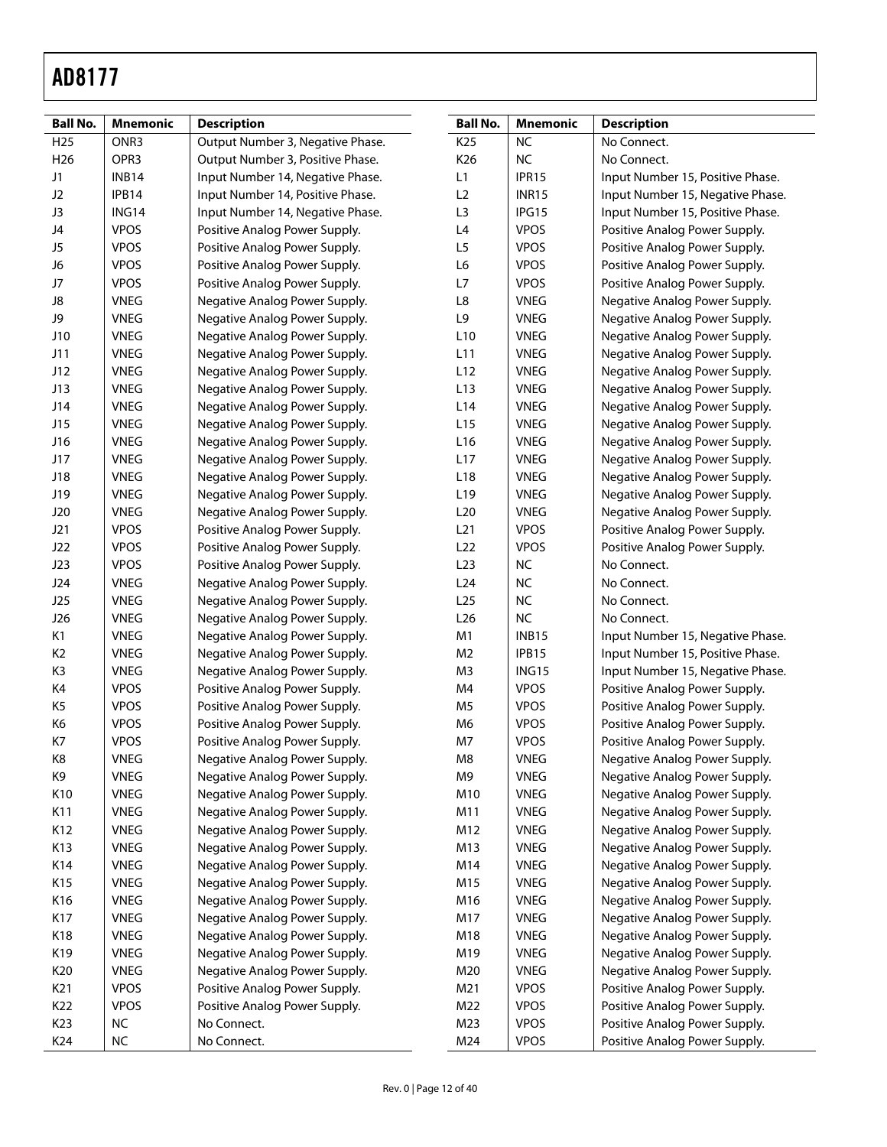| <b>Ball No.</b> | <b>Mnemonic</b> | <b>Description</b>               | <b>Ball No.</b> | <b>Mnemonic</b> | <b>Description</b>               |
|-----------------|-----------------|----------------------------------|-----------------|-----------------|----------------------------------|
| H <sub>25</sub> | ONR3            | Output Number 3, Negative Phase. | K <sub>25</sub> | <b>NC</b>       | No Connect.                      |
| H <sub>26</sub> | OPR3            | Output Number 3, Positive Phase. | K26             | $NC$            | No Connect.                      |
| J1              | <b>INB14</b>    | Input Number 14, Negative Phase. | L1              | IPR15           | Input Number 15, Positive Phase. |
| J <sub>2</sub>  | IPB14           | Input Number 14, Positive Phase. | L2              | <b>INR15</b>    | Input Number 15, Negative Phase. |
| J3              | ING14           | Input Number 14, Negative Phase. | L <sub>3</sub>  | IPG15           | Input Number 15, Positive Phase. |
| J4              | <b>VPOS</b>     | Positive Analog Power Supply.    | L4              | VPOS            | Positive Analog Power Supply.    |
| J5              | <b>VPOS</b>     | Positive Analog Power Supply.    | L5              | VPOS            | Positive Analog Power Supply.    |
| J6              | <b>VPOS</b>     | Positive Analog Power Supply.    | L6              | VPOS            | Positive Analog Power Supply.    |
| $\mathsf{J}7$   | <b>VPOS</b>     | Positive Analog Power Supply.    | L7              | <b>VPOS</b>     | Positive Analog Power Supply.    |
| J8              | <b>VNEG</b>     | Negative Analog Power Supply.    | $\mathsf{L}8$   | <b>VNEG</b>     | Negative Analog Power Supply.    |
| J9              | <b>VNEG</b>     | Negative Analog Power Supply.    | L9              | <b>VNEG</b>     | Negative Analog Power Supply.    |
| J10             | <b>VNEG</b>     | Negative Analog Power Supply.    | L <sub>10</sub> | <b>VNEG</b>     | Negative Analog Power Supply.    |
| J11             | <b>VNEG</b>     | Negative Analog Power Supply.    | L11             | <b>VNEG</b>     | Negative Analog Power Supply.    |
| J12             | <b>VNEG</b>     | Negative Analog Power Supply.    | L12             | <b>VNEG</b>     | Negative Analog Power Supply.    |
| J13             | <b>VNEG</b>     | Negative Analog Power Supply.    | L13             | <b>VNEG</b>     | Negative Analog Power Supply.    |
| J14             | <b>VNEG</b>     | Negative Analog Power Supply.    | L14             | <b>VNEG</b>     | Negative Analog Power Supply.    |
| J15             | <b>VNEG</b>     | Negative Analog Power Supply.    | L15             | <b>VNEG</b>     | Negative Analog Power Supply.    |
| J16             | <b>VNEG</b>     | Negative Analog Power Supply.    | L <sub>16</sub> | <b>VNEG</b>     | Negative Analog Power Supply.    |
| J17             | <b>VNEG</b>     | Negative Analog Power Supply.    | L17             | <b>VNEG</b>     | Negative Analog Power Supply.    |
| J18             | <b>VNEG</b>     | Negative Analog Power Supply.    | L <sub>18</sub> | <b>VNEG</b>     | Negative Analog Power Supply.    |
| J19             | <b>VNEG</b>     | Negative Analog Power Supply.    | L <sub>19</sub> | <b>VNEG</b>     | Negative Analog Power Supply.    |
| J20             | <b>VNEG</b>     | Negative Analog Power Supply.    | L20             | <b>VNEG</b>     | Negative Analog Power Supply.    |
| J21             | <b>VPOS</b>     | Positive Analog Power Supply.    | L21             | VPOS            | Positive Analog Power Supply.    |
| J22             | <b>VPOS</b>     | Positive Analog Power Supply.    | L22             | <b>VPOS</b>     | Positive Analog Power Supply.    |
| J23             | <b>VPOS</b>     | Positive Analog Power Supply.    | L23             | $NC$            | No Connect.                      |
| J24             | <b>VNEG</b>     | Negative Analog Power Supply.    | L24             | $NC$            | No Connect.                      |
| J25             | <b>VNEG</b>     | Negative Analog Power Supply.    | L25             | NC              | No Connect.                      |
| J26             | <b>VNEG</b>     | Negative Analog Power Supply.    | L26             | NC              | No Connect.                      |
| K1              | <b>VNEG</b>     | Negative Analog Power Supply.    | M1              | INB15           | Input Number 15, Negative Phase. |
| K <sub>2</sub>  | <b>VNEG</b>     | Negative Analog Power Supply.    | M <sub>2</sub>  | IPB15           | Input Number 15, Positive Phase. |
| K3              | <b>VNEG</b>     | Negative Analog Power Supply.    | M3              | <b>ING15</b>    | Input Number 15, Negative Phase. |
| K4              | <b>VPOS</b>     | Positive Analog Power Supply.    | M4              | <b>VPOS</b>     | Positive Analog Power Supply.    |
| K5              | <b>VPOS</b>     | Positive Analog Power Supply.    | M <sub>5</sub>  | <b>VPOS</b>     | Positive Analog Power Supply.    |
| K6              | <b>VPOS</b>     | Positive Analog Power Supply.    | M6              | <b>VPOS</b>     | Positive Analog Power Supply.    |
| K7              | <b>VPOS</b>     | Positive Analog Power Supply.    | M7              | <b>VPOS</b>     | Positive Analog Power Supply.    |
| K8              | <b>VNEG</b>     | Negative Analog Power Supply.    | $\mathsf{M}8$   | <b>VNEG</b>     | Negative Analog Power Supply.    |
| K9              | <b>VNEG</b>     | Negative Analog Power Supply.    | M9              | <b>VNEG</b>     | Negative Analog Power Supply.    |
| K10             | <b>VNEG</b>     | Negative Analog Power Supply.    | M10             | <b>VNEG</b>     | Negative Analog Power Supply.    |
| K11             | <b>VNEG</b>     | Negative Analog Power Supply.    | M11             | <b>VNEG</b>     | Negative Analog Power Supply.    |
| K12             | <b>VNEG</b>     | Negative Analog Power Supply.    | M12             | <b>VNEG</b>     | Negative Analog Power Supply.    |
| K13             | <b>VNEG</b>     | Negative Analog Power Supply.    | M13             | <b>VNEG</b>     | Negative Analog Power Supply.    |
| K14             | <b>VNEG</b>     | Negative Analog Power Supply.    | M14             | <b>VNEG</b>     | Negative Analog Power Supply.    |
| K15             | <b>VNEG</b>     | Negative Analog Power Supply.    | M15             | <b>VNEG</b>     | Negative Analog Power Supply.    |
| K16             | <b>VNEG</b>     | Negative Analog Power Supply.    | M16             | <b>VNEG</b>     | Negative Analog Power Supply.    |
| K17             | <b>VNEG</b>     | Negative Analog Power Supply.    | M17             | <b>VNEG</b>     | Negative Analog Power Supply.    |
| K18             | <b>VNEG</b>     | Negative Analog Power Supply.    | M18             | <b>VNEG</b>     | Negative Analog Power Supply.    |
| K19             | <b>VNEG</b>     | Negative Analog Power Supply.    | M19             | <b>VNEG</b>     | Negative Analog Power Supply.    |
| K20             | <b>VNEG</b>     | Negative Analog Power Supply.    | M20             | <b>VNEG</b>     | Negative Analog Power Supply.    |
| K21             | <b>VPOS</b>     | Positive Analog Power Supply.    | M21             | VPOS            | Positive Analog Power Supply.    |
| K22             | <b>VPOS</b>     | Positive Analog Power Supply.    | M22             | <b>VPOS</b>     | Positive Analog Power Supply.    |
| K23             | NC              | No Connect.                      | M23             | <b>VPOS</b>     | Positive Analog Power Supply.    |
| K24             | <b>NC</b>       | No Connect.                      | M24             | VPOS            | Positive Analog Power Supply.    |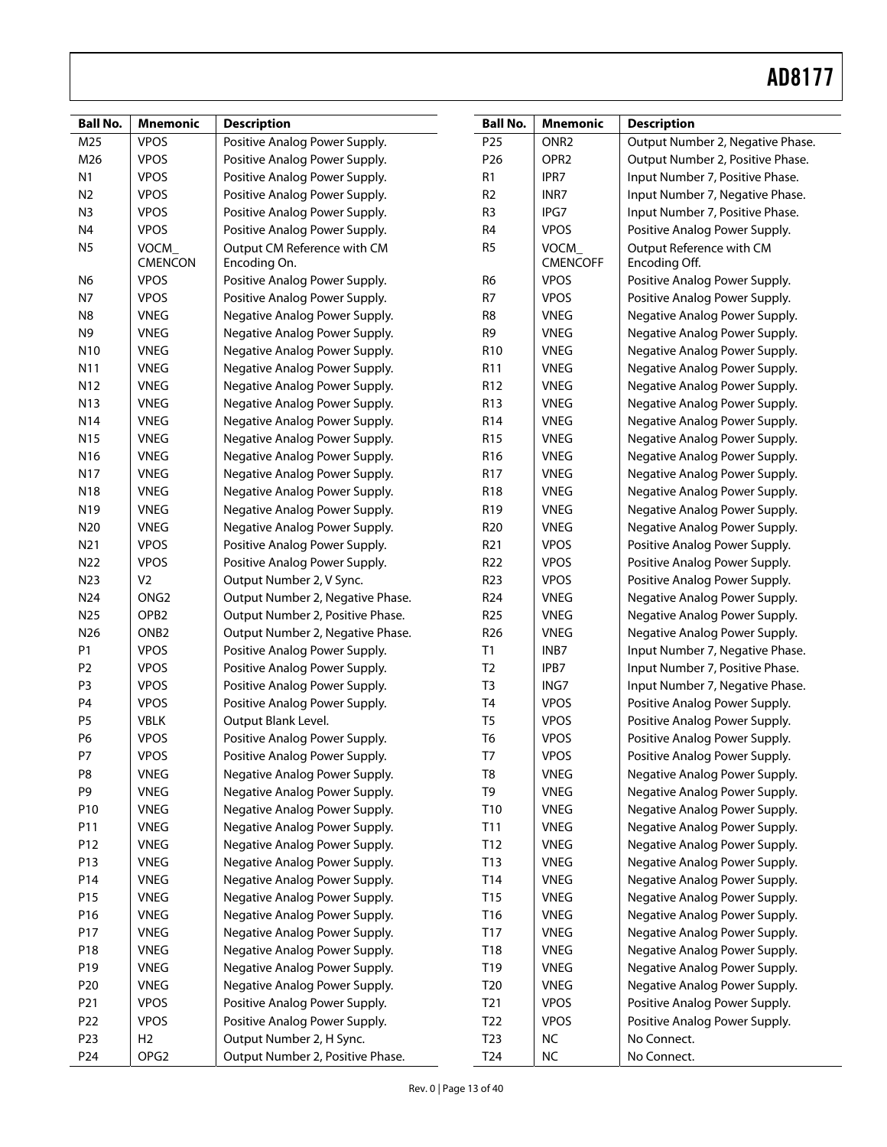| <b>Ball No.</b> | <b>Mnemonic</b>               | <b>Description</b>                          | <b>Ball No.</b> | <b>Mnemonic</b>                | <b>Description</b>                        |
|-----------------|-------------------------------|---------------------------------------------|-----------------|--------------------------------|-------------------------------------------|
| M25             | <b>VPOS</b>                   | Positive Analog Power Supply.               | P <sub>25</sub> | ONR <sub>2</sub>               | Output Number 2, Negative Phase.          |
| M26             | <b>VPOS</b>                   | Positive Analog Power Supply.               | P <sub>26</sub> | OPR <sub>2</sub>               | Output Number 2, Positive Phase.          |
| N1              | <b>VPOS</b>                   | Positive Analog Power Supply.               | R1              | IPR7                           | Input Number 7, Positive Phase.           |
| N <sub>2</sub>  | <b>VPOS</b>                   | Positive Analog Power Supply.               | R <sub>2</sub>  | INR7                           | Input Number 7, Negative Phase.           |
| N3              | <b>VPOS</b>                   | Positive Analog Power Supply.               | R3              | IPG7                           | Input Number 7, Positive Phase.           |
| N <sub>4</sub>  | <b>VPOS</b>                   | Positive Analog Power Supply.               | R4              | <b>VPOS</b>                    | Positive Analog Power Supply.             |
| N <sub>5</sub>  | <b>VOCM</b><br><b>CMENCON</b> | Output CM Reference with CM<br>Encoding On. | R5              | <b>VOCM</b><br><b>CMENCOFF</b> | Output Reference with CM<br>Encoding Off. |
| N <sub>6</sub>  | <b>VPOS</b>                   | Positive Analog Power Supply.               | R6              | <b>VPOS</b>                    | Positive Analog Power Supply.             |
| N7              | VPOS                          | Positive Analog Power Supply.               | R7              | <b>VPOS</b>                    | Positive Analog Power Supply.             |
| N <sub>8</sub>  | <b>VNEG</b>                   | Negative Analog Power Supply.               | R8              | <b>VNEG</b>                    | Negative Analog Power Supply.             |
| N <sub>9</sub>  | <b>VNEG</b>                   | Negative Analog Power Supply.               | R9              | <b>VNEG</b>                    | Negative Analog Power Supply.             |
| N <sub>10</sub> | <b>VNEG</b>                   | Negative Analog Power Supply.               | R <sub>10</sub> | <b>VNEG</b>                    | Negative Analog Power Supply.             |
| N11             | <b>VNEG</b>                   | Negative Analog Power Supply.               | R11             | <b>VNEG</b>                    | Negative Analog Power Supply.             |
| N12             | <b>VNEG</b>                   | Negative Analog Power Supply.               | R <sub>12</sub> | <b>VNEG</b>                    | Negative Analog Power Supply.             |
| N13             | <b>VNEG</b>                   | Negative Analog Power Supply.               | R13             | <b>VNEG</b>                    | Negative Analog Power Supply.             |
| N <sub>14</sub> | <b>VNEG</b>                   | Negative Analog Power Supply.               | R14             | <b>VNEG</b>                    | Negative Analog Power Supply.             |
| N <sub>15</sub> | <b>VNEG</b>                   | Negative Analog Power Supply.               | R <sub>15</sub> | <b>VNEG</b>                    | Negative Analog Power Supply.             |
| N <sub>16</sub> | <b>VNEG</b>                   | Negative Analog Power Supply.               | R <sub>16</sub> | <b>VNEG</b>                    | Negative Analog Power Supply.             |
| N17             | <b>VNEG</b>                   | Negative Analog Power Supply.               | R17             | <b>VNEG</b>                    | Negative Analog Power Supply.             |
| N18             | <b>VNEG</b>                   | Negative Analog Power Supply.               | R <sub>18</sub> | <b>VNEG</b>                    | Negative Analog Power Supply.             |
| N <sub>19</sub> | <b>VNEG</b>                   | Negative Analog Power Supply.               | R <sub>19</sub> | <b>VNEG</b>                    | Negative Analog Power Supply.             |
| N20             | <b>VNEG</b>                   | Negative Analog Power Supply.               | R <sub>20</sub> | <b>VNEG</b>                    | Negative Analog Power Supply.             |
| N21             | <b>VPOS</b>                   | Positive Analog Power Supply.               | R <sub>21</sub> | <b>VPOS</b>                    | Positive Analog Power Supply.             |
| N22             | <b>VPOS</b>                   | Positive Analog Power Supply.               | R <sub>22</sub> | <b>VPOS</b>                    | Positive Analog Power Supply.             |
| N23             | V <sub>2</sub>                | Output Number 2, V Sync.                    | R <sub>23</sub> | <b>VPOS</b>                    | Positive Analog Power Supply.             |
| N24             | ONG <sub>2</sub>              | Output Number 2, Negative Phase.            | R <sub>24</sub> | <b>VNEG</b>                    | Negative Analog Power Supply.             |
| N25             | OPB <sub>2</sub>              | Output Number 2, Positive Phase.            | R <sub>25</sub> | <b>VNEG</b>                    | Negative Analog Power Supply.             |
| N26             | ONB <sub>2</sub>              | Output Number 2, Negative Phase.            | R <sub>26</sub> | <b>VNEG</b>                    | Negative Analog Power Supply.             |
| P1              | <b>VPOS</b>                   | Positive Analog Power Supply.               | T1              | INB7                           | Input Number 7, Negative Phase.           |
| P <sub>2</sub>  | <b>VPOS</b>                   | Positive Analog Power Supply.               | T <sub>2</sub>  | IPB7                           | Input Number 7, Positive Phase.           |
| P <sub>3</sub>  | <b>VPOS</b>                   | Positive Analog Power Supply.               | T <sub>3</sub>  | ING7                           | Input Number 7, Negative Phase.           |
| P <sub>4</sub>  | <b>VPOS</b>                   | Positive Analog Power Supply.               | T <sub>4</sub>  | <b>VPOS</b>                    | Positive Analog Power Supply.             |
| P <sub>5</sub>  | <b>VBLK</b>                   | Output Blank Level.                         | T <sub>5</sub>  | <b>VPOS</b>                    | Positive Analog Power Supply.             |
| P <sub>6</sub>  | <b>VPOS</b>                   | Positive Analog Power Supply.               | T <sub>6</sub>  | <b>VPOS</b>                    | Positive Analog Power Supply.             |
| P7              | <b>VPOS</b>                   | Positive Analog Power Supply.               | T7              | <b>VPOS</b>                    | Positive Analog Power Supply.             |
| P8              | <b>VNEG</b>                   | Negative Analog Power Supply.               | T8              | <b>VNEG</b>                    | Negative Analog Power Supply.             |
| P9              | <b>VNEG</b>                   | Negative Analog Power Supply.               | T <sub>9</sub>  | <b>VNEG</b>                    | Negative Analog Power Supply.             |
| P10             | <b>VNEG</b>                   | Negative Analog Power Supply.               | T10             | <b>VNEG</b>                    | Negative Analog Power Supply.             |
| P11             | <b>VNEG</b>                   | Negative Analog Power Supply.               | T11             | <b>VNEG</b>                    | Negative Analog Power Supply.             |
| P12             | <b>VNEG</b>                   | Negative Analog Power Supply.               | T12             | <b>VNEG</b>                    | Negative Analog Power Supply.             |
| P13             | <b>VNEG</b>                   | Negative Analog Power Supply.               | T13             | <b>VNEG</b>                    | Negative Analog Power Supply.             |
| P14             | <b>VNEG</b>                   | Negative Analog Power Supply.               | T14             | <b>VNEG</b>                    | Negative Analog Power Supply.             |
| P15             | <b>VNEG</b>                   | Negative Analog Power Supply.               | T15             | <b>VNEG</b>                    | Negative Analog Power Supply.             |
| P16             | <b>VNEG</b>                   | Negative Analog Power Supply.               | T16             | <b>VNEG</b>                    | Negative Analog Power Supply.             |
| P17             | <b>VNEG</b>                   | Negative Analog Power Supply.               | T17             | <b>VNEG</b>                    | Negative Analog Power Supply.             |
| P18             | <b>VNEG</b>                   | Negative Analog Power Supply.               | T18             | <b>VNEG</b>                    | Negative Analog Power Supply.             |
| P19             | <b>VNEG</b>                   | Negative Analog Power Supply.               | T19             | <b>VNEG</b>                    | Negative Analog Power Supply.             |
| P <sub>20</sub> | <b>VNEG</b>                   | Negative Analog Power Supply.               | T <sub>20</sub> | <b>VNEG</b>                    | Negative Analog Power Supply.             |
| P21             | <b>VPOS</b>                   | Positive Analog Power Supply.               | T <sub>21</sub> | <b>VPOS</b>                    | Positive Analog Power Supply.             |
| P22             | <b>VPOS</b>                   | Positive Analog Power Supply.               | T <sub>22</sub> | <b>VPOS</b>                    | Positive Analog Power Supply.             |
| P <sub>23</sub> | H <sub>2</sub>                | Output Number 2, H Sync.                    | T <sub>23</sub> | $NC$                           | No Connect.                               |
| P24             | OPG <sub>2</sub>              | Output Number 2, Positive Phase.            | T <sub>24</sub> | $NC$                           | No Connect.                               |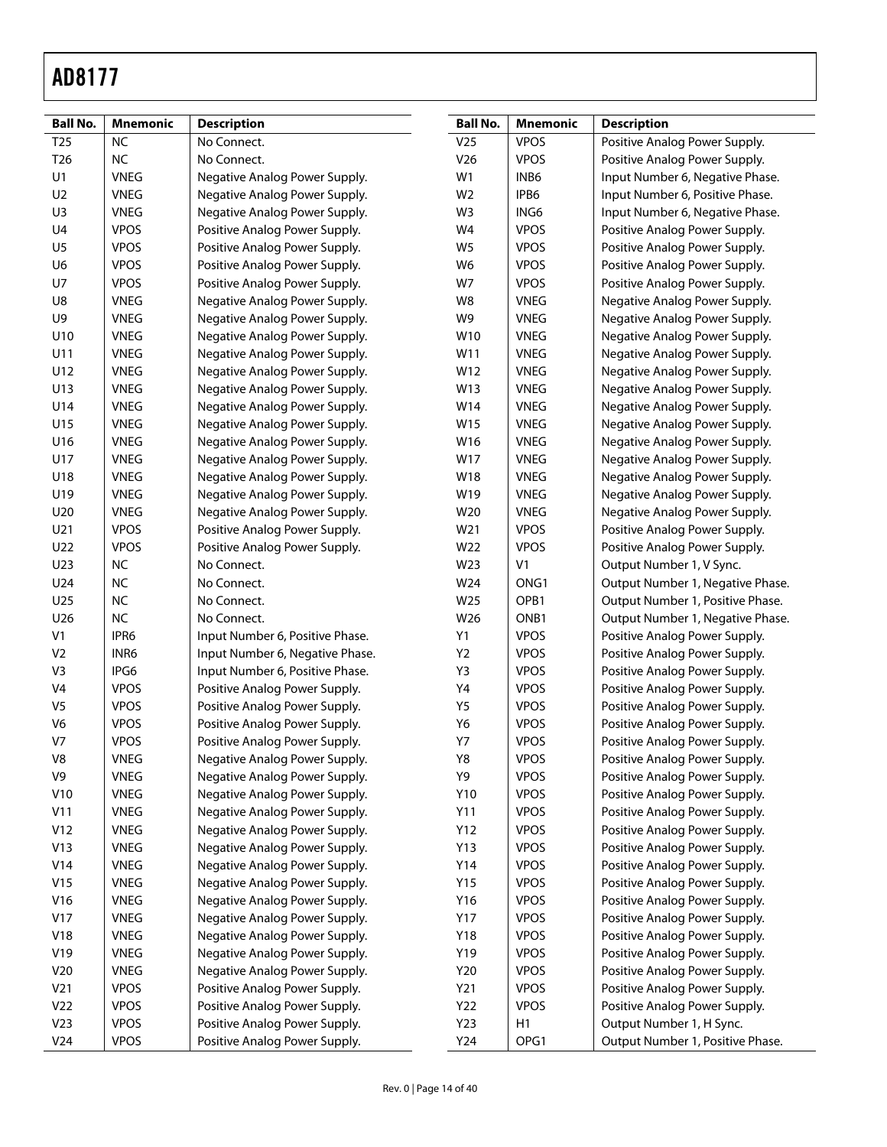| <b>Ball No.</b> | <b>Mnemonic</b> | <b>Description</b>              | <b>Ball No.</b> | <b>Mnemonic</b> | <b>Description</b>               |
|-----------------|-----------------|---------------------------------|-----------------|-----------------|----------------------------------|
| T <sub>25</sub> | <b>NC</b>       | No Connect.                     | V25             | <b>VPOS</b>     | Positive Analog Power Supply.    |
| T <sub>26</sub> | <b>NC</b>       | No Connect.                     | V26             | <b>VPOS</b>     | Positive Analog Power Supply.    |
| U1              | <b>VNEG</b>     | Negative Analog Power Supply.   | W1              | INB6            | Input Number 6, Negative Phase.  |
| U <sub>2</sub>  | <b>VNEG</b>     | Negative Analog Power Supply.   | W <sub>2</sub>  | IPB6            | Input Number 6, Positive Phase.  |
| U3              | <b>VNEG</b>     | Negative Analog Power Supply.   | W3              | ING6            | Input Number 6, Negative Phase.  |
| U4              | <b>VPOS</b>     | Positive Analog Power Supply.   | W4              | <b>VPOS</b>     | Positive Analog Power Supply.    |
| U <sub>5</sub>  | <b>VPOS</b>     | Positive Analog Power Supply.   | W5              | <b>VPOS</b>     | Positive Analog Power Supply.    |
| U <sub>6</sub>  | <b>VPOS</b>     | Positive Analog Power Supply.   | W6              | VPOS            | Positive Analog Power Supply.    |
| U7              | <b>VPOS</b>     | Positive Analog Power Supply.   | W7              | <b>VPOS</b>     | Positive Analog Power Supply.    |
| U8              | <b>VNEG</b>     | Negative Analog Power Supply.   | W8              | <b>VNEG</b>     | Negative Analog Power Supply.    |
| U9              | <b>VNEG</b>     | Negative Analog Power Supply.   | W9              | <b>VNEG</b>     | Negative Analog Power Supply.    |
| U10             | <b>VNEG</b>     | Negative Analog Power Supply.   | W10             | <b>VNEG</b>     | Negative Analog Power Supply.    |
| U11             | <b>VNEG</b>     | Negative Analog Power Supply.   | W11             | <b>VNEG</b>     | Negative Analog Power Supply.    |
| U12             | <b>VNEG</b>     | Negative Analog Power Supply.   | W12             | <b>VNEG</b>     | Negative Analog Power Supply.    |
| U13             | <b>VNEG</b>     | Negative Analog Power Supply.   | W13             | <b>VNEG</b>     | Negative Analog Power Supply.    |
| U14             | <b>VNEG</b>     | Negative Analog Power Supply.   | W14             | <b>VNEG</b>     | Negative Analog Power Supply.    |
| U15             | <b>VNEG</b>     | Negative Analog Power Supply.   | W15             | <b>VNEG</b>     | Negative Analog Power Supply.    |
| U16             | <b>VNEG</b>     | Negative Analog Power Supply.   | W16             | <b>VNEG</b>     | Negative Analog Power Supply.    |
| U17             | <b>VNEG</b>     | Negative Analog Power Supply.   | W17             | <b>VNEG</b>     | Negative Analog Power Supply.    |
| U18             | <b>VNEG</b>     | Negative Analog Power Supply.   | W18             | <b>VNEG</b>     | Negative Analog Power Supply.    |
| U19             | <b>VNEG</b>     | Negative Analog Power Supply.   | W19             | <b>VNEG</b>     | Negative Analog Power Supply.    |
| U20             | <b>VNEG</b>     | Negative Analog Power Supply.   | W20             | <b>VNEG</b>     | Negative Analog Power Supply.    |
| U21             | <b>VPOS</b>     | Positive Analog Power Supply.   | W21             | <b>VPOS</b>     | Positive Analog Power Supply.    |
| U22             | <b>VPOS</b>     | Positive Analog Power Supply.   | W22             | <b>VPOS</b>     | Positive Analog Power Supply.    |
| U23             | NC              | No Connect.                     | W23             | V <sub>1</sub>  | Output Number 1, V Sync.         |
| U24             | NC              | No Connect.                     | W24             | ONG1            | Output Number 1, Negative Phase. |
| U25             | <b>NC</b>       | No Connect.                     | W25             | OPB1            | Output Number 1, Positive Phase. |
| U26             | <b>NC</b>       | No Connect.                     | W26             | ONB1            | Output Number 1, Negative Phase. |
| V <sub>1</sub>  | IPR6            | Input Number 6, Positive Phase. | Y1              | <b>VPOS</b>     | Positive Analog Power Supply.    |
| V <sub>2</sub>  | INR6            | Input Number 6, Negative Phase. | Y2              | <b>VPOS</b>     | Positive Analog Power Supply.    |
| V3              | IPG6            | Input Number 6, Positive Phase. | Y3              | <b>VPOS</b>     | Positive Analog Power Supply.    |
| V <sub>4</sub>  | <b>VPOS</b>     | Positive Analog Power Supply.   | $\mathsf{Y4}$   | <b>VPOS</b>     | Positive Analog Power Supply.    |
| V <sub>5</sub>  | <b>VPOS</b>     | Positive Analog Power Supply.   | Y5              | <b>VPOS</b>     | Positive Analog Power Supply.    |
| V <sub>6</sub>  | <b>VPOS</b>     | Positive Analog Power Supply.   | Y6              | <b>VPOS</b>     | Positive Analog Power Supply.    |
| V <sub>7</sub>  | <b>VPOS</b>     | Positive Analog Power Supply.   | Y7              | <b>VPOS</b>     | Positive Analog Power Supply.    |
| V8              | <b>VNEG</b>     | Negative Analog Power Supply.   | Y8              | VPOS            | Positive Analog Power Supply.    |
| V9              | <b>VNEG</b>     | Negative Analog Power Supply.   | Y9              | <b>VPOS</b>     | Positive Analog Power Supply.    |
| V10             | <b>VNEG</b>     | Negative Analog Power Supply.   | Y10             | <b>VPOS</b>     | Positive Analog Power Supply.    |
| V11             | <b>VNEG</b>     | Negative Analog Power Supply.   | Y11             | <b>VPOS</b>     | Positive Analog Power Supply.    |
| V12             | <b>VNEG</b>     | Negative Analog Power Supply.   | Y12             | <b>VPOS</b>     | Positive Analog Power Supply.    |
| V13             | <b>VNEG</b>     | Negative Analog Power Supply.   | Y13             | <b>VPOS</b>     | Positive Analog Power Supply.    |
| V14             | <b>VNEG</b>     | Negative Analog Power Supply.   | Y14             | <b>VPOS</b>     | Positive Analog Power Supply.    |
| V15             | <b>VNEG</b>     | Negative Analog Power Supply.   | Y15             | <b>VPOS</b>     | Positive Analog Power Supply.    |
| V16             | <b>VNEG</b>     | Negative Analog Power Supply.   | Y16             | <b>VPOS</b>     | Positive Analog Power Supply.    |
| V17             | <b>VNEG</b>     | Negative Analog Power Supply.   | Y17             | <b>VPOS</b>     | Positive Analog Power Supply.    |
| V18             | <b>VNEG</b>     | Negative Analog Power Supply.   | Y18             | <b>VPOS</b>     | Positive Analog Power Supply.    |
| V19             | <b>VNEG</b>     | Negative Analog Power Supply.   | Y19             | <b>VPOS</b>     | Positive Analog Power Supply.    |
| V20             | <b>VNEG</b>     | Negative Analog Power Supply.   | Y20             | <b>VPOS</b>     | Positive Analog Power Supply.    |
| V <sub>21</sub> | <b>VPOS</b>     | Positive Analog Power Supply.   | Y21             | <b>VPOS</b>     | Positive Analog Power Supply.    |
| V <sub>22</sub> | <b>VPOS</b>     | Positive Analog Power Supply.   | Y22             | <b>VPOS</b>     | Positive Analog Power Supply.    |
| V <sub>23</sub> | <b>VPOS</b>     | Positive Analog Power Supply.   | Y23             | H1              | Output Number 1, H Sync.         |
| V <sub>24</sub> | <b>VPOS</b>     | Positive Analog Power Supply.   | Y24             | OPG1            | Output Number 1, Positive Phase. |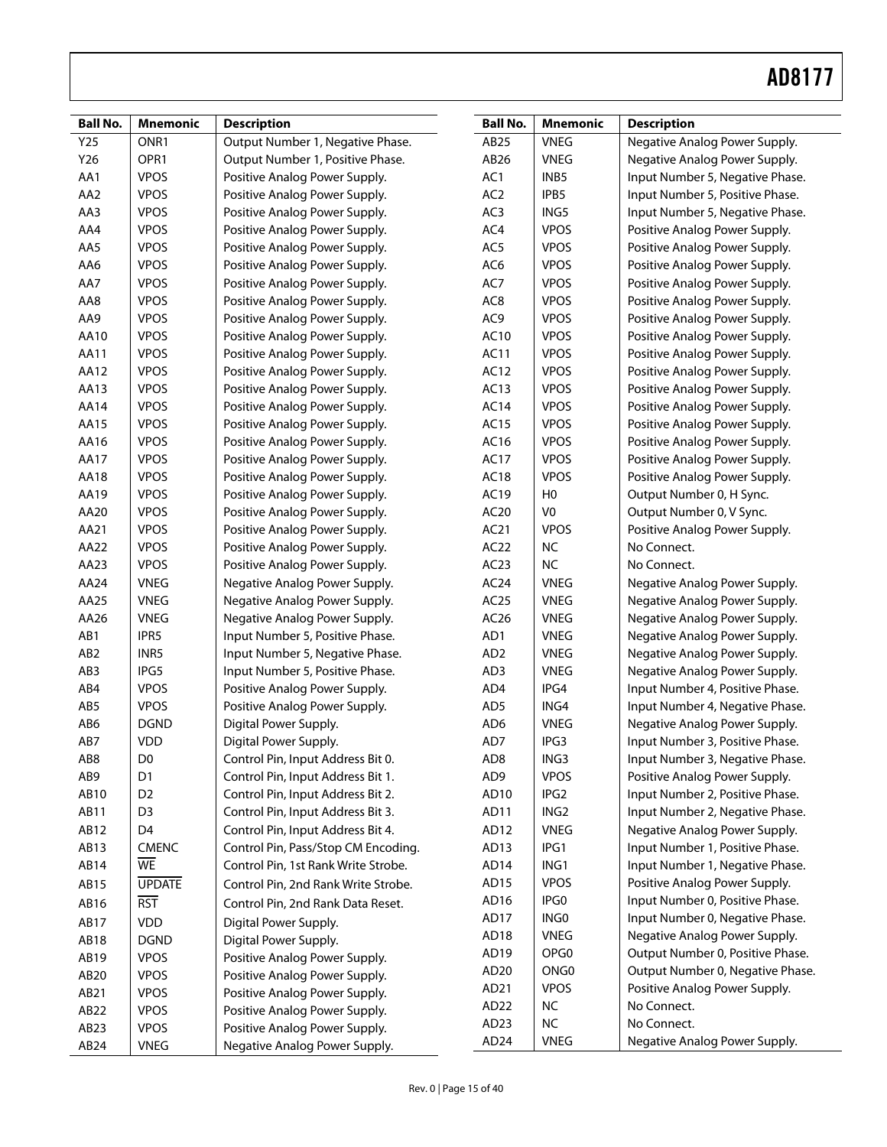÷ 

| Y25<br>ONR1<br>Output Number 1, Negative Phase.<br>AB25<br><b>VNEG</b><br>Negative Analog Power Supply.<br>OPR1<br><b>VNEG</b><br>Y26<br>Output Number 1, Positive Phase.<br>AB26<br>Negative Analog Power Supply.<br><b>VPOS</b><br>INB5<br>AA1<br>Positive Analog Power Supply.<br>AC1<br>Input Number 5, Negative Phase.<br><b>VPOS</b><br>IPB5<br>AA2<br>Positive Analog Power Supply.<br>AC <sub>2</sub><br>Input Number 5, Positive Phase.<br>ING5<br>AA3<br><b>VPOS</b><br>Positive Analog Power Supply.<br>AC3<br>Input Number 5, Negative Phase.<br><b>VPOS</b><br>AA4<br><b>VPOS</b><br>Positive Analog Power Supply.<br>AC4<br>Positive Analog Power Supply.<br><b>VPOS</b><br>AA5<br><b>VPOS</b><br>Positive Analog Power Supply.<br>AC5<br>Positive Analog Power Supply.<br><b>VPOS</b><br>AA6<br><b>VPOS</b><br>Positive Analog Power Supply.<br>AC6<br>Positive Analog Power Supply.<br><b>VPOS</b><br>AA7<br><b>VPOS</b><br>Positive Analog Power Supply.<br>AC7<br>Positive Analog Power Supply.<br><b>VPOS</b><br><b>VPOS</b><br>AA8<br>Positive Analog Power Supply.<br>AC8<br>Positive Analog Power Supply.<br><b>VPOS</b><br><b>VPOS</b><br>AA9<br>Positive Analog Power Supply.<br>AC9<br>Positive Analog Power Supply.<br><b>VPOS</b><br><b>VPOS</b><br>AA10<br>Positive Analog Power Supply.<br>AC10<br>Positive Analog Power Supply.<br><b>VPOS</b><br><b>VPOS</b><br>AA11<br>Positive Analog Power Supply.<br>AC11<br>Positive Analog Power Supply.<br><b>VPOS</b><br><b>VPOS</b><br>AA12<br>Positive Analog Power Supply.<br>AC12<br>Positive Analog Power Supply.<br><b>VPOS</b><br><b>VPOS</b><br>AA13<br>Positive Analog Power Supply.<br>AC13<br>Positive Analog Power Supply.<br>AA14<br><b>VPOS</b><br><b>VPOS</b><br>Positive Analog Power Supply.<br>AC14<br>Positive Analog Power Supply.<br><b>VPOS</b><br><b>VPOS</b><br>AA15<br>Positive Analog Power Supply.<br>AC15<br>Positive Analog Power Supply.<br><b>VPOS</b><br><b>VPOS</b><br>AA16<br>Positive Analog Power Supply.<br>AC16<br>Positive Analog Power Supply.<br><b>VPOS</b><br><b>VPOS</b><br>AA17<br>Positive Analog Power Supply.<br>AC17<br>Positive Analog Power Supply.<br><b>VPOS</b><br><b>VPOS</b><br>AA18<br>Positive Analog Power Supply.<br>AC18<br>Positive Analog Power Supply.<br><b>VPOS</b><br>AA19<br>Positive Analog Power Supply.<br>AC19<br>H <sub>0</sub><br>Output Number 0, H Sync.<br>V <sub>0</sub><br><b>VPOS</b><br>Output Number 0, V Sync.<br>AA20<br>Positive Analog Power Supply.<br>AC <sub>20</sub><br><b>VPOS</b><br>AA21<br>Positive Analog Power Supply.<br>AC21<br><b>VPOS</b><br>Positive Analog Power Supply.<br><b>VPOS</b><br><b>NC</b><br>AA22<br>Positive Analog Power Supply.<br>AC <sub>22</sub><br>No Connect.<br>$NC$<br><b>VPOS</b><br>AA23<br>Positive Analog Power Supply.<br>AC <sub>23</sub><br>No Connect.<br><b>VNEG</b><br>AA24<br>Negative Analog Power Supply.<br>AC <sub>24</sub><br><b>VNEG</b><br>Negative Analog Power Supply.<br>AA25<br><b>VNEG</b><br>AC <sub>25</sub><br><b>VNEG</b><br>Negative Analog Power Supply.<br>Negative Analog Power Supply.<br>AA26<br>AC <sub>26</sub><br><b>VNEG</b><br><b>VNEG</b><br>Negative Analog Power Supply.<br>Negative Analog Power Supply.<br>AB1<br>IPR5<br>AD1<br><b>VNEG</b><br>Input Number 5, Positive Phase.<br>Negative Analog Power Supply.<br>AB <sub>2</sub><br>INR5<br>AD <sub>2</sub><br><b>VNEG</b><br>Input Number 5, Negative Phase.<br>Negative Analog Power Supply.<br>IPG5<br><b>VNEG</b><br>AB3<br>Input Number 5, Positive Phase.<br>AD3<br>Negative Analog Power Supply.<br><b>VPOS</b><br>IPG4<br>AB4<br>Positive Analog Power Supply.<br>AD4<br>Input Number 4, Positive Phase.<br><b>VPOS</b><br>AD5<br>ING4<br>AB5<br>Positive Analog Power Supply.<br>Input Number 4, Negative Phase.<br>AB6<br><b>DGND</b><br>Digital Power Supply.<br>AD <sub>6</sub><br><b>VNEG</b><br>Negative Analog Power Supply.<br><b>VDD</b><br>Digital Power Supply.<br>AD7<br>Input Number 3, Positive Phase.<br>AB7<br>IPG3<br>Control Pin, Input Address Bit 0.<br>Input Number 3, Negative Phase.<br>AB8<br>AD <sub>8</sub><br>ING3<br>D0<br><b>VPOS</b><br>AB9<br>AD <sub>9</sub><br>D1<br>Control Pin, Input Address Bit 1.<br>Positive Analog Power Supply.<br>IPG2<br>AB10<br>D <sub>2</sub><br>Control Pin, Input Address Bit 2.<br>AD10<br>Input Number 2, Positive Phase.<br>AB11<br>D <sub>3</sub><br>Control Pin, Input Address Bit 3.<br>AD <sub>11</sub><br>ING <sub>2</sub><br>Input Number 2, Negative Phase.<br>AB12<br>D <sub>4</sub><br>Control Pin, Input Address Bit 4.<br>AD <sub>12</sub><br><b>VNEG</b><br>Negative Analog Power Supply.<br>AB13<br><b>CMENC</b><br>Control Pin, Pass/Stop CM Encoding.<br>AD <sub>13</sub><br>IPG1<br>Input Number 1, Positive Phase.<br>WE<br>AB14<br>Control Pin, 1st Rank Write Strobe.<br>AD <sub>14</sub><br>ING1<br>Input Number 1, Negative Phase.<br><b>VPOS</b><br><b>UPDATE</b><br>AD15<br>Positive Analog Power Supply.<br>Control Pin, 2nd Rank Write Strobe.<br>AB15<br>IPG0<br>AD <sub>16</sub><br>Input Number 0, Positive Phase.<br><b>RST</b><br>Control Pin, 2nd Rank Data Reset.<br>AB16<br>ING0<br>AD17<br>Input Number 0, Negative Phase.<br><b>VDD</b><br>AB17<br>Digital Power Supply.<br><b>VNEG</b><br>AD <sub>18</sub><br>Negative Analog Power Supply.<br>Digital Power Supply.<br>AB18<br><b>DGND</b><br>OPG0<br>Output Number 0, Positive Phase.<br>AD <sub>19</sub><br>VPOS<br>Positive Analog Power Supply.<br>AB19<br>ONG0<br>Output Number 0, Negative Phase.<br>AD <sub>20</sub><br>VPOS<br>Positive Analog Power Supply.<br>AB20<br>AD <sub>21</sub><br><b>VPOS</b><br>Positive Analog Power Supply.<br>AB21<br><b>VPOS</b><br>Positive Analog Power Supply.<br>No Connect.<br>AD <sub>22</sub><br><b>NC</b><br>VPOS<br>Positive Analog Power Supply.<br>AB22<br><b>NC</b><br>No Connect.<br>AD <sub>23</sub><br>Positive Analog Power Supply.<br>AB <sub>23</sub><br><b>VPOS</b> | <b>Ball No.</b> | <b>Mnemonic</b> | <b>Description</b>            | <b>Ball No.</b>  | <b>Mnemonic</b> | <b>Description</b>            |
|----------------------------------------------------------------------------------------------------------------------------------------------------------------------------------------------------------------------------------------------------------------------------------------------------------------------------------------------------------------------------------------------------------------------------------------------------------------------------------------------------------------------------------------------------------------------------------------------------------------------------------------------------------------------------------------------------------------------------------------------------------------------------------------------------------------------------------------------------------------------------------------------------------------------------------------------------------------------------------------------------------------------------------------------------------------------------------------------------------------------------------------------------------------------------------------------------------------------------------------------------------------------------------------------------------------------------------------------------------------------------------------------------------------------------------------------------------------------------------------------------------------------------------------------------------------------------------------------------------------------------------------------------------------------------------------------------------------------------------------------------------------------------------------------------------------------------------------------------------------------------------------------------------------------------------------------------------------------------------------------------------------------------------------------------------------------------------------------------------------------------------------------------------------------------------------------------------------------------------------------------------------------------------------------------------------------------------------------------------------------------------------------------------------------------------------------------------------------------------------------------------------------------------------------------------------------------------------------------------------------------------------------------------------------------------------------------------------------------------------------------------------------------------------------------------------------------------------------------------------------------------------------------------------------------------------------------------------------------------------------------------------------------------------------------------------------------------------------------------------------------------------------------------------------------------------------------------------------------------------------------------------------------------------------------------------------------------------------------------------------------------------------------------------------------------------------------------------------------------------------------------------------------------------------------------------------------------------------------------------------------------------------------------------------------------------------------------------------------------------------------------------------------------------------------------------------------------------------------------------------------------------------------------------------------------------------------------------------------------------------------------------------------------------------------------------------------------------------------------------------------------------------------------------------------------------------------------------------------------------------------------------------------------------------------------------------------------------------------------------------------------------------------------------------------------------------------------------------------------------------------------------------------------------------------------------------------------------------------------------------------------------------------------------------------------------------------------------------------------------------------------------------------------------------------------------------------------------------------------------------------------------------------------------------------------------------------------------------------------------------------------------------------------------------------------------------------------------------------------------------------------------------------------------------------------------------------------------------------------------------------------------------------------------------------------------------------------------------------------------------------------------------------------------------------------------------------------------------------------------------------------------------------------------------------------------------------------------------------------------------------------------------------------------------------------------------------------------------------------------------------------------------------------------------------------------------------------------------------------------------------------------------------------------------------------------------------------------------------------------------|-----------------|-----------------|-------------------------------|------------------|-----------------|-------------------------------|
|                                                                                                                                                                                                                                                                                                                                                                                                                                                                                                                                                                                                                                                                                                                                                                                                                                                                                                                                                                                                                                                                                                                                                                                                                                                                                                                                                                                                                                                                                                                                                                                                                                                                                                                                                                                                                                                                                                                                                                                                                                                                                                                                                                                                                                                                                                                                                                                                                                                                                                                                                                                                                                                                                                                                                                                                                                                                                                                                                                                                                                                                                                                                                                                                                                                                                                                                                                                                                                                                                                                                                                                                                                                                                                                                                                                                                                                                                                                                                                                                                                                                                                                                                                                                                                                                                                                                                                                                                                                                                                                                                                                                                                                                                                                                                                                                                                                                                                                                                                                                                                                                                                                                                                                                                                                                                                                                                                                                                                                                                                                                                                                                                                                                                                                                                                                                                                                                                                                                                                                              |                 |                 |                               |                  |                 |                               |
|                                                                                                                                                                                                                                                                                                                                                                                                                                                                                                                                                                                                                                                                                                                                                                                                                                                                                                                                                                                                                                                                                                                                                                                                                                                                                                                                                                                                                                                                                                                                                                                                                                                                                                                                                                                                                                                                                                                                                                                                                                                                                                                                                                                                                                                                                                                                                                                                                                                                                                                                                                                                                                                                                                                                                                                                                                                                                                                                                                                                                                                                                                                                                                                                                                                                                                                                                                                                                                                                                                                                                                                                                                                                                                                                                                                                                                                                                                                                                                                                                                                                                                                                                                                                                                                                                                                                                                                                                                                                                                                                                                                                                                                                                                                                                                                                                                                                                                                                                                                                                                                                                                                                                                                                                                                                                                                                                                                                                                                                                                                                                                                                                                                                                                                                                                                                                                                                                                                                                                                              |                 |                 |                               |                  |                 |                               |
|                                                                                                                                                                                                                                                                                                                                                                                                                                                                                                                                                                                                                                                                                                                                                                                                                                                                                                                                                                                                                                                                                                                                                                                                                                                                                                                                                                                                                                                                                                                                                                                                                                                                                                                                                                                                                                                                                                                                                                                                                                                                                                                                                                                                                                                                                                                                                                                                                                                                                                                                                                                                                                                                                                                                                                                                                                                                                                                                                                                                                                                                                                                                                                                                                                                                                                                                                                                                                                                                                                                                                                                                                                                                                                                                                                                                                                                                                                                                                                                                                                                                                                                                                                                                                                                                                                                                                                                                                                                                                                                                                                                                                                                                                                                                                                                                                                                                                                                                                                                                                                                                                                                                                                                                                                                                                                                                                                                                                                                                                                                                                                                                                                                                                                                                                                                                                                                                                                                                                                                              |                 |                 |                               |                  |                 |                               |
|                                                                                                                                                                                                                                                                                                                                                                                                                                                                                                                                                                                                                                                                                                                                                                                                                                                                                                                                                                                                                                                                                                                                                                                                                                                                                                                                                                                                                                                                                                                                                                                                                                                                                                                                                                                                                                                                                                                                                                                                                                                                                                                                                                                                                                                                                                                                                                                                                                                                                                                                                                                                                                                                                                                                                                                                                                                                                                                                                                                                                                                                                                                                                                                                                                                                                                                                                                                                                                                                                                                                                                                                                                                                                                                                                                                                                                                                                                                                                                                                                                                                                                                                                                                                                                                                                                                                                                                                                                                                                                                                                                                                                                                                                                                                                                                                                                                                                                                                                                                                                                                                                                                                                                                                                                                                                                                                                                                                                                                                                                                                                                                                                                                                                                                                                                                                                                                                                                                                                                                              |                 |                 |                               |                  |                 |                               |
|                                                                                                                                                                                                                                                                                                                                                                                                                                                                                                                                                                                                                                                                                                                                                                                                                                                                                                                                                                                                                                                                                                                                                                                                                                                                                                                                                                                                                                                                                                                                                                                                                                                                                                                                                                                                                                                                                                                                                                                                                                                                                                                                                                                                                                                                                                                                                                                                                                                                                                                                                                                                                                                                                                                                                                                                                                                                                                                                                                                                                                                                                                                                                                                                                                                                                                                                                                                                                                                                                                                                                                                                                                                                                                                                                                                                                                                                                                                                                                                                                                                                                                                                                                                                                                                                                                                                                                                                                                                                                                                                                                                                                                                                                                                                                                                                                                                                                                                                                                                                                                                                                                                                                                                                                                                                                                                                                                                                                                                                                                                                                                                                                                                                                                                                                                                                                                                                                                                                                                                              |                 |                 |                               |                  |                 |                               |
|                                                                                                                                                                                                                                                                                                                                                                                                                                                                                                                                                                                                                                                                                                                                                                                                                                                                                                                                                                                                                                                                                                                                                                                                                                                                                                                                                                                                                                                                                                                                                                                                                                                                                                                                                                                                                                                                                                                                                                                                                                                                                                                                                                                                                                                                                                                                                                                                                                                                                                                                                                                                                                                                                                                                                                                                                                                                                                                                                                                                                                                                                                                                                                                                                                                                                                                                                                                                                                                                                                                                                                                                                                                                                                                                                                                                                                                                                                                                                                                                                                                                                                                                                                                                                                                                                                                                                                                                                                                                                                                                                                                                                                                                                                                                                                                                                                                                                                                                                                                                                                                                                                                                                                                                                                                                                                                                                                                                                                                                                                                                                                                                                                                                                                                                                                                                                                                                                                                                                                                              |                 |                 |                               |                  |                 |                               |
|                                                                                                                                                                                                                                                                                                                                                                                                                                                                                                                                                                                                                                                                                                                                                                                                                                                                                                                                                                                                                                                                                                                                                                                                                                                                                                                                                                                                                                                                                                                                                                                                                                                                                                                                                                                                                                                                                                                                                                                                                                                                                                                                                                                                                                                                                                                                                                                                                                                                                                                                                                                                                                                                                                                                                                                                                                                                                                                                                                                                                                                                                                                                                                                                                                                                                                                                                                                                                                                                                                                                                                                                                                                                                                                                                                                                                                                                                                                                                                                                                                                                                                                                                                                                                                                                                                                                                                                                                                                                                                                                                                                                                                                                                                                                                                                                                                                                                                                                                                                                                                                                                                                                                                                                                                                                                                                                                                                                                                                                                                                                                                                                                                                                                                                                                                                                                                                                                                                                                                                              |                 |                 |                               |                  |                 |                               |
|                                                                                                                                                                                                                                                                                                                                                                                                                                                                                                                                                                                                                                                                                                                                                                                                                                                                                                                                                                                                                                                                                                                                                                                                                                                                                                                                                                                                                                                                                                                                                                                                                                                                                                                                                                                                                                                                                                                                                                                                                                                                                                                                                                                                                                                                                                                                                                                                                                                                                                                                                                                                                                                                                                                                                                                                                                                                                                                                                                                                                                                                                                                                                                                                                                                                                                                                                                                                                                                                                                                                                                                                                                                                                                                                                                                                                                                                                                                                                                                                                                                                                                                                                                                                                                                                                                                                                                                                                                                                                                                                                                                                                                                                                                                                                                                                                                                                                                                                                                                                                                                                                                                                                                                                                                                                                                                                                                                                                                                                                                                                                                                                                                                                                                                                                                                                                                                                                                                                                                                              |                 |                 |                               |                  |                 |                               |
|                                                                                                                                                                                                                                                                                                                                                                                                                                                                                                                                                                                                                                                                                                                                                                                                                                                                                                                                                                                                                                                                                                                                                                                                                                                                                                                                                                                                                                                                                                                                                                                                                                                                                                                                                                                                                                                                                                                                                                                                                                                                                                                                                                                                                                                                                                                                                                                                                                                                                                                                                                                                                                                                                                                                                                                                                                                                                                                                                                                                                                                                                                                                                                                                                                                                                                                                                                                                                                                                                                                                                                                                                                                                                                                                                                                                                                                                                                                                                                                                                                                                                                                                                                                                                                                                                                                                                                                                                                                                                                                                                                                                                                                                                                                                                                                                                                                                                                                                                                                                                                                                                                                                                                                                                                                                                                                                                                                                                                                                                                                                                                                                                                                                                                                                                                                                                                                                                                                                                                                              |                 |                 |                               |                  |                 |                               |
|                                                                                                                                                                                                                                                                                                                                                                                                                                                                                                                                                                                                                                                                                                                                                                                                                                                                                                                                                                                                                                                                                                                                                                                                                                                                                                                                                                                                                                                                                                                                                                                                                                                                                                                                                                                                                                                                                                                                                                                                                                                                                                                                                                                                                                                                                                                                                                                                                                                                                                                                                                                                                                                                                                                                                                                                                                                                                                                                                                                                                                                                                                                                                                                                                                                                                                                                                                                                                                                                                                                                                                                                                                                                                                                                                                                                                                                                                                                                                                                                                                                                                                                                                                                                                                                                                                                                                                                                                                                                                                                                                                                                                                                                                                                                                                                                                                                                                                                                                                                                                                                                                                                                                                                                                                                                                                                                                                                                                                                                                                                                                                                                                                                                                                                                                                                                                                                                                                                                                                                              |                 |                 |                               |                  |                 |                               |
|                                                                                                                                                                                                                                                                                                                                                                                                                                                                                                                                                                                                                                                                                                                                                                                                                                                                                                                                                                                                                                                                                                                                                                                                                                                                                                                                                                                                                                                                                                                                                                                                                                                                                                                                                                                                                                                                                                                                                                                                                                                                                                                                                                                                                                                                                                                                                                                                                                                                                                                                                                                                                                                                                                                                                                                                                                                                                                                                                                                                                                                                                                                                                                                                                                                                                                                                                                                                                                                                                                                                                                                                                                                                                                                                                                                                                                                                                                                                                                                                                                                                                                                                                                                                                                                                                                                                                                                                                                                                                                                                                                                                                                                                                                                                                                                                                                                                                                                                                                                                                                                                                                                                                                                                                                                                                                                                                                                                                                                                                                                                                                                                                                                                                                                                                                                                                                                                                                                                                                                              |                 |                 |                               |                  |                 |                               |
|                                                                                                                                                                                                                                                                                                                                                                                                                                                                                                                                                                                                                                                                                                                                                                                                                                                                                                                                                                                                                                                                                                                                                                                                                                                                                                                                                                                                                                                                                                                                                                                                                                                                                                                                                                                                                                                                                                                                                                                                                                                                                                                                                                                                                                                                                                                                                                                                                                                                                                                                                                                                                                                                                                                                                                                                                                                                                                                                                                                                                                                                                                                                                                                                                                                                                                                                                                                                                                                                                                                                                                                                                                                                                                                                                                                                                                                                                                                                                                                                                                                                                                                                                                                                                                                                                                                                                                                                                                                                                                                                                                                                                                                                                                                                                                                                                                                                                                                                                                                                                                                                                                                                                                                                                                                                                                                                                                                                                                                                                                                                                                                                                                                                                                                                                                                                                                                                                                                                                                                              |                 |                 |                               |                  |                 |                               |
|                                                                                                                                                                                                                                                                                                                                                                                                                                                                                                                                                                                                                                                                                                                                                                                                                                                                                                                                                                                                                                                                                                                                                                                                                                                                                                                                                                                                                                                                                                                                                                                                                                                                                                                                                                                                                                                                                                                                                                                                                                                                                                                                                                                                                                                                                                                                                                                                                                                                                                                                                                                                                                                                                                                                                                                                                                                                                                                                                                                                                                                                                                                                                                                                                                                                                                                                                                                                                                                                                                                                                                                                                                                                                                                                                                                                                                                                                                                                                                                                                                                                                                                                                                                                                                                                                                                                                                                                                                                                                                                                                                                                                                                                                                                                                                                                                                                                                                                                                                                                                                                                                                                                                                                                                                                                                                                                                                                                                                                                                                                                                                                                                                                                                                                                                                                                                                                                                                                                                                                              |                 |                 |                               |                  |                 |                               |
|                                                                                                                                                                                                                                                                                                                                                                                                                                                                                                                                                                                                                                                                                                                                                                                                                                                                                                                                                                                                                                                                                                                                                                                                                                                                                                                                                                                                                                                                                                                                                                                                                                                                                                                                                                                                                                                                                                                                                                                                                                                                                                                                                                                                                                                                                                                                                                                                                                                                                                                                                                                                                                                                                                                                                                                                                                                                                                                                                                                                                                                                                                                                                                                                                                                                                                                                                                                                                                                                                                                                                                                                                                                                                                                                                                                                                                                                                                                                                                                                                                                                                                                                                                                                                                                                                                                                                                                                                                                                                                                                                                                                                                                                                                                                                                                                                                                                                                                                                                                                                                                                                                                                                                                                                                                                                                                                                                                                                                                                                                                                                                                                                                                                                                                                                                                                                                                                                                                                                                                              |                 |                 |                               |                  |                 |                               |
|                                                                                                                                                                                                                                                                                                                                                                                                                                                                                                                                                                                                                                                                                                                                                                                                                                                                                                                                                                                                                                                                                                                                                                                                                                                                                                                                                                                                                                                                                                                                                                                                                                                                                                                                                                                                                                                                                                                                                                                                                                                                                                                                                                                                                                                                                                                                                                                                                                                                                                                                                                                                                                                                                                                                                                                                                                                                                                                                                                                                                                                                                                                                                                                                                                                                                                                                                                                                                                                                                                                                                                                                                                                                                                                                                                                                                                                                                                                                                                                                                                                                                                                                                                                                                                                                                                                                                                                                                                                                                                                                                                                                                                                                                                                                                                                                                                                                                                                                                                                                                                                                                                                                                                                                                                                                                                                                                                                                                                                                                                                                                                                                                                                                                                                                                                                                                                                                                                                                                                                              |                 |                 |                               |                  |                 |                               |
|                                                                                                                                                                                                                                                                                                                                                                                                                                                                                                                                                                                                                                                                                                                                                                                                                                                                                                                                                                                                                                                                                                                                                                                                                                                                                                                                                                                                                                                                                                                                                                                                                                                                                                                                                                                                                                                                                                                                                                                                                                                                                                                                                                                                                                                                                                                                                                                                                                                                                                                                                                                                                                                                                                                                                                                                                                                                                                                                                                                                                                                                                                                                                                                                                                                                                                                                                                                                                                                                                                                                                                                                                                                                                                                                                                                                                                                                                                                                                                                                                                                                                                                                                                                                                                                                                                                                                                                                                                                                                                                                                                                                                                                                                                                                                                                                                                                                                                                                                                                                                                                                                                                                                                                                                                                                                                                                                                                                                                                                                                                                                                                                                                                                                                                                                                                                                                                                                                                                                                                              |                 |                 |                               |                  |                 |                               |
|                                                                                                                                                                                                                                                                                                                                                                                                                                                                                                                                                                                                                                                                                                                                                                                                                                                                                                                                                                                                                                                                                                                                                                                                                                                                                                                                                                                                                                                                                                                                                                                                                                                                                                                                                                                                                                                                                                                                                                                                                                                                                                                                                                                                                                                                                                                                                                                                                                                                                                                                                                                                                                                                                                                                                                                                                                                                                                                                                                                                                                                                                                                                                                                                                                                                                                                                                                                                                                                                                                                                                                                                                                                                                                                                                                                                                                                                                                                                                                                                                                                                                                                                                                                                                                                                                                                                                                                                                                                                                                                                                                                                                                                                                                                                                                                                                                                                                                                                                                                                                                                                                                                                                                                                                                                                                                                                                                                                                                                                                                                                                                                                                                                                                                                                                                                                                                                                                                                                                                                              |                 |                 |                               |                  |                 |                               |
|                                                                                                                                                                                                                                                                                                                                                                                                                                                                                                                                                                                                                                                                                                                                                                                                                                                                                                                                                                                                                                                                                                                                                                                                                                                                                                                                                                                                                                                                                                                                                                                                                                                                                                                                                                                                                                                                                                                                                                                                                                                                                                                                                                                                                                                                                                                                                                                                                                                                                                                                                                                                                                                                                                                                                                                                                                                                                                                                                                                                                                                                                                                                                                                                                                                                                                                                                                                                                                                                                                                                                                                                                                                                                                                                                                                                                                                                                                                                                                                                                                                                                                                                                                                                                                                                                                                                                                                                                                                                                                                                                                                                                                                                                                                                                                                                                                                                                                                                                                                                                                                                                                                                                                                                                                                                                                                                                                                                                                                                                                                                                                                                                                                                                                                                                                                                                                                                                                                                                                                              |                 |                 |                               |                  |                 |                               |
|                                                                                                                                                                                                                                                                                                                                                                                                                                                                                                                                                                                                                                                                                                                                                                                                                                                                                                                                                                                                                                                                                                                                                                                                                                                                                                                                                                                                                                                                                                                                                                                                                                                                                                                                                                                                                                                                                                                                                                                                                                                                                                                                                                                                                                                                                                                                                                                                                                                                                                                                                                                                                                                                                                                                                                                                                                                                                                                                                                                                                                                                                                                                                                                                                                                                                                                                                                                                                                                                                                                                                                                                                                                                                                                                                                                                                                                                                                                                                                                                                                                                                                                                                                                                                                                                                                                                                                                                                                                                                                                                                                                                                                                                                                                                                                                                                                                                                                                                                                                                                                                                                                                                                                                                                                                                                                                                                                                                                                                                                                                                                                                                                                                                                                                                                                                                                                                                                                                                                                                              |                 |                 |                               |                  |                 |                               |
|                                                                                                                                                                                                                                                                                                                                                                                                                                                                                                                                                                                                                                                                                                                                                                                                                                                                                                                                                                                                                                                                                                                                                                                                                                                                                                                                                                                                                                                                                                                                                                                                                                                                                                                                                                                                                                                                                                                                                                                                                                                                                                                                                                                                                                                                                                                                                                                                                                                                                                                                                                                                                                                                                                                                                                                                                                                                                                                                                                                                                                                                                                                                                                                                                                                                                                                                                                                                                                                                                                                                                                                                                                                                                                                                                                                                                                                                                                                                                                                                                                                                                                                                                                                                                                                                                                                                                                                                                                                                                                                                                                                                                                                                                                                                                                                                                                                                                                                                                                                                                                                                                                                                                                                                                                                                                                                                                                                                                                                                                                                                                                                                                                                                                                                                                                                                                                                                                                                                                                                              |                 |                 |                               |                  |                 |                               |
|                                                                                                                                                                                                                                                                                                                                                                                                                                                                                                                                                                                                                                                                                                                                                                                                                                                                                                                                                                                                                                                                                                                                                                                                                                                                                                                                                                                                                                                                                                                                                                                                                                                                                                                                                                                                                                                                                                                                                                                                                                                                                                                                                                                                                                                                                                                                                                                                                                                                                                                                                                                                                                                                                                                                                                                                                                                                                                                                                                                                                                                                                                                                                                                                                                                                                                                                                                                                                                                                                                                                                                                                                                                                                                                                                                                                                                                                                                                                                                                                                                                                                                                                                                                                                                                                                                                                                                                                                                                                                                                                                                                                                                                                                                                                                                                                                                                                                                                                                                                                                                                                                                                                                                                                                                                                                                                                                                                                                                                                                                                                                                                                                                                                                                                                                                                                                                                                                                                                                                                              |                 |                 |                               |                  |                 |                               |
|                                                                                                                                                                                                                                                                                                                                                                                                                                                                                                                                                                                                                                                                                                                                                                                                                                                                                                                                                                                                                                                                                                                                                                                                                                                                                                                                                                                                                                                                                                                                                                                                                                                                                                                                                                                                                                                                                                                                                                                                                                                                                                                                                                                                                                                                                                                                                                                                                                                                                                                                                                                                                                                                                                                                                                                                                                                                                                                                                                                                                                                                                                                                                                                                                                                                                                                                                                                                                                                                                                                                                                                                                                                                                                                                                                                                                                                                                                                                                                                                                                                                                                                                                                                                                                                                                                                                                                                                                                                                                                                                                                                                                                                                                                                                                                                                                                                                                                                                                                                                                                                                                                                                                                                                                                                                                                                                                                                                                                                                                                                                                                                                                                                                                                                                                                                                                                                                                                                                                                                              |                 |                 |                               |                  |                 |                               |
|                                                                                                                                                                                                                                                                                                                                                                                                                                                                                                                                                                                                                                                                                                                                                                                                                                                                                                                                                                                                                                                                                                                                                                                                                                                                                                                                                                                                                                                                                                                                                                                                                                                                                                                                                                                                                                                                                                                                                                                                                                                                                                                                                                                                                                                                                                                                                                                                                                                                                                                                                                                                                                                                                                                                                                                                                                                                                                                                                                                                                                                                                                                                                                                                                                                                                                                                                                                                                                                                                                                                                                                                                                                                                                                                                                                                                                                                                                                                                                                                                                                                                                                                                                                                                                                                                                                                                                                                                                                                                                                                                                                                                                                                                                                                                                                                                                                                                                                                                                                                                                                                                                                                                                                                                                                                                                                                                                                                                                                                                                                                                                                                                                                                                                                                                                                                                                                                                                                                                                                              |                 |                 |                               |                  |                 |                               |
|                                                                                                                                                                                                                                                                                                                                                                                                                                                                                                                                                                                                                                                                                                                                                                                                                                                                                                                                                                                                                                                                                                                                                                                                                                                                                                                                                                                                                                                                                                                                                                                                                                                                                                                                                                                                                                                                                                                                                                                                                                                                                                                                                                                                                                                                                                                                                                                                                                                                                                                                                                                                                                                                                                                                                                                                                                                                                                                                                                                                                                                                                                                                                                                                                                                                                                                                                                                                                                                                                                                                                                                                                                                                                                                                                                                                                                                                                                                                                                                                                                                                                                                                                                                                                                                                                                                                                                                                                                                                                                                                                                                                                                                                                                                                                                                                                                                                                                                                                                                                                                                                                                                                                                                                                                                                                                                                                                                                                                                                                                                                                                                                                                                                                                                                                                                                                                                                                                                                                                                              |                 |                 |                               |                  |                 |                               |
|                                                                                                                                                                                                                                                                                                                                                                                                                                                                                                                                                                                                                                                                                                                                                                                                                                                                                                                                                                                                                                                                                                                                                                                                                                                                                                                                                                                                                                                                                                                                                                                                                                                                                                                                                                                                                                                                                                                                                                                                                                                                                                                                                                                                                                                                                                                                                                                                                                                                                                                                                                                                                                                                                                                                                                                                                                                                                                                                                                                                                                                                                                                                                                                                                                                                                                                                                                                                                                                                                                                                                                                                                                                                                                                                                                                                                                                                                                                                                                                                                                                                                                                                                                                                                                                                                                                                                                                                                                                                                                                                                                                                                                                                                                                                                                                                                                                                                                                                                                                                                                                                                                                                                                                                                                                                                                                                                                                                                                                                                                                                                                                                                                                                                                                                                                                                                                                                                                                                                                                              |                 |                 |                               |                  |                 |                               |
|                                                                                                                                                                                                                                                                                                                                                                                                                                                                                                                                                                                                                                                                                                                                                                                                                                                                                                                                                                                                                                                                                                                                                                                                                                                                                                                                                                                                                                                                                                                                                                                                                                                                                                                                                                                                                                                                                                                                                                                                                                                                                                                                                                                                                                                                                                                                                                                                                                                                                                                                                                                                                                                                                                                                                                                                                                                                                                                                                                                                                                                                                                                                                                                                                                                                                                                                                                                                                                                                                                                                                                                                                                                                                                                                                                                                                                                                                                                                                                                                                                                                                                                                                                                                                                                                                                                                                                                                                                                                                                                                                                                                                                                                                                                                                                                                                                                                                                                                                                                                                                                                                                                                                                                                                                                                                                                                                                                                                                                                                                                                                                                                                                                                                                                                                                                                                                                                                                                                                                                              |                 |                 |                               |                  |                 |                               |
|                                                                                                                                                                                                                                                                                                                                                                                                                                                                                                                                                                                                                                                                                                                                                                                                                                                                                                                                                                                                                                                                                                                                                                                                                                                                                                                                                                                                                                                                                                                                                                                                                                                                                                                                                                                                                                                                                                                                                                                                                                                                                                                                                                                                                                                                                                                                                                                                                                                                                                                                                                                                                                                                                                                                                                                                                                                                                                                                                                                                                                                                                                                                                                                                                                                                                                                                                                                                                                                                                                                                                                                                                                                                                                                                                                                                                                                                                                                                                                                                                                                                                                                                                                                                                                                                                                                                                                                                                                                                                                                                                                                                                                                                                                                                                                                                                                                                                                                                                                                                                                                                                                                                                                                                                                                                                                                                                                                                                                                                                                                                                                                                                                                                                                                                                                                                                                                                                                                                                                                              |                 |                 |                               |                  |                 |                               |
|                                                                                                                                                                                                                                                                                                                                                                                                                                                                                                                                                                                                                                                                                                                                                                                                                                                                                                                                                                                                                                                                                                                                                                                                                                                                                                                                                                                                                                                                                                                                                                                                                                                                                                                                                                                                                                                                                                                                                                                                                                                                                                                                                                                                                                                                                                                                                                                                                                                                                                                                                                                                                                                                                                                                                                                                                                                                                                                                                                                                                                                                                                                                                                                                                                                                                                                                                                                                                                                                                                                                                                                                                                                                                                                                                                                                                                                                                                                                                                                                                                                                                                                                                                                                                                                                                                                                                                                                                                                                                                                                                                                                                                                                                                                                                                                                                                                                                                                                                                                                                                                                                                                                                                                                                                                                                                                                                                                                                                                                                                                                                                                                                                                                                                                                                                                                                                                                                                                                                                                              |                 |                 |                               |                  |                 |                               |
|                                                                                                                                                                                                                                                                                                                                                                                                                                                                                                                                                                                                                                                                                                                                                                                                                                                                                                                                                                                                                                                                                                                                                                                                                                                                                                                                                                                                                                                                                                                                                                                                                                                                                                                                                                                                                                                                                                                                                                                                                                                                                                                                                                                                                                                                                                                                                                                                                                                                                                                                                                                                                                                                                                                                                                                                                                                                                                                                                                                                                                                                                                                                                                                                                                                                                                                                                                                                                                                                                                                                                                                                                                                                                                                                                                                                                                                                                                                                                                                                                                                                                                                                                                                                                                                                                                                                                                                                                                                                                                                                                                                                                                                                                                                                                                                                                                                                                                                                                                                                                                                                                                                                                                                                                                                                                                                                                                                                                                                                                                                                                                                                                                                                                                                                                                                                                                                                                                                                                                                              |                 |                 |                               |                  |                 |                               |
|                                                                                                                                                                                                                                                                                                                                                                                                                                                                                                                                                                                                                                                                                                                                                                                                                                                                                                                                                                                                                                                                                                                                                                                                                                                                                                                                                                                                                                                                                                                                                                                                                                                                                                                                                                                                                                                                                                                                                                                                                                                                                                                                                                                                                                                                                                                                                                                                                                                                                                                                                                                                                                                                                                                                                                                                                                                                                                                                                                                                                                                                                                                                                                                                                                                                                                                                                                                                                                                                                                                                                                                                                                                                                                                                                                                                                                                                                                                                                                                                                                                                                                                                                                                                                                                                                                                                                                                                                                                                                                                                                                                                                                                                                                                                                                                                                                                                                                                                                                                                                                                                                                                                                                                                                                                                                                                                                                                                                                                                                                                                                                                                                                                                                                                                                                                                                                                                                                                                                                                              |                 |                 |                               |                  |                 |                               |
|                                                                                                                                                                                                                                                                                                                                                                                                                                                                                                                                                                                                                                                                                                                                                                                                                                                                                                                                                                                                                                                                                                                                                                                                                                                                                                                                                                                                                                                                                                                                                                                                                                                                                                                                                                                                                                                                                                                                                                                                                                                                                                                                                                                                                                                                                                                                                                                                                                                                                                                                                                                                                                                                                                                                                                                                                                                                                                                                                                                                                                                                                                                                                                                                                                                                                                                                                                                                                                                                                                                                                                                                                                                                                                                                                                                                                                                                                                                                                                                                                                                                                                                                                                                                                                                                                                                                                                                                                                                                                                                                                                                                                                                                                                                                                                                                                                                                                                                                                                                                                                                                                                                                                                                                                                                                                                                                                                                                                                                                                                                                                                                                                                                                                                                                                                                                                                                                                                                                                                                              |                 |                 |                               |                  |                 |                               |
|                                                                                                                                                                                                                                                                                                                                                                                                                                                                                                                                                                                                                                                                                                                                                                                                                                                                                                                                                                                                                                                                                                                                                                                                                                                                                                                                                                                                                                                                                                                                                                                                                                                                                                                                                                                                                                                                                                                                                                                                                                                                                                                                                                                                                                                                                                                                                                                                                                                                                                                                                                                                                                                                                                                                                                                                                                                                                                                                                                                                                                                                                                                                                                                                                                                                                                                                                                                                                                                                                                                                                                                                                                                                                                                                                                                                                                                                                                                                                                                                                                                                                                                                                                                                                                                                                                                                                                                                                                                                                                                                                                                                                                                                                                                                                                                                                                                                                                                                                                                                                                                                                                                                                                                                                                                                                                                                                                                                                                                                                                                                                                                                                                                                                                                                                                                                                                                                                                                                                                                              |                 |                 |                               |                  |                 |                               |
|                                                                                                                                                                                                                                                                                                                                                                                                                                                                                                                                                                                                                                                                                                                                                                                                                                                                                                                                                                                                                                                                                                                                                                                                                                                                                                                                                                                                                                                                                                                                                                                                                                                                                                                                                                                                                                                                                                                                                                                                                                                                                                                                                                                                                                                                                                                                                                                                                                                                                                                                                                                                                                                                                                                                                                                                                                                                                                                                                                                                                                                                                                                                                                                                                                                                                                                                                                                                                                                                                                                                                                                                                                                                                                                                                                                                                                                                                                                                                                                                                                                                                                                                                                                                                                                                                                                                                                                                                                                                                                                                                                                                                                                                                                                                                                                                                                                                                                                                                                                                                                                                                                                                                                                                                                                                                                                                                                                                                                                                                                                                                                                                                                                                                                                                                                                                                                                                                                                                                                                              |                 |                 |                               |                  |                 |                               |
|                                                                                                                                                                                                                                                                                                                                                                                                                                                                                                                                                                                                                                                                                                                                                                                                                                                                                                                                                                                                                                                                                                                                                                                                                                                                                                                                                                                                                                                                                                                                                                                                                                                                                                                                                                                                                                                                                                                                                                                                                                                                                                                                                                                                                                                                                                                                                                                                                                                                                                                                                                                                                                                                                                                                                                                                                                                                                                                                                                                                                                                                                                                                                                                                                                                                                                                                                                                                                                                                                                                                                                                                                                                                                                                                                                                                                                                                                                                                                                                                                                                                                                                                                                                                                                                                                                                                                                                                                                                                                                                                                                                                                                                                                                                                                                                                                                                                                                                                                                                                                                                                                                                                                                                                                                                                                                                                                                                                                                                                                                                                                                                                                                                                                                                                                                                                                                                                                                                                                                                              |                 |                 |                               |                  |                 |                               |
|                                                                                                                                                                                                                                                                                                                                                                                                                                                                                                                                                                                                                                                                                                                                                                                                                                                                                                                                                                                                                                                                                                                                                                                                                                                                                                                                                                                                                                                                                                                                                                                                                                                                                                                                                                                                                                                                                                                                                                                                                                                                                                                                                                                                                                                                                                                                                                                                                                                                                                                                                                                                                                                                                                                                                                                                                                                                                                                                                                                                                                                                                                                                                                                                                                                                                                                                                                                                                                                                                                                                                                                                                                                                                                                                                                                                                                                                                                                                                                                                                                                                                                                                                                                                                                                                                                                                                                                                                                                                                                                                                                                                                                                                                                                                                                                                                                                                                                                                                                                                                                                                                                                                                                                                                                                                                                                                                                                                                                                                                                                                                                                                                                                                                                                                                                                                                                                                                                                                                                                              |                 |                 |                               |                  |                 |                               |
|                                                                                                                                                                                                                                                                                                                                                                                                                                                                                                                                                                                                                                                                                                                                                                                                                                                                                                                                                                                                                                                                                                                                                                                                                                                                                                                                                                                                                                                                                                                                                                                                                                                                                                                                                                                                                                                                                                                                                                                                                                                                                                                                                                                                                                                                                                                                                                                                                                                                                                                                                                                                                                                                                                                                                                                                                                                                                                                                                                                                                                                                                                                                                                                                                                                                                                                                                                                                                                                                                                                                                                                                                                                                                                                                                                                                                                                                                                                                                                                                                                                                                                                                                                                                                                                                                                                                                                                                                                                                                                                                                                                                                                                                                                                                                                                                                                                                                                                                                                                                                                                                                                                                                                                                                                                                                                                                                                                                                                                                                                                                                                                                                                                                                                                                                                                                                                                                                                                                                                                              |                 |                 |                               |                  |                 |                               |
|                                                                                                                                                                                                                                                                                                                                                                                                                                                                                                                                                                                                                                                                                                                                                                                                                                                                                                                                                                                                                                                                                                                                                                                                                                                                                                                                                                                                                                                                                                                                                                                                                                                                                                                                                                                                                                                                                                                                                                                                                                                                                                                                                                                                                                                                                                                                                                                                                                                                                                                                                                                                                                                                                                                                                                                                                                                                                                                                                                                                                                                                                                                                                                                                                                                                                                                                                                                                                                                                                                                                                                                                                                                                                                                                                                                                                                                                                                                                                                                                                                                                                                                                                                                                                                                                                                                                                                                                                                                                                                                                                                                                                                                                                                                                                                                                                                                                                                                                                                                                                                                                                                                                                                                                                                                                                                                                                                                                                                                                                                                                                                                                                                                                                                                                                                                                                                                                                                                                                                                              |                 |                 |                               |                  |                 |                               |
|                                                                                                                                                                                                                                                                                                                                                                                                                                                                                                                                                                                                                                                                                                                                                                                                                                                                                                                                                                                                                                                                                                                                                                                                                                                                                                                                                                                                                                                                                                                                                                                                                                                                                                                                                                                                                                                                                                                                                                                                                                                                                                                                                                                                                                                                                                                                                                                                                                                                                                                                                                                                                                                                                                                                                                                                                                                                                                                                                                                                                                                                                                                                                                                                                                                                                                                                                                                                                                                                                                                                                                                                                                                                                                                                                                                                                                                                                                                                                                                                                                                                                                                                                                                                                                                                                                                                                                                                                                                                                                                                                                                                                                                                                                                                                                                                                                                                                                                                                                                                                                                                                                                                                                                                                                                                                                                                                                                                                                                                                                                                                                                                                                                                                                                                                                                                                                                                                                                                                                                              |                 |                 |                               |                  |                 |                               |
|                                                                                                                                                                                                                                                                                                                                                                                                                                                                                                                                                                                                                                                                                                                                                                                                                                                                                                                                                                                                                                                                                                                                                                                                                                                                                                                                                                                                                                                                                                                                                                                                                                                                                                                                                                                                                                                                                                                                                                                                                                                                                                                                                                                                                                                                                                                                                                                                                                                                                                                                                                                                                                                                                                                                                                                                                                                                                                                                                                                                                                                                                                                                                                                                                                                                                                                                                                                                                                                                                                                                                                                                                                                                                                                                                                                                                                                                                                                                                                                                                                                                                                                                                                                                                                                                                                                                                                                                                                                                                                                                                                                                                                                                                                                                                                                                                                                                                                                                                                                                                                                                                                                                                                                                                                                                                                                                                                                                                                                                                                                                                                                                                                                                                                                                                                                                                                                                                                                                                                                              |                 |                 |                               |                  |                 |                               |
|                                                                                                                                                                                                                                                                                                                                                                                                                                                                                                                                                                                                                                                                                                                                                                                                                                                                                                                                                                                                                                                                                                                                                                                                                                                                                                                                                                                                                                                                                                                                                                                                                                                                                                                                                                                                                                                                                                                                                                                                                                                                                                                                                                                                                                                                                                                                                                                                                                                                                                                                                                                                                                                                                                                                                                                                                                                                                                                                                                                                                                                                                                                                                                                                                                                                                                                                                                                                                                                                                                                                                                                                                                                                                                                                                                                                                                                                                                                                                                                                                                                                                                                                                                                                                                                                                                                                                                                                                                                                                                                                                                                                                                                                                                                                                                                                                                                                                                                                                                                                                                                                                                                                                                                                                                                                                                                                                                                                                                                                                                                                                                                                                                                                                                                                                                                                                                                                                                                                                                                              |                 |                 |                               |                  |                 |                               |
|                                                                                                                                                                                                                                                                                                                                                                                                                                                                                                                                                                                                                                                                                                                                                                                                                                                                                                                                                                                                                                                                                                                                                                                                                                                                                                                                                                                                                                                                                                                                                                                                                                                                                                                                                                                                                                                                                                                                                                                                                                                                                                                                                                                                                                                                                                                                                                                                                                                                                                                                                                                                                                                                                                                                                                                                                                                                                                                                                                                                                                                                                                                                                                                                                                                                                                                                                                                                                                                                                                                                                                                                                                                                                                                                                                                                                                                                                                                                                                                                                                                                                                                                                                                                                                                                                                                                                                                                                                                                                                                                                                                                                                                                                                                                                                                                                                                                                                                                                                                                                                                                                                                                                                                                                                                                                                                                                                                                                                                                                                                                                                                                                                                                                                                                                                                                                                                                                                                                                                                              |                 |                 |                               |                  |                 |                               |
|                                                                                                                                                                                                                                                                                                                                                                                                                                                                                                                                                                                                                                                                                                                                                                                                                                                                                                                                                                                                                                                                                                                                                                                                                                                                                                                                                                                                                                                                                                                                                                                                                                                                                                                                                                                                                                                                                                                                                                                                                                                                                                                                                                                                                                                                                                                                                                                                                                                                                                                                                                                                                                                                                                                                                                                                                                                                                                                                                                                                                                                                                                                                                                                                                                                                                                                                                                                                                                                                                                                                                                                                                                                                                                                                                                                                                                                                                                                                                                                                                                                                                                                                                                                                                                                                                                                                                                                                                                                                                                                                                                                                                                                                                                                                                                                                                                                                                                                                                                                                                                                                                                                                                                                                                                                                                                                                                                                                                                                                                                                                                                                                                                                                                                                                                                                                                                                                                                                                                                                              |                 |                 |                               |                  |                 |                               |
|                                                                                                                                                                                                                                                                                                                                                                                                                                                                                                                                                                                                                                                                                                                                                                                                                                                                                                                                                                                                                                                                                                                                                                                                                                                                                                                                                                                                                                                                                                                                                                                                                                                                                                                                                                                                                                                                                                                                                                                                                                                                                                                                                                                                                                                                                                                                                                                                                                                                                                                                                                                                                                                                                                                                                                                                                                                                                                                                                                                                                                                                                                                                                                                                                                                                                                                                                                                                                                                                                                                                                                                                                                                                                                                                                                                                                                                                                                                                                                                                                                                                                                                                                                                                                                                                                                                                                                                                                                                                                                                                                                                                                                                                                                                                                                                                                                                                                                                                                                                                                                                                                                                                                                                                                                                                                                                                                                                                                                                                                                                                                                                                                                                                                                                                                                                                                                                                                                                                                                                              |                 |                 |                               |                  |                 |                               |
|                                                                                                                                                                                                                                                                                                                                                                                                                                                                                                                                                                                                                                                                                                                                                                                                                                                                                                                                                                                                                                                                                                                                                                                                                                                                                                                                                                                                                                                                                                                                                                                                                                                                                                                                                                                                                                                                                                                                                                                                                                                                                                                                                                                                                                                                                                                                                                                                                                                                                                                                                                                                                                                                                                                                                                                                                                                                                                                                                                                                                                                                                                                                                                                                                                                                                                                                                                                                                                                                                                                                                                                                                                                                                                                                                                                                                                                                                                                                                                                                                                                                                                                                                                                                                                                                                                                                                                                                                                                                                                                                                                                                                                                                                                                                                                                                                                                                                                                                                                                                                                                                                                                                                                                                                                                                                                                                                                                                                                                                                                                                                                                                                                                                                                                                                                                                                                                                                                                                                                                              |                 |                 |                               |                  |                 |                               |
|                                                                                                                                                                                                                                                                                                                                                                                                                                                                                                                                                                                                                                                                                                                                                                                                                                                                                                                                                                                                                                                                                                                                                                                                                                                                                                                                                                                                                                                                                                                                                                                                                                                                                                                                                                                                                                                                                                                                                                                                                                                                                                                                                                                                                                                                                                                                                                                                                                                                                                                                                                                                                                                                                                                                                                                                                                                                                                                                                                                                                                                                                                                                                                                                                                                                                                                                                                                                                                                                                                                                                                                                                                                                                                                                                                                                                                                                                                                                                                                                                                                                                                                                                                                                                                                                                                                                                                                                                                                                                                                                                                                                                                                                                                                                                                                                                                                                                                                                                                                                                                                                                                                                                                                                                                                                                                                                                                                                                                                                                                                                                                                                                                                                                                                                                                                                                                                                                                                                                                                              |                 |                 |                               |                  |                 |                               |
|                                                                                                                                                                                                                                                                                                                                                                                                                                                                                                                                                                                                                                                                                                                                                                                                                                                                                                                                                                                                                                                                                                                                                                                                                                                                                                                                                                                                                                                                                                                                                                                                                                                                                                                                                                                                                                                                                                                                                                                                                                                                                                                                                                                                                                                                                                                                                                                                                                                                                                                                                                                                                                                                                                                                                                                                                                                                                                                                                                                                                                                                                                                                                                                                                                                                                                                                                                                                                                                                                                                                                                                                                                                                                                                                                                                                                                                                                                                                                                                                                                                                                                                                                                                                                                                                                                                                                                                                                                                                                                                                                                                                                                                                                                                                                                                                                                                                                                                                                                                                                                                                                                                                                                                                                                                                                                                                                                                                                                                                                                                                                                                                                                                                                                                                                                                                                                                                                                                                                                                              |                 |                 |                               |                  |                 |                               |
|                                                                                                                                                                                                                                                                                                                                                                                                                                                                                                                                                                                                                                                                                                                                                                                                                                                                                                                                                                                                                                                                                                                                                                                                                                                                                                                                                                                                                                                                                                                                                                                                                                                                                                                                                                                                                                                                                                                                                                                                                                                                                                                                                                                                                                                                                                                                                                                                                                                                                                                                                                                                                                                                                                                                                                                                                                                                                                                                                                                                                                                                                                                                                                                                                                                                                                                                                                                                                                                                                                                                                                                                                                                                                                                                                                                                                                                                                                                                                                                                                                                                                                                                                                                                                                                                                                                                                                                                                                                                                                                                                                                                                                                                                                                                                                                                                                                                                                                                                                                                                                                                                                                                                                                                                                                                                                                                                                                                                                                                                                                                                                                                                                                                                                                                                                                                                                                                                                                                                                                              |                 |                 |                               |                  |                 |                               |
|                                                                                                                                                                                                                                                                                                                                                                                                                                                                                                                                                                                                                                                                                                                                                                                                                                                                                                                                                                                                                                                                                                                                                                                                                                                                                                                                                                                                                                                                                                                                                                                                                                                                                                                                                                                                                                                                                                                                                                                                                                                                                                                                                                                                                                                                                                                                                                                                                                                                                                                                                                                                                                                                                                                                                                                                                                                                                                                                                                                                                                                                                                                                                                                                                                                                                                                                                                                                                                                                                                                                                                                                                                                                                                                                                                                                                                                                                                                                                                                                                                                                                                                                                                                                                                                                                                                                                                                                                                                                                                                                                                                                                                                                                                                                                                                                                                                                                                                                                                                                                                                                                                                                                                                                                                                                                                                                                                                                                                                                                                                                                                                                                                                                                                                                                                                                                                                                                                                                                                                              |                 |                 |                               |                  |                 |                               |
|                                                                                                                                                                                                                                                                                                                                                                                                                                                                                                                                                                                                                                                                                                                                                                                                                                                                                                                                                                                                                                                                                                                                                                                                                                                                                                                                                                                                                                                                                                                                                                                                                                                                                                                                                                                                                                                                                                                                                                                                                                                                                                                                                                                                                                                                                                                                                                                                                                                                                                                                                                                                                                                                                                                                                                                                                                                                                                                                                                                                                                                                                                                                                                                                                                                                                                                                                                                                                                                                                                                                                                                                                                                                                                                                                                                                                                                                                                                                                                                                                                                                                                                                                                                                                                                                                                                                                                                                                                                                                                                                                                                                                                                                                                                                                                                                                                                                                                                                                                                                                                                                                                                                                                                                                                                                                                                                                                                                                                                                                                                                                                                                                                                                                                                                                                                                                                                                                                                                                                                              |                 |                 |                               |                  |                 |                               |
|                                                                                                                                                                                                                                                                                                                                                                                                                                                                                                                                                                                                                                                                                                                                                                                                                                                                                                                                                                                                                                                                                                                                                                                                                                                                                                                                                                                                                                                                                                                                                                                                                                                                                                                                                                                                                                                                                                                                                                                                                                                                                                                                                                                                                                                                                                                                                                                                                                                                                                                                                                                                                                                                                                                                                                                                                                                                                                                                                                                                                                                                                                                                                                                                                                                                                                                                                                                                                                                                                                                                                                                                                                                                                                                                                                                                                                                                                                                                                                                                                                                                                                                                                                                                                                                                                                                                                                                                                                                                                                                                                                                                                                                                                                                                                                                                                                                                                                                                                                                                                                                                                                                                                                                                                                                                                                                                                                                                                                                                                                                                                                                                                                                                                                                                                                                                                                                                                                                                                                                              |                 |                 |                               |                  |                 |                               |
|                                                                                                                                                                                                                                                                                                                                                                                                                                                                                                                                                                                                                                                                                                                                                                                                                                                                                                                                                                                                                                                                                                                                                                                                                                                                                                                                                                                                                                                                                                                                                                                                                                                                                                                                                                                                                                                                                                                                                                                                                                                                                                                                                                                                                                                                                                                                                                                                                                                                                                                                                                                                                                                                                                                                                                                                                                                                                                                                                                                                                                                                                                                                                                                                                                                                                                                                                                                                                                                                                                                                                                                                                                                                                                                                                                                                                                                                                                                                                                                                                                                                                                                                                                                                                                                                                                                                                                                                                                                                                                                                                                                                                                                                                                                                                                                                                                                                                                                                                                                                                                                                                                                                                                                                                                                                                                                                                                                                                                                                                                                                                                                                                                                                                                                                                                                                                                                                                                                                                                                              |                 |                 |                               |                  |                 |                               |
|                                                                                                                                                                                                                                                                                                                                                                                                                                                                                                                                                                                                                                                                                                                                                                                                                                                                                                                                                                                                                                                                                                                                                                                                                                                                                                                                                                                                                                                                                                                                                                                                                                                                                                                                                                                                                                                                                                                                                                                                                                                                                                                                                                                                                                                                                                                                                                                                                                                                                                                                                                                                                                                                                                                                                                                                                                                                                                                                                                                                                                                                                                                                                                                                                                                                                                                                                                                                                                                                                                                                                                                                                                                                                                                                                                                                                                                                                                                                                                                                                                                                                                                                                                                                                                                                                                                                                                                                                                                                                                                                                                                                                                                                                                                                                                                                                                                                                                                                                                                                                                                                                                                                                                                                                                                                                                                                                                                                                                                                                                                                                                                                                                                                                                                                                                                                                                                                                                                                                                                              | AB24            | <b>VNEG</b>     | Negative Analog Power Supply. | AD <sub>24</sub> | <b>VNEG</b>     | Negative Analog Power Supply. |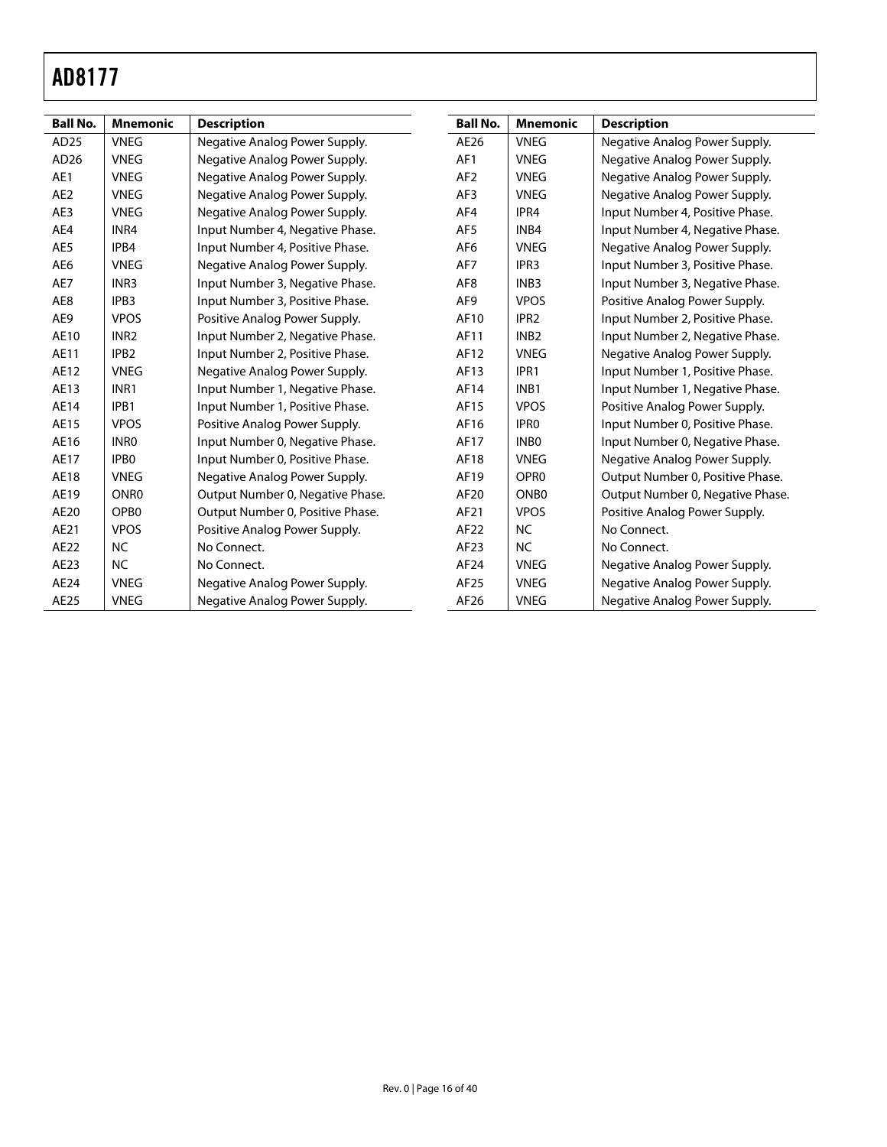| <b>Ball No.</b> | <b>Mnemonic</b>  | <b>Description</b>               | <b>Ball No.</b> | <b>Mnemonic</b>  | <b>Description</b>               |
|-----------------|------------------|----------------------------------|-----------------|------------------|----------------------------------|
| AD25            | <b>VNEG</b>      | Negative Analog Power Supply.    | AE26            | <b>VNEG</b>      | Negative Analog Power Supply.    |
| AD26            | <b>VNEG</b>      | Negative Analog Power Supply.    | AF1             | <b>VNEG</b>      | Negative Analog Power Supply.    |
| AE1             | <b>VNEG</b>      | Negative Analog Power Supply.    | AF <sub>2</sub> | <b>VNEG</b>      | Negative Analog Power Supply.    |
| AE <sub>2</sub> | <b>VNEG</b>      | Negative Analog Power Supply.    | AF3             | <b>VNEG</b>      | Negative Analog Power Supply.    |
| AE3             | <b>VNEG</b>      | Negative Analog Power Supply.    | AF4             | IPR4             | Input Number 4, Positive Phase.  |
| AE4             | INR4             | Input Number 4, Negative Phase.  | AF <sub>5</sub> | INB4             | Input Number 4, Negative Phase.  |
| AE5             | IPB4             | Input Number 4, Positive Phase.  | AF6             | <b>VNEG</b>      | Negative Analog Power Supply.    |
| AE6             | <b>VNEG</b>      | Negative Analog Power Supply.    | AF7             | IPR <sub>3</sub> | Input Number 3, Positive Phase.  |
| AE7             | INR <sub>3</sub> | Input Number 3, Negative Phase.  | AF <sub>8</sub> | INB <sub>3</sub> | Input Number 3, Negative Phase.  |
| AE8             | IPB3             | Input Number 3, Positive Phase.  | AF9             | <b>VPOS</b>      | Positive Analog Power Supply.    |
| AE9             | <b>VPOS</b>      | Positive Analog Power Supply.    | AF10            | IPR <sub>2</sub> | Input Number 2, Positive Phase.  |
| AE10            | INR <sub>2</sub> | Input Number 2, Negative Phase.  | AF11            | INB <sub>2</sub> | Input Number 2, Negative Phase.  |
| AE11            | IPB <sub>2</sub> | Input Number 2, Positive Phase.  | AF12            | <b>VNEG</b>      | Negative Analog Power Supply.    |
| AE12            | <b>VNEG</b>      | Negative Analog Power Supply.    | AF13            | IPR1             | Input Number 1, Positive Phase.  |
| AE13            | INR1             | Input Number 1, Negative Phase.  | AF14            | INB1             | Input Number 1, Negative Phase.  |
| AE14            | IPB1             | Input Number 1, Positive Phase.  | AF15            | <b>VPOS</b>      | Positive Analog Power Supply.    |
| <b>AE15</b>     | <b>VPOS</b>      | Positive Analog Power Supply.    | AF16            | <b>IPRO</b>      | Input Number 0, Positive Phase.  |
| AE16            | <b>INRO</b>      | Input Number 0, Negative Phase.  | AF17            | INB <sub>0</sub> | Input Number 0, Negative Phase.  |
| AE17            | IPB <sub>0</sub> | Input Number 0, Positive Phase.  | AF18            | <b>VNEG</b>      | Negative Analog Power Supply.    |
| <b>AE18</b>     | <b>VNEG</b>      | Negative Analog Power Supply.    | AF19            | OPR <sub>0</sub> | Output Number 0, Positive Phase. |
| AE19            | ONR <sub>0</sub> | Output Number 0, Negative Phase. | AF20            | ONB <sub>0</sub> | Output Number 0, Negative Phase. |
| AE20            | OPB <sub>0</sub> | Output Number 0, Positive Phase. | AF21            | <b>VPOS</b>      | Positive Analog Power Supply.    |
| AE21            | <b>VPOS</b>      | Positive Analog Power Supply.    | AF22            | <b>NC</b>        | No Connect.                      |
| AE22            | <b>NC</b>        | No Connect.                      | AF23            | <b>NC</b>        | No Connect.                      |
| AE23            | <b>NC</b>        | No Connect.                      | AF24            | <b>VNEG</b>      | Negative Analog Power Supply.    |
| AE24            | <b>VNEG</b>      | Negative Analog Power Supply.    | AF25            | <b>VNEG</b>      | Negative Analog Power Supply.    |
| AE25            | <b>VNEG</b>      | Negative Analog Power Supply.    | AF26            | <b>VNEG</b>      | Negative Analog Power Supply.    |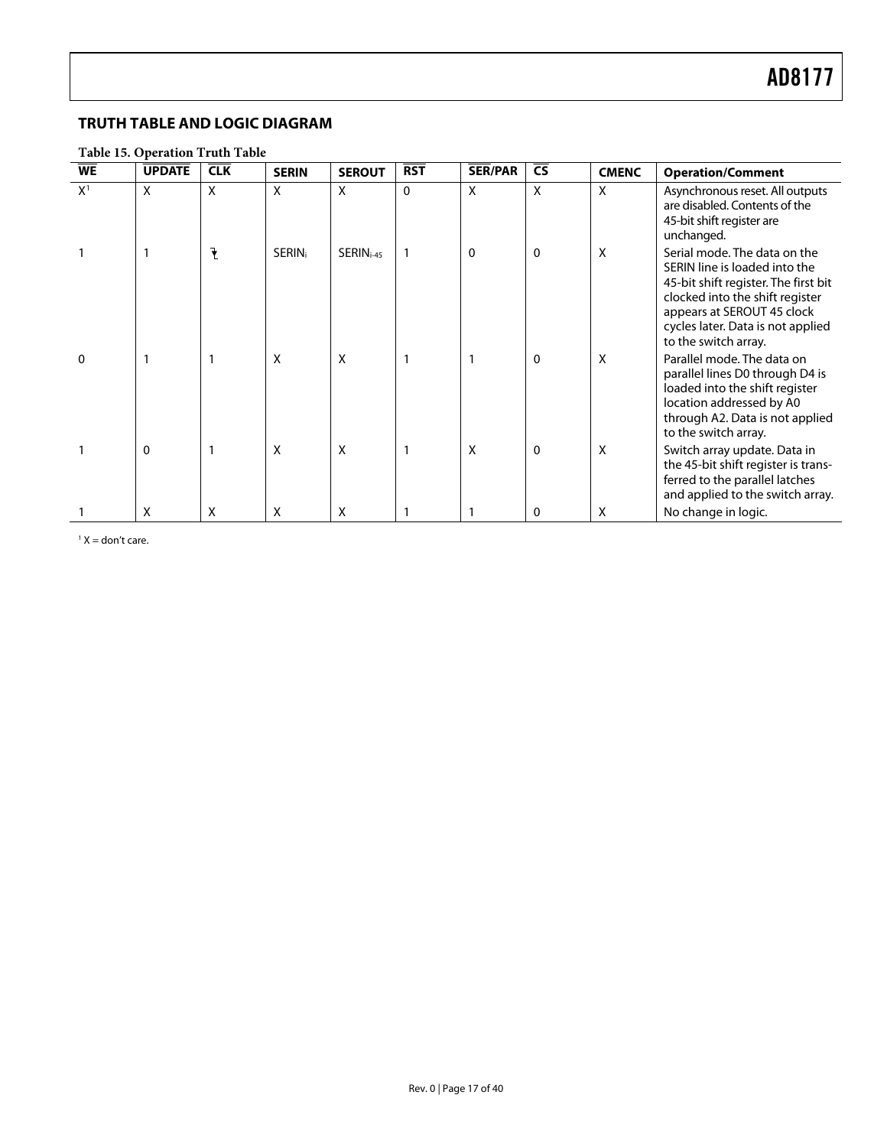## <span id="page-16-0"></span>**TRUTH TABLE AND LOGIC DIAGRAM**

| <b>WE</b>      | <b>UPDATE</b> | <b>CLK</b>   | <b>SERIN</b> | <b>SEROUT</b>         | <b>RST</b> | <b>SER/PAR</b> | <b>CS</b>    | <b>CMENC</b>              | <b>Operation/Comment</b>                                                                                                                                                                                                            |
|----------------|---------------|--------------|--------------|-----------------------|------------|----------------|--------------|---------------------------|-------------------------------------------------------------------------------------------------------------------------------------------------------------------------------------------------------------------------------------|
| X <sup>1</sup> | X             | $\mathsf{x}$ | X            | X                     | $\Omega$   | X              | X            | $\boldsymbol{\mathsf{X}}$ | Asynchronous reset. All outputs<br>are disabled. Contents of the<br>45-bit shift register are<br>unchanged.                                                                                                                         |
|                |               | ł            | <b>SERIN</b> | SERIN <sub>i-45</sub> |            | $\Omega$       | $\mathbf{0}$ | X                         | Serial mode. The data on the<br>SERIN line is loaded into the<br>45-bit shift register. The first bit<br>clocked into the shift register<br>appears at SEROUT 45 clock<br>cycles later. Data is not applied<br>to the switch array. |
| $\Omega$       |               |              | X            | X                     |            |                | 0            | $\boldsymbol{\mathsf{X}}$ | Parallel mode. The data on<br>parallel lines D0 through D4 is<br>loaded into the shift register<br>location addressed by A0<br>through A2. Data is not applied<br>to the switch array.                                              |
|                | 0             | 1            | X            | Χ                     |            | X              | 0            | $\boldsymbol{\mathsf{X}}$ | Switch array update. Data in<br>the 45-bit shift register is trans-<br>ferred to the parallel latches<br>and applied to the switch array.                                                                                           |
|                | χ             | Χ            | X            | Χ                     |            |                | 0            | X                         | No change in logic.                                                                                                                                                                                                                 |

## **Table 15. Operation Truth Table**

 $1 X =$  don't care.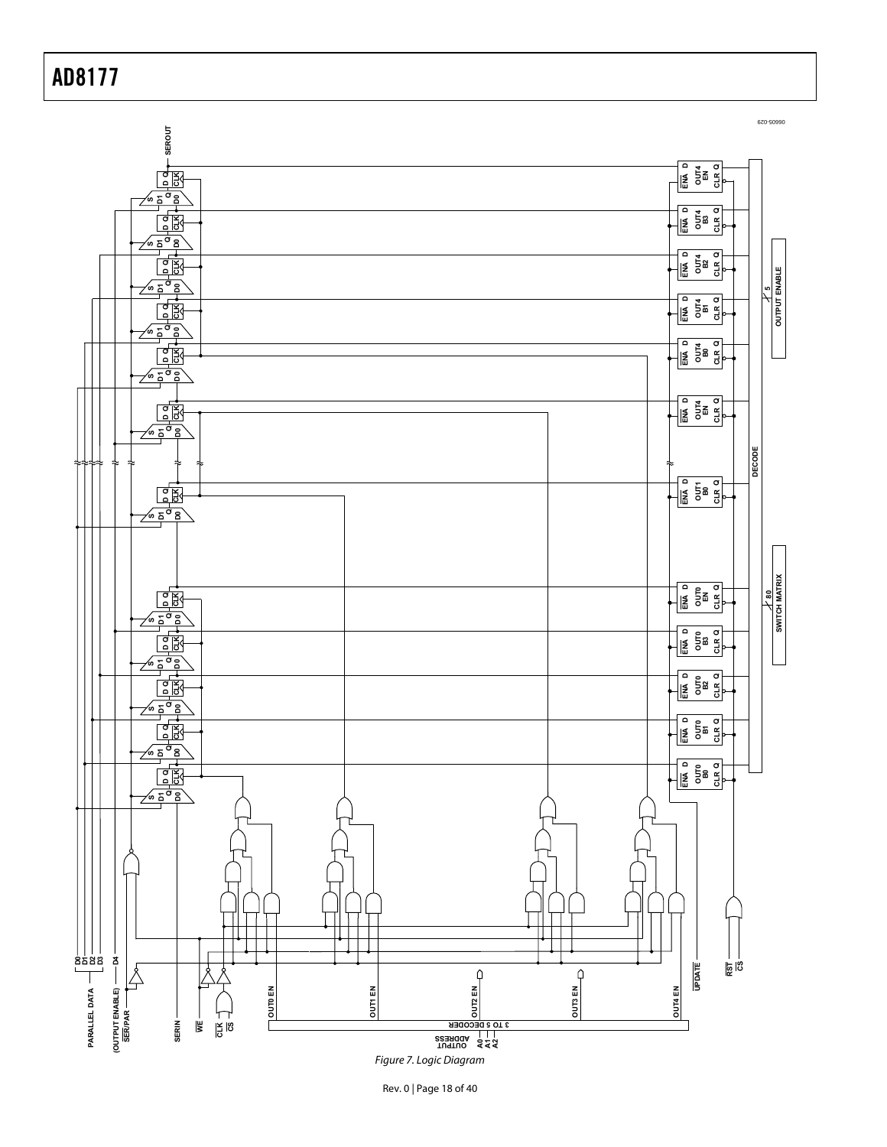06605-029 **SEROUT ENA D CLR Q OUT4 EN ENA**  $\frac{a}{b}$ **D1 D0 Q SENA D CLR Q OUT4 B3**  $\frac{a}{b}$  $^{\circ}$   $^{\circ}$   $^{\circ}$   $^{\circ}$ **ENA D CLR Q OUT4 B2**  $\frac{a}{b}$  $\begin{array}{c}\nA \\
\hline\n\end{array}$  OUTPUT ENABLE **SWITCH MATRIX OUTPUT ENABLE D1 D0 Q S80 5 ENA D CLR Q OUT4 B1**  $\frac{a}{b}$  $E_{\alpha}$ **SENA D CLR Q OUT4 B0**  $\frac{a}{b}$  $\mathbf{I}$  $^{\circ}$   $^{\circ}$   $^{\circ}$   $^{\circ}$ **ENA D CLR Q OUT4 EN CR D Q D Q**  $^{\circ}$   $^{\circ}$   $^{\circ}$   $^{\circ}$ **DECODE ENA D CLR Q OUT1 B0**  $\frac{1}{2}$  $\delta$   $\epsilon$   $\alpha$ **SWITCH MATRIX ENA D CLR Q OUT0 EN CLK**  $^{\circ}$   $^{\circ}$   $^{\circ}$   $^{\circ}$ **ENA D CLR Q OUT0 B3**  $\frac{a}{b}$ **D1 D0 Q S ENA D CLR Q OUT0 B2**  $\frac{1}{2}$ **D1 D0 Q SENA D CLR Q OUT0 B1**  $\frac{a}{b}$  $\delta$   $\epsilon$   $\sigma$ **D CLR Q OUT0 B0**  $\frac{1}{2}$  $^{\circ}$   $^{\circ}$   $^{\circ}$   $^{\circ}$ **D0 D1 D2 D3 D4** Ķ  $\frac{1}{2}$  $\frac{|\text{ours in } \Box}{|\text{unis in } \Box}$ **UPDATE RST CS OUT1 EN OUT4 EN OUT0 EN PARALLEL DATA (OUTPUT ENABLE)** ∆ **SER/PAR SERIN WE 3 TO 5 DECODER CLK CS LUSTION SESS**<br>RESERVED Figure 7. Logic Diagram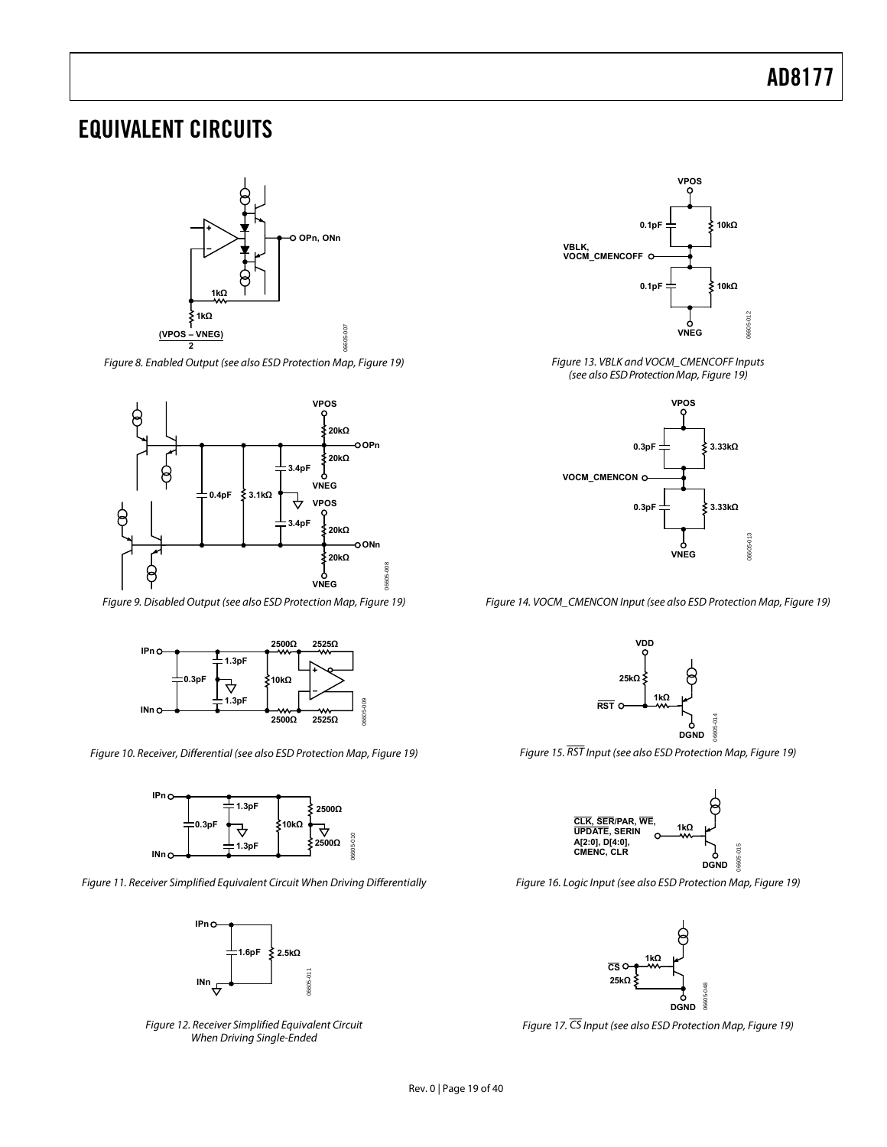## <span id="page-18-0"></span>EQUIVALENT CIRCUITS



Figure 8. Enabled Output (see also ESD Protection Map, [Figure 19\)](#page-19-0)



Figure 9. Disabled Output (see also ESD Protection Map, [Figure 19\)](#page-19-0)



Figure 10. Receiver, Differential (see also ESD Protection Map, [Figure 19](#page-19-0))



Figure 11. Receiver Simplified Equivalent Circuit When Driving Differentially



Figure 12. Receiver Simplified Equivalent Circuit When Driving Single-Ended



Figure 13. VBLK and VOCM\_CMENCOFF Inputs (see also ESD Protection Map, [Figure 19](#page-19-0))



Figure 14. VOCM\_CMENCON Input (see also ESD Protection Map, [Figure 19](#page-19-0))



Figure 15. RST Input (see also ESD Protection Map, [Figure 19\)](#page-19-0)



Figure 16. Logic Input (see also ESD Protection Map, [Figure 19](#page-19-0))



Figure 17. CS Input (see also ESD Protection Map, [Figure 19\)](#page-19-0)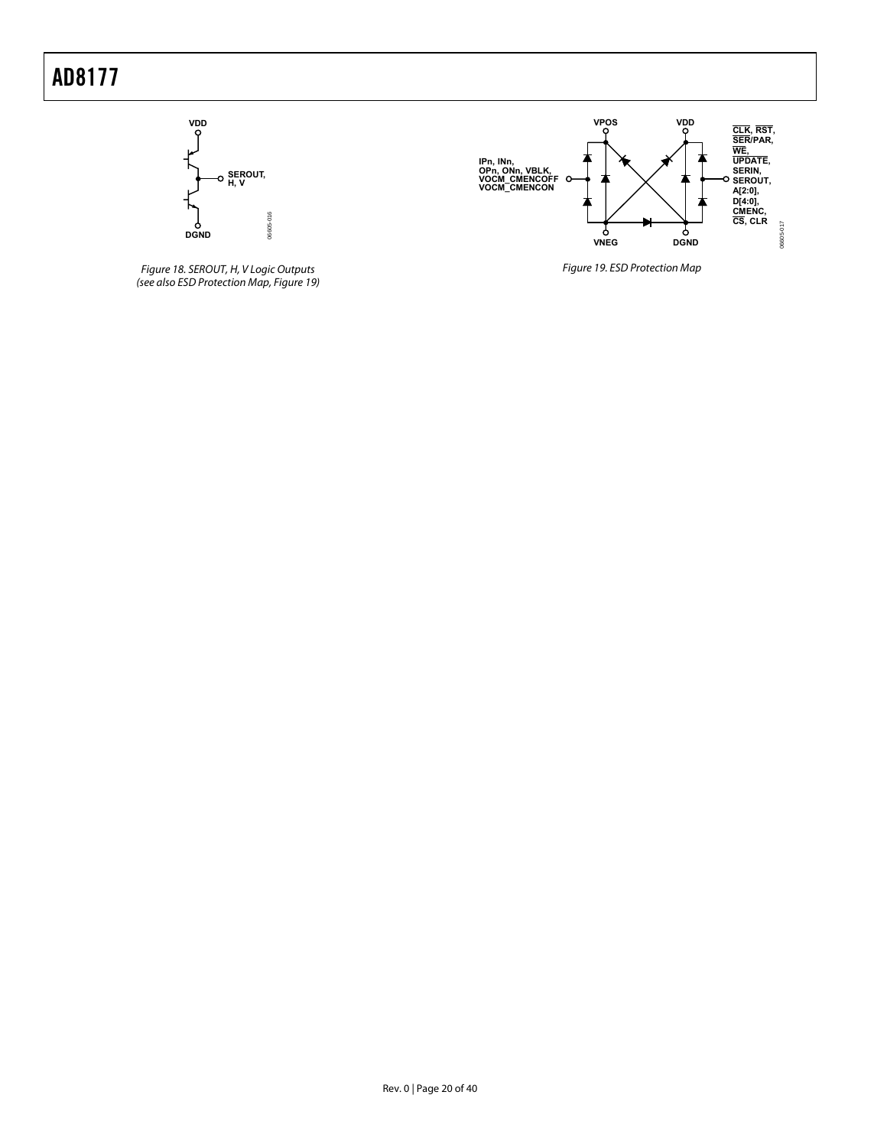



<span id="page-19-0"></span>Figure 18. SEROUT, H, V Logic Outputs (see also ESD Protection Map, [Figure 19\)](#page-19-0)

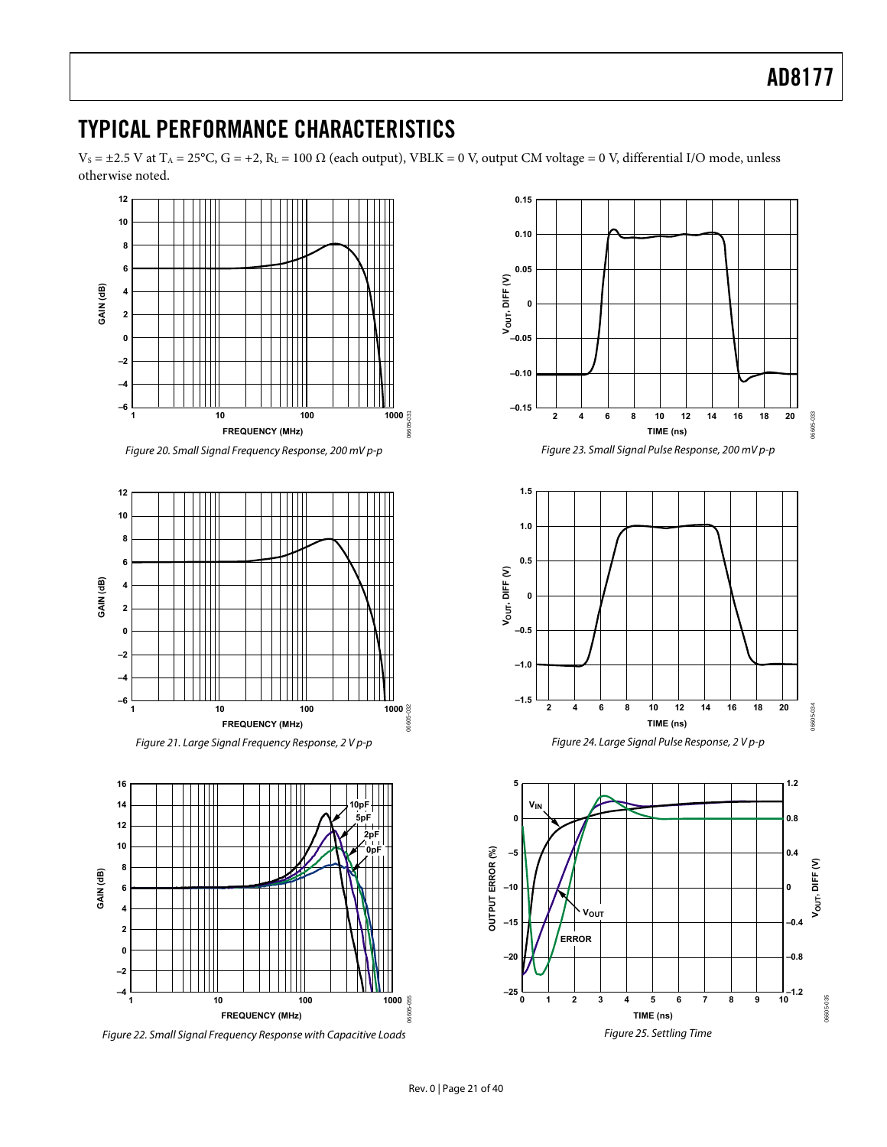## <span id="page-20-0"></span>TYPICAL PERFORMANCE CHARACTERISTICS

 $V_S = \pm 2.5$  V at T<sub>A</sub> = 25°C, G = +2, R<sub>L</sub> = 100  $\Omega$  (each output), VBLK = 0 V, output CM voltage = 0 V, differential I/O mode, unless otherwise noted.



Figure 22. Small Signal Frequency Response with Capacitive Loads



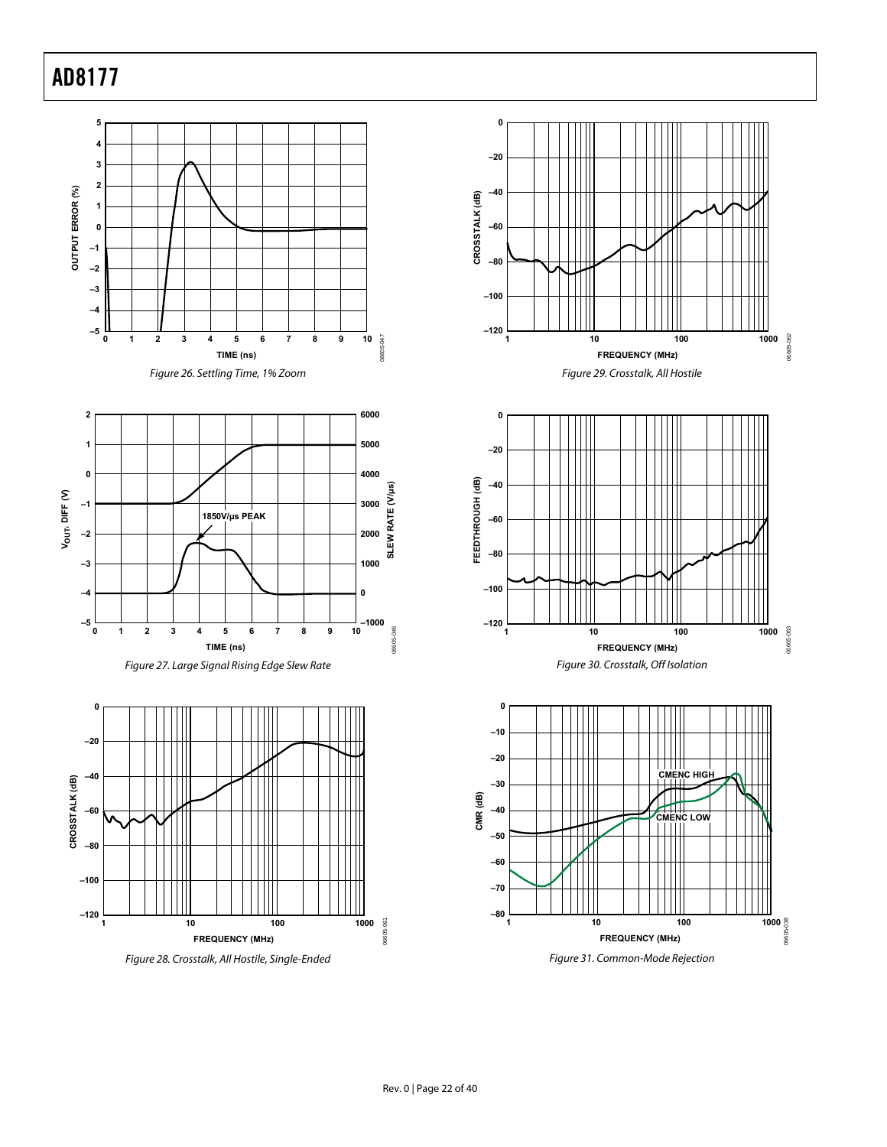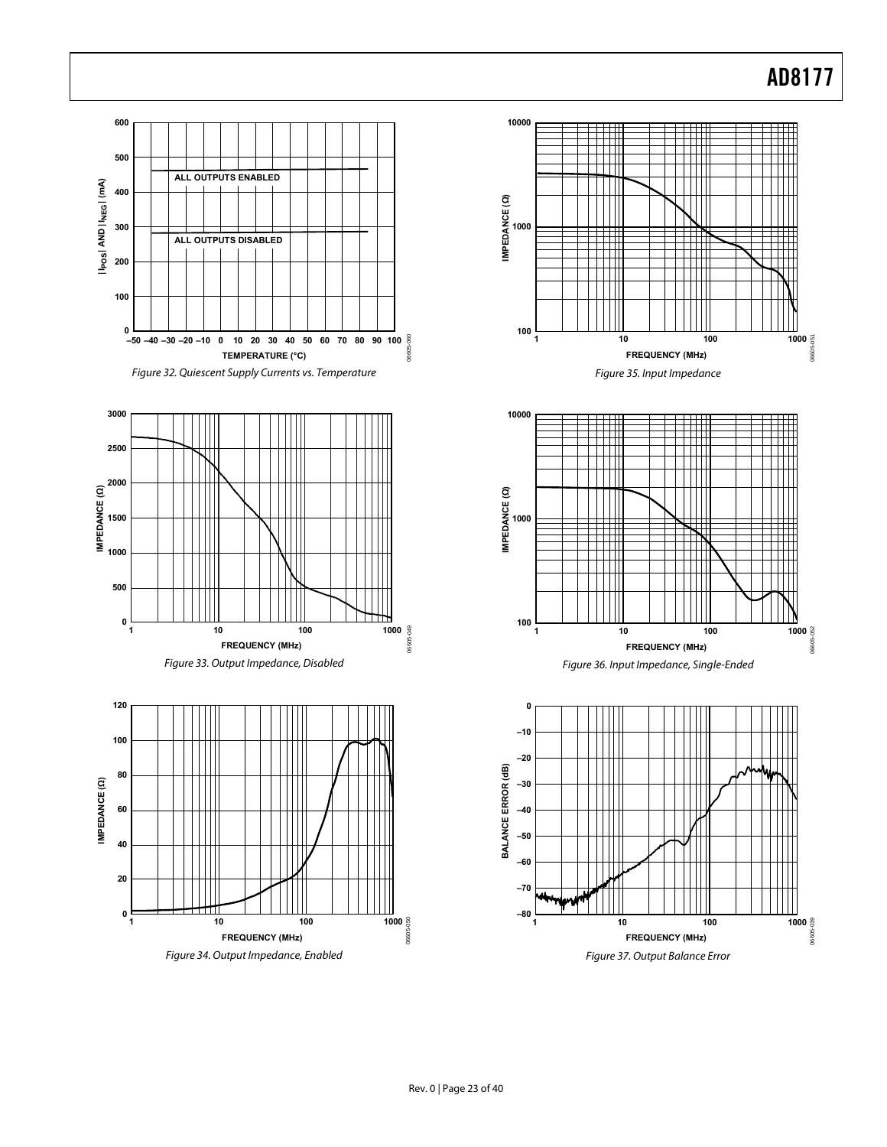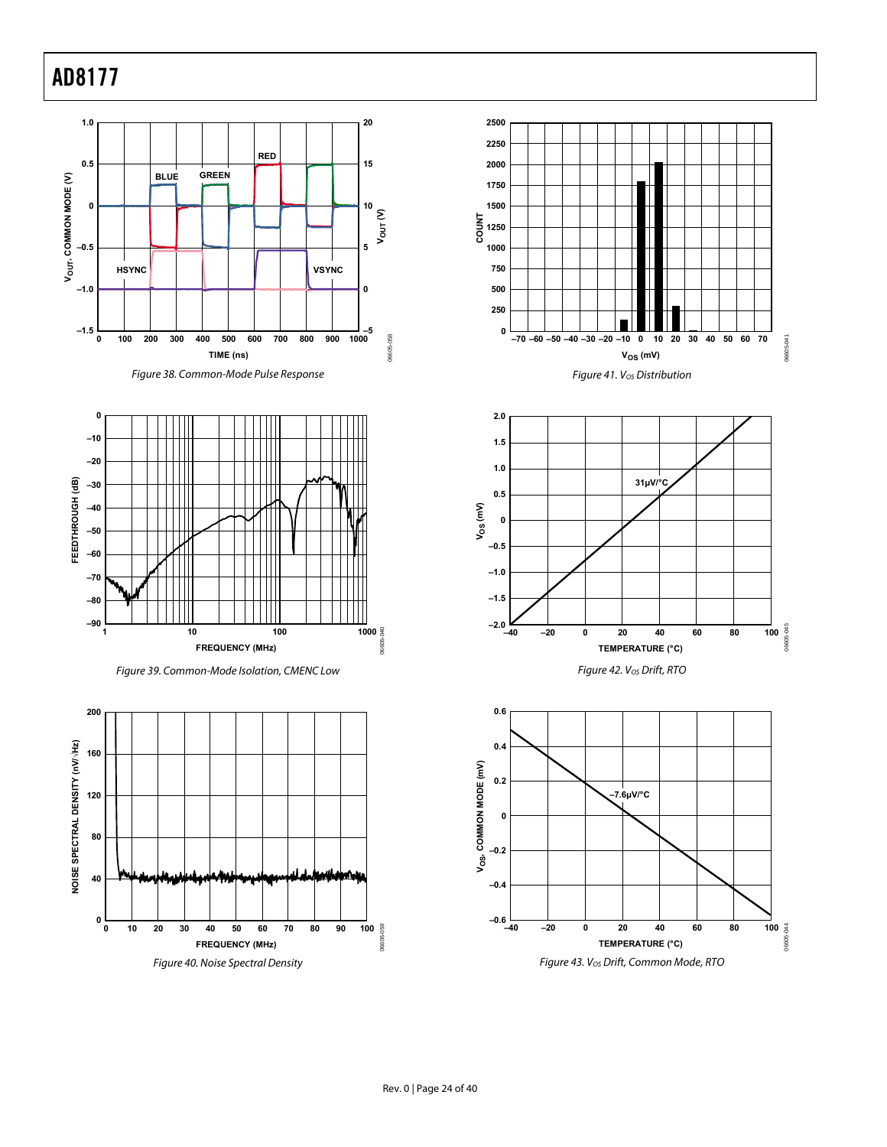











**–40 –20 0 20 40 60 80 100**

**TEMPERATURE (°C)**

Figure 42. Vos Drift, RTO

**–7.6µV/°C**

**–40 –20 0 20 40 60 80 100**

**31µV/°C**

06605-045

16605-045

06605-044

06605-

 $-044$ 

**VOS (mV)**

 $-2.0$   $-40$ **–1.5 –1.0 –0.5 0 0.5 1.0 1.5 2.0**

**VOS, COMMON MODE (mV)**

 $-0.6$   $-40$ 

**–0.4**

**–0.2**

**0**

**0.2**

**0.4**

**0.6**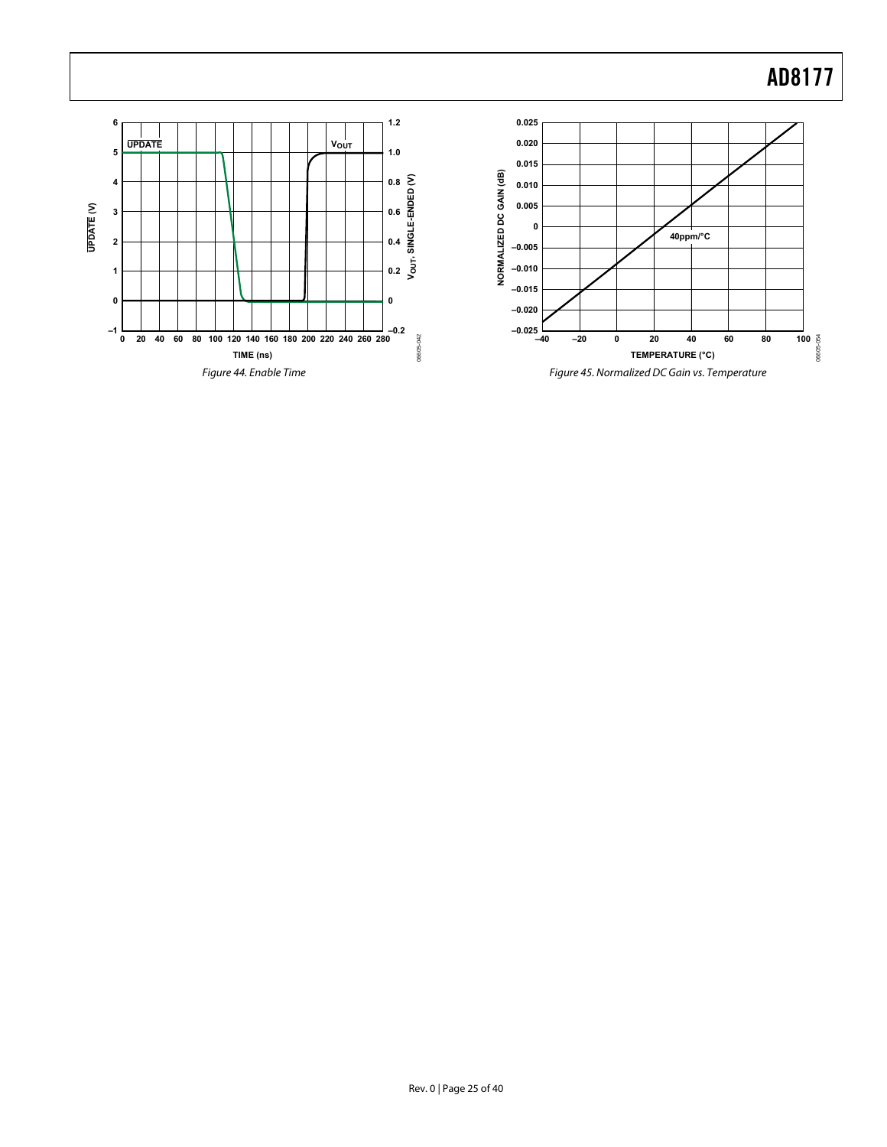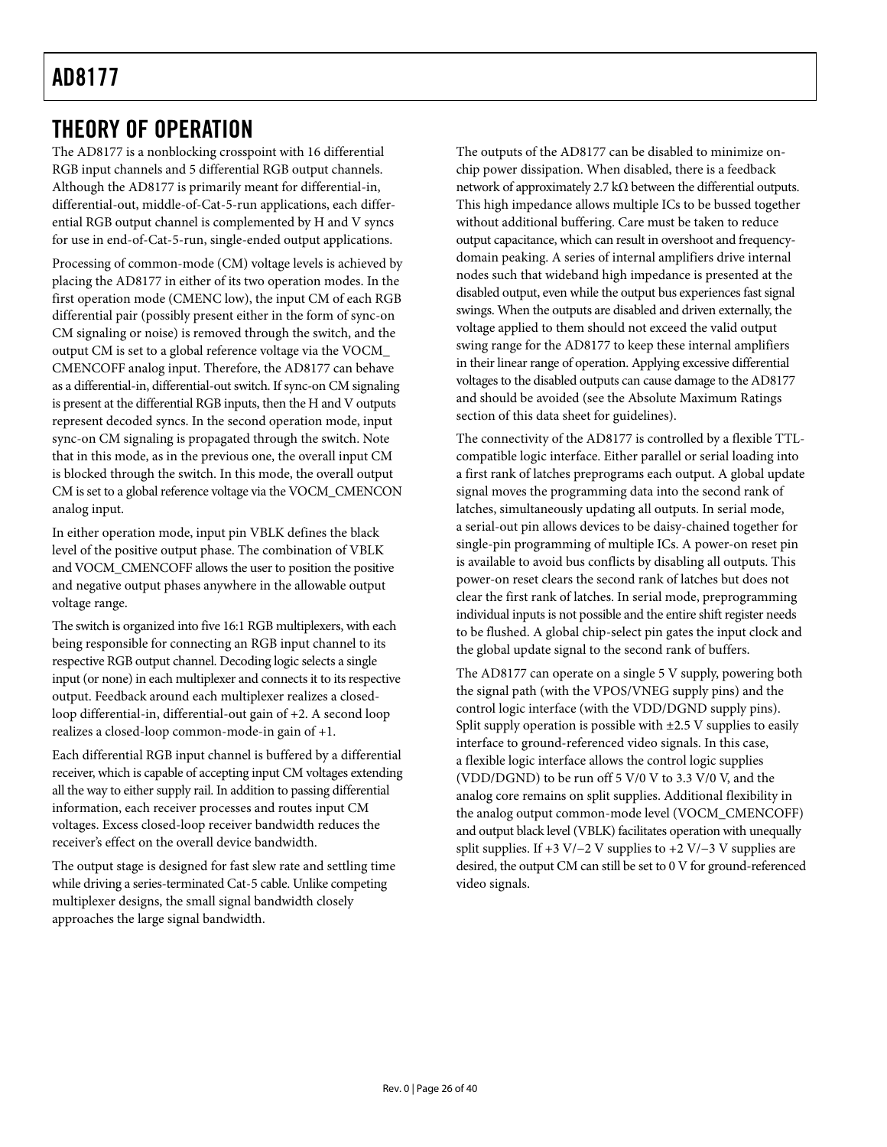## <span id="page-25-0"></span>THEORY OF OPERATION

The AD8177 is a nonblocking crosspoint with 16 differential RGB input channels and 5 differential RGB output channels. Although the AD8177 is primarily meant for differential-in, differential-out, middle-of-Cat-5-run applications, each differential RGB output channel is complemented by H and V syncs for use in end-of-Cat-5-run, single-ended output applications.

Processing of common-mode (CM) voltage levels is achieved by placing the AD8177 in either of its two operation modes. In the first operation mode (CMENC low), the input CM of each RGB differential pair (possibly present either in the form of sync-on CM signaling or noise) is removed through the switch, and the output CM is set to a global reference voltage via the VOCM\_ CMENCOFF analog input. Therefore, the AD8177 can behave as a differential-in, differential-out switch. If sync-on CM signaling is present at the differential RGB inputs, then the H and V outputs represent decoded syncs. In the second operation mode, input sync-on CM signaling is propagated through the switch. Note that in this mode, as in the previous one, the overall input CM is blocked through the switch. In this mode, the overall output CM is set to a global reference voltage via the VOCM\_CMENCON analog input.

In either operation mode, input pin VBLK defines the black level of the positive output phase. The combination of VBLK and VOCM\_CMENCOFF allows the user to position the positive and negative output phases anywhere in the allowable output voltage range.

The switch is organized into five 16:1 RGB multiplexers, with each being responsible for connecting an RGB input channel to its respective RGB output channel. Decoding logic selects a single input (or none) in each multiplexer and connects it to its respective output. Feedback around each multiplexer realizes a closedloop differential-in, differential-out gain of +2. A second loop realizes a closed-loop common-mode-in gain of +1.

Each differential RGB input channel is buffered by a differential receiver, which is capable of accepting input CM voltages extending all the way to either supply rail. In addition to passing differential information, each receiver processes and routes input CM voltages. Excess closed-loop receiver bandwidth reduces the receiver's effect on the overall device bandwidth.

The output stage is designed for fast slew rate and settling time while driving a series-terminated Cat-5 cable. Unlike competing multiplexer designs, the small signal bandwidth closely approaches the large signal bandwidth.

The outputs of the AD8177 can be disabled to minimize onchip power dissipation. When disabled, there is a feedback network of approximately 2.7 k $\Omega$  between the differential outputs. This high impedance allows multiple ICs to be bussed together without additional buffering. Care must be taken to reduce output capacitance, which can result in overshoot and frequencydomain peaking. A series of internal amplifiers drive internal nodes such that wideband high impedance is presented at the disabled output, even while the output bus experiences fast signal swings. When the outputs are disabled and driven externally, the voltage applied to them should not exceed the valid output swing range for the AD8177 to keep these internal amplifiers in their linear range of operation. Applying excessive differential voltages to the disabled outputs can cause damage to the AD8177 and should be avoided (see the [Absolute Maximum Ratings](#page-6-1) section of this data sheet for guidelines).

The connectivity of the AD8177 is controlled by a flexible TTLcompatible logic interface. Either parallel or serial loading into a first rank of latches preprograms each output. A global update signal moves the programming data into the second rank of latches, simultaneously updating all outputs. In serial mode, a serial-out pin allows devices to be daisy-chained together for single-pin programming of multiple ICs. A power-on reset pin is available to avoid bus conflicts by disabling all outputs. This power-on reset clears the second rank of latches but does not clear the first rank of latches. In serial mode, preprogramming individual inputs is not possible and the entire shift register needs to be flushed. A global chip-select pin gates the input clock and the global update signal to the second rank of buffers.

The AD8177 can operate on a single 5 V supply, powering both the signal path (with the VPOS/VNEG supply pins) and the control logic interface (with the VDD/DGND supply pins). Split supply operation is possible with  $\pm 2.5$  V supplies to easily interface to ground-referenced video signals. In this case, a flexible logic interface allows the control logic supplies (VDD/DGND) to be run off 5 V/0 V to 3.3 V/0 V, and the analog core remains on split supplies. Additional flexibility in the analog output common-mode level (VOCM\_CMENCOFF) and output black level (VBLK) facilitates operation with unequally split supplies. If +3 V/−2 V supplies to +2 V/−3 V supplies are desired, the output CM can still be set to 0 V for ground-referenced video signals.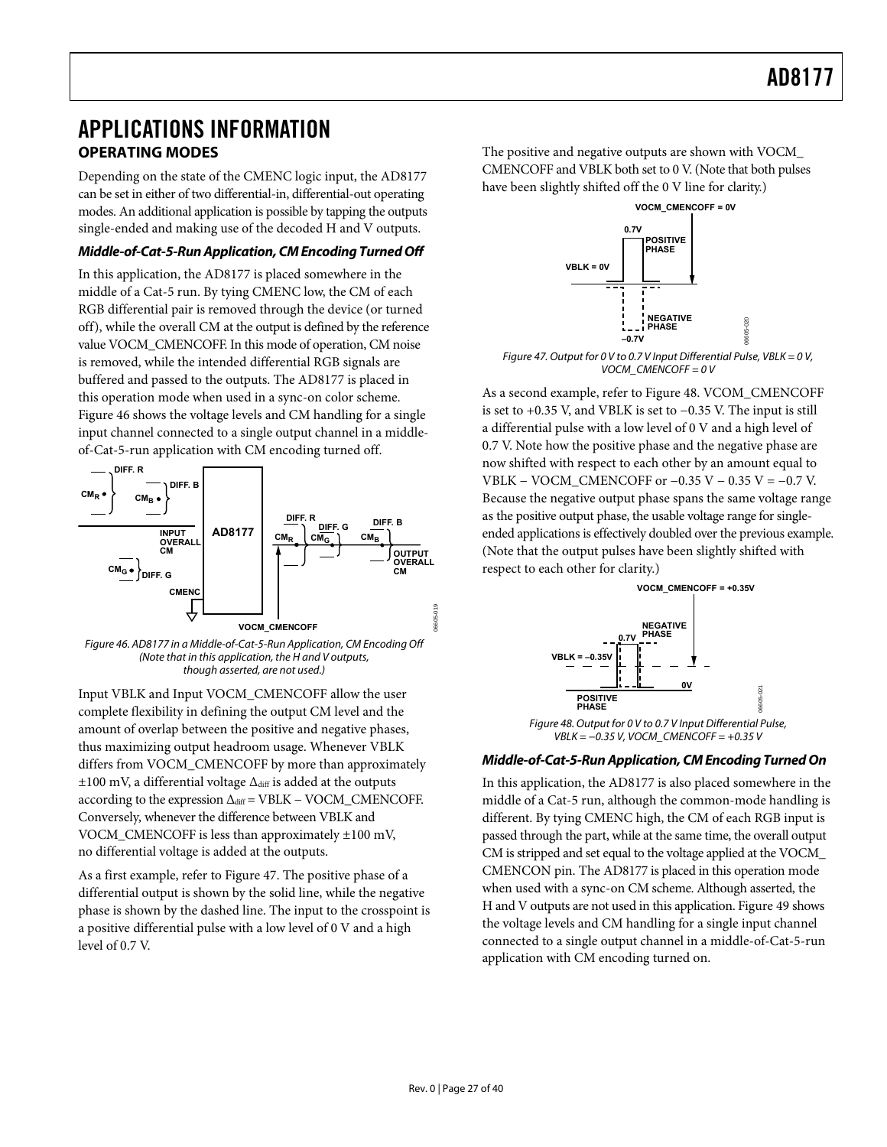## <span id="page-26-0"></span>APPLICATIONS INFORMATION **OPERATING MODES**

Depending on the state of the CMENC logic input, the AD8177 can be set in either of two differential-in, differential-out operating modes. An additional application is possible by tapping the outputs single-ended and making use of the decoded H and V outputs.

### <span id="page-26-4"></span>**Middle-of-Cat-5-Run Application, CM Encoding Turned Off**

<span id="page-26-2"></span>In this application, the AD8177 is placed somewhere in the middle of a Cat-5 run. By tying CMENC low, the CM of each RGB differential pair is removed through the device (or turned off), while the overall CM at the output is defined by the reference value VOCM\_CMENCOFF. In this mode of operation, CM noise is removed, while the intended differential RGB signals are buffered and passed to the outputs. The AD8177 is placed in this operation mode when used in a sync-on color scheme. [Figure 46](#page-26-1) shows the voltage levels and CM handling for a single input channel connected to a single output channel in a middleof-Cat-5-run application with CM encoding turned off.



<span id="page-26-1"></span>Figure 46. AD8177 in a Middle-of-Cat-5-Run Application, CM Encoding Off (Note that in this application, the H and V outputs, though asserted, are not used.)

<span id="page-26-3"></span>Input VBLK and Input VOCM\_CMENCOFF allow the user complete flexibility in defining the output CM level and the amount of overlap between the positive and negative phases, thus maximizing output headroom usage. Whenever VBLK differs from VOCM\_CMENCOFF by more than approximately  $\pm 100$  mV, a differential voltage  $\Delta_{\text{diff}}$  is added at the outputs according to the expression  $\Delta_{diff}$  = VBLK – VOCM\_CMENCOFF. Conversely, whenever the difference between VBLK and VOCM\_CMENCOFF is less than approximately ±100 mV, no differential voltage is added at the outputs.

As a first example, refer to [Figure 47.](#page-26-2) The positive phase of a differential output is shown by the solid line, while the negative phase is shown by the dashed line. The input to the crosspoint is a positive differential pulse with a low level of 0 V and a high level of 0.7 V.

The positive and negative outputs are shown with VOCM\_ CMENCOFF and VBLK both set to 0 V. (Note that both pulses have been slightly shifted off the 0 V line for clarity.)



Figure 47. Output for 0 V to 0.7 V Input Differential Pulse, VBLK = 0 V, VOCM\_CMENCOFF = 0 V

As a second example, refer to [Figure 48](#page-26-3). VCOM\_CMENCOFF is set to +0.35 V, and VBLK is set to −0.35 V. The input is still a differential pulse with a low level of 0 V and a high level of 0.7 V. Note how the positive phase and the negative phase are now shifted with respect to each other by an amount equal to VBLK – VOCM\_CMENCOFF or  $-0.35$  V –  $0.35$  V =  $-0.7$  V. Because the negative output phase spans the same voltage range as the positive output phase, the usable voltage range for singleended applications is effectively doubled over the previous example. (Note that the output pulses have been slightly shifted with respect to each other for clarity.)



VBLK = −0.35 V, VOCM\_CMENCOFF = +0.35 V

### **Middle-of-Cat-5-Run Application, CM Encoding Turned On**

In this application, the AD8177 is also placed somewhere in the middle of a Cat-5 run, although the common-mode handling is different. By tying CMENC high, the CM of each RGB input is passed through the part, while at the same time, the overall output CM is stripped and set equal to the voltage applied at the VOCM\_ CMENCON pin. The AD8177 is placed in this operation mode when used with a sync-on CM scheme. Although asserted, the H and V outputs are not used in this application. [Figure 49](#page-27-1) shows the voltage levels and CM handling for a single input channel connected to a single output channel in a middle-of-Cat-5-run application with CM encoding turned on.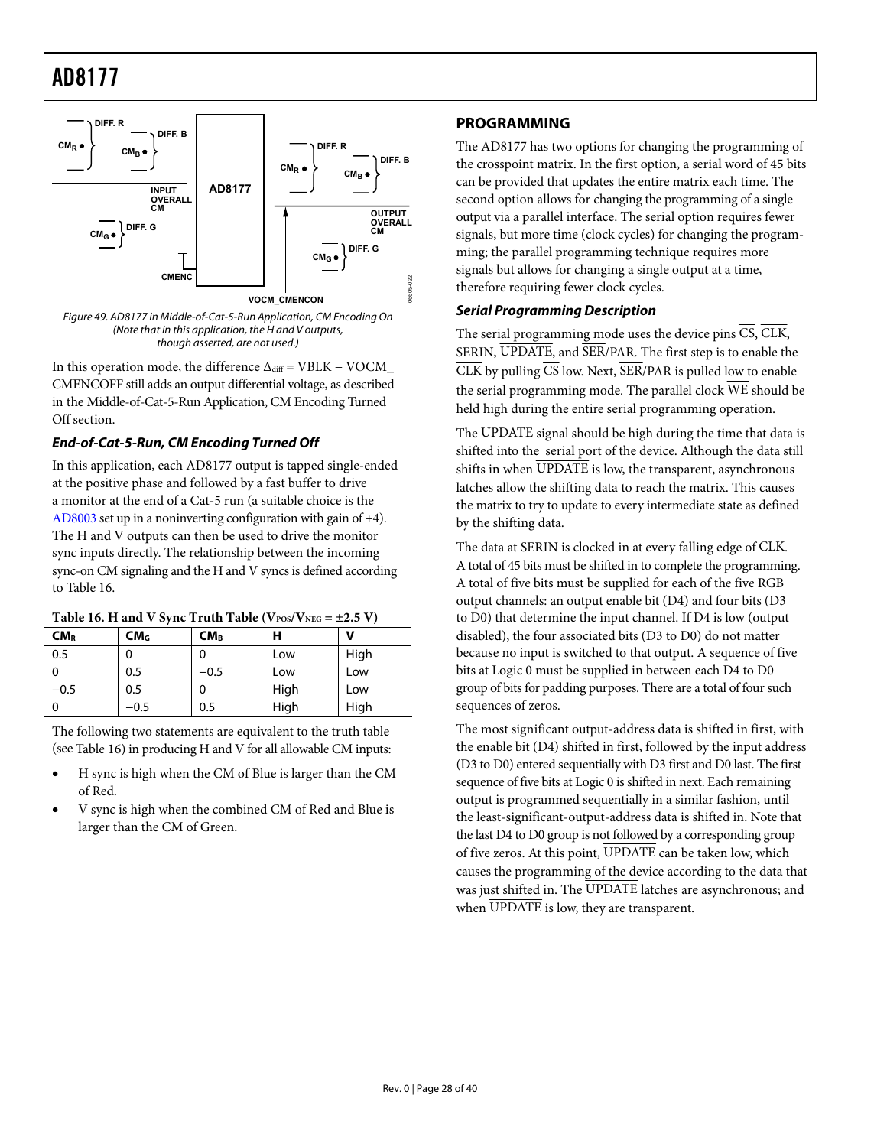<span id="page-27-0"></span>

<span id="page-27-3"></span><span id="page-27-1"></span>Figure 49. AD8177 in Middle-of-Cat-5-Run Application, CM Encoding On (Note that in this application, the H and V outputs, though asserted, are not used.)

In this operation mode, the difference  $\Delta_{\text{diff}} = \text{VBLK} - \text{VOCM}$ CMENCOFF still adds an output differential voltage, as described in the [Middle-of-Cat-5-Run Application, CM Encoding Turned](#page-26-4)  [Off](#page-26-4) section.

## **End-of-Cat-5-Run, CM Encoding Turned Off**

In this application, each AD8177 output is tapped single-ended at the positive phase and followed by a fast buffer to drive a monitor at the end of a Cat-5 run (a suitable choice is the [AD8003](http://www.analog.com/AD8003) set up in a noninverting configuration with gain of +4). The H and V outputs can then be used to drive the monitor sync inputs directly. The relationship between the incoming sync-on CM signaling and the H and V syncs is defined according to [Table 16](#page-27-2).

|  |  |  |  |  | Table 16. H and V Sync Truth Table ( $V_{POS}/V_{NEG} = \pm 2.5 V$ ) |
|--|--|--|--|--|----------------------------------------------------------------------|
|--|--|--|--|--|----------------------------------------------------------------------|

<span id="page-27-2"></span>

| <b>CMR</b> | CM <sub>G</sub> | <b>CMB</b> | н    | V    |
|------------|-----------------|------------|------|------|
| 0.5        | 0               | 0          | Low  | High |
| 0          | 0.5             | $-0.5$     | Low  | Low  |
| $-0.5$     | 0.5             | 0          | High | Low  |
|            | $-0.5$          | 0.5        | High | High |
|            |                 |            |      |      |

The following two statements are equivalent to the truth table (see [Table 16](#page-27-2)) in producing H and V for all allowable CM inputs:

- H sync is high when the CM of Blue is larger than the CM of Red.
- V sync is high when the combined CM of Red and Blue is larger than the CM of Green.

## **PROGRAMMING**

The AD8177 has two options for changing the programming of the crosspoint matrix. In the first option, a serial word of 45 bits can be provided that updates the entire matrix each time. The second option allows for changing the programming of a single output via a parallel interface. The serial option requires fewer signals, but more time (clock cycles) for changing the programming; the parallel programming technique requires more signals but allows for changing a single output at a time, therefore requiring fewer clock cycles.

## **Serial Programming Description**

The serial programming mode uses the device pins  $\overline{\text{CS}}, \overline{\text{CLK}},$ SERIN, UPDATE, and SER/PAR. The first step is to enable the  $\overline{\text{CLK}}$  by pulling  $\overline{\text{CS}}$  low. Next,  $\overline{\text{SER}}$ /PAR is pulled low to enable the serial programming mode. The parallel clock WE should be held high during the entire serial programming operation.

The UPDATE signal should be high during the time that data is shifted into the serial port of the device. Although the data still shifts in when UPDATE is low, the transparent, asynchronous latches allow the shifting data to reach the matrix. This causes the matrix to try to update to every intermediate state as defined by the shifting data.

The data at SERIN is clocked in at every falling edge of CLK. A total of 45 bits must be shifted in to complete the programming. A total of five bits must be supplied for each of the five RGB output channels: an output enable bit (D4) and four bits (D3 to D0) that determine the input channel. If D4 is low (output disabled), the four associated bits (D3 to D0) do not matter because no input is switched to that output. A sequence of five bits at Logic 0 must be supplied in between each D4 to D0 group of bits for padding purposes. There are a total of four such sequences of zeros.

Fried Seri<br>
Seri<br>
The SER the seri<br>
The SER the shift<br>
and The shift<br>
led The shift<br>
latch<br>
the shift<br>
latch<br>
the shift<br>
latch<br>
the shift<br>
distributed the rung A to A to<br>
outp<br>
to D distal<br>
beca<br>
bits grou sequ<br>
sequ<br>
ce T The most significant output-address data is shifted in first, with the enable bit (D4) shifted in first, followed by the input address (D3 to D0) entered sequentially with D3 first and D0 last. The first sequence of five bits at Logic 0 is shifted in next. Each remaining output is programmed sequentially in a similar fashion, until the least-significant-output-address data is shifted in. Note that the last D4 to D0 group is not followed by a corresponding group of five zeros. At this point, UPDATE can be taken low, which causes the programming of the device according to the data that was just shifted in. The UPDATE latches are asynchronous; and when UPDATE is low, they are transparent.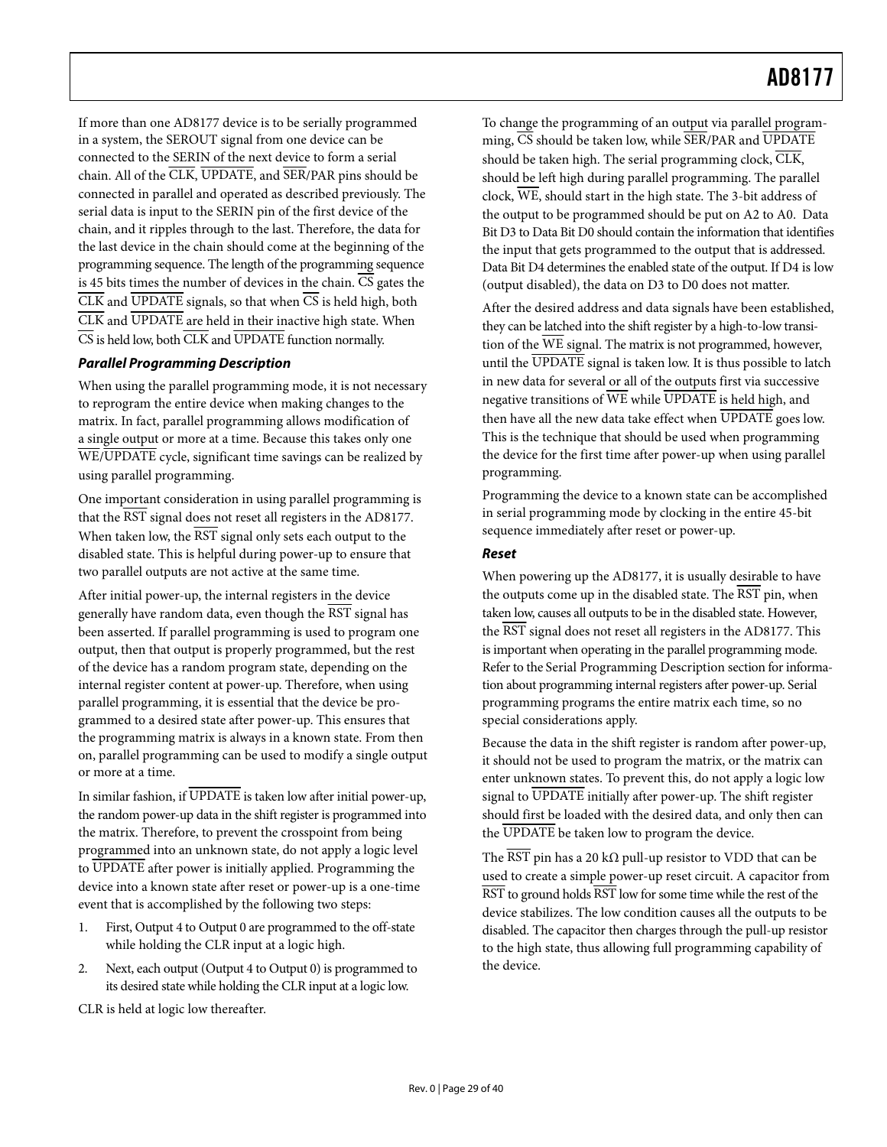If more than one AD8177 device is to be serially programmed in a system, the SEROUT signal from one device can be connected to the SERIN of the next device to form a serial chain. All of the CLK, UPDATE, and SER/PAR pins should be connected in parallel and operated as described previously. The serial data is input to the SERIN pin of the first device of the chain, and it ripples through to the last. Therefore, the data for the last device in the chain should come at the beginning of the programming sequence. The length of the programming sequence is 45 bits times the number of devices in the chain. CS gates the CLK and UPDATE signals, so that when CS is held high, both CLK and UPDATE are held in their inactive high state. When  $\overline{\text{CS}}$  is held low, both  $\overline{\text{CLK}}$  and  $\overline{\text{UPDATE}}$  function normally.

### **Parallel Programming Description**

When using the parallel programming mode, it is not necessary to reprogram the entire device when making changes to the matrix. In fact, parallel programming allows modification of a single output or more at a time. Because this takes only one WE/UPDATE cycle, significant time savings can be realized by using parallel programming.

One important consideration in using parallel programming is that the RST signal does not reset all registers in the AD8177. When taken low, the  $\overline{\text{RST}}$  signal only sets each output to the disabled state. This is helpful during power-up to ensure that two parallel outputs are not active at the same time.

After initial power-up, the internal registers in the device generally have random data, even though the  $\overline{\text{RST}}$  signal has been asserted. If parallel programming is used to program one output, then that output is properly programmed, but the rest of the device has a random program state, depending on the internal register content at power-up. Therefore, when using parallel programming, it is essential that the device be programmed to a desired state after power-up. This ensures that the programming matrix is always in a known state. From then on, parallel programming can be used to modify a single output or more at a time.

In similar fashion, if UPDATE is taken low after initial power-up, the random power-up data in the shift register is programmed into the matrix. Therefore, to prevent the crosspoint from being programmed into an unknown state, do not apply a logic level to UPDATE after power is initially applied. Programming the device into a known state after reset or power-up is a one-time event that is accomplished by the following two steps:

- 1. First, Output 4 to Output 0 are programmed to the off-state while holding the CLR input at a logic high.
- 2. Next, each output (Output 4 to Output 0) is programmed to its desired state while holding the CLR input at a logic low.

CLR is held at logic low thereafter.

To change the programming of an output via parallel programming,  $\overline{CS}$  should be taken low, while  $\overline{SER}/PAR$  and  $\overline{UPDATE}$ should be taken high. The serial programming clock,  $\overline{\text{CLK}}$ , should be left high during parallel programming. The parallel clock, WE, should start in the high state. The 3-bit address of the output to be programmed should be put on A2 to A0. Data Bit D3 to Data Bit D0 should contain the information that identifies the input that gets programmed to the output that is addressed. Data Bit D4 determines the enabled state of the output. If D4 is low (output disabled), the data on D3 to D0 does not matter.

After the desired address and data signals have been established, they can be latched into the shift register by a high-to-low transition of the  $\overline{WE}$  signal. The matrix is not programmed, however, until the UPDATE signal is taken low. It is thus possible to latch in new data for several or all of the outputs first via successive negative transitions of  $\overline{\text{WE}}$  while  $\overline{\text{UPDATE}}$  is held high, and then have all the new data take effect when UPDATE goes low. This is the technique that should be used when programming the device for the first time after power-up when using parallel programming.

Programming the device to a known state can be accomplished in serial programming mode by clocking in the entire 45-bit sequence immediately after reset or power-up.

### **Reset**

When powering up the AD8177, it is usually desirable to have the outputs come up in the disabled state. The  $\overline{\text{RST}}$  pin, when taken low, causes all outputs to be in the disabled state. However, the RST signal does not reset all registers in the AD8177. This is important when operating in the parallel programming mode. Refer to the [Serial Programming Description](#page-27-3) section for information about programming internal registers after power-up. Serial programming programs the entire matrix each time, so no special considerations apply.

Because the data in the shift register is random after power-up, it should not be used to program the matrix, or the matrix can enter unknown states. To prevent this, do not apply a logic low signal to UPDATE initially after power-up. The shift register should first be loaded with the desired data, and only then can the UPDATE be taken low to program the device.

The  $\overline{\text{RST}}$  pin has a 20 k $\Omega$  pull-up resistor to VDD that can be used to create a simple power-up reset circuit. A capacitor from RST to ground holds RST low for some time while the rest of the device stabilizes. The low condition causes all the outputs to be disabled. The capacitor then charges through the pull-up resistor to the high state, thus allowing full programming capability of the device.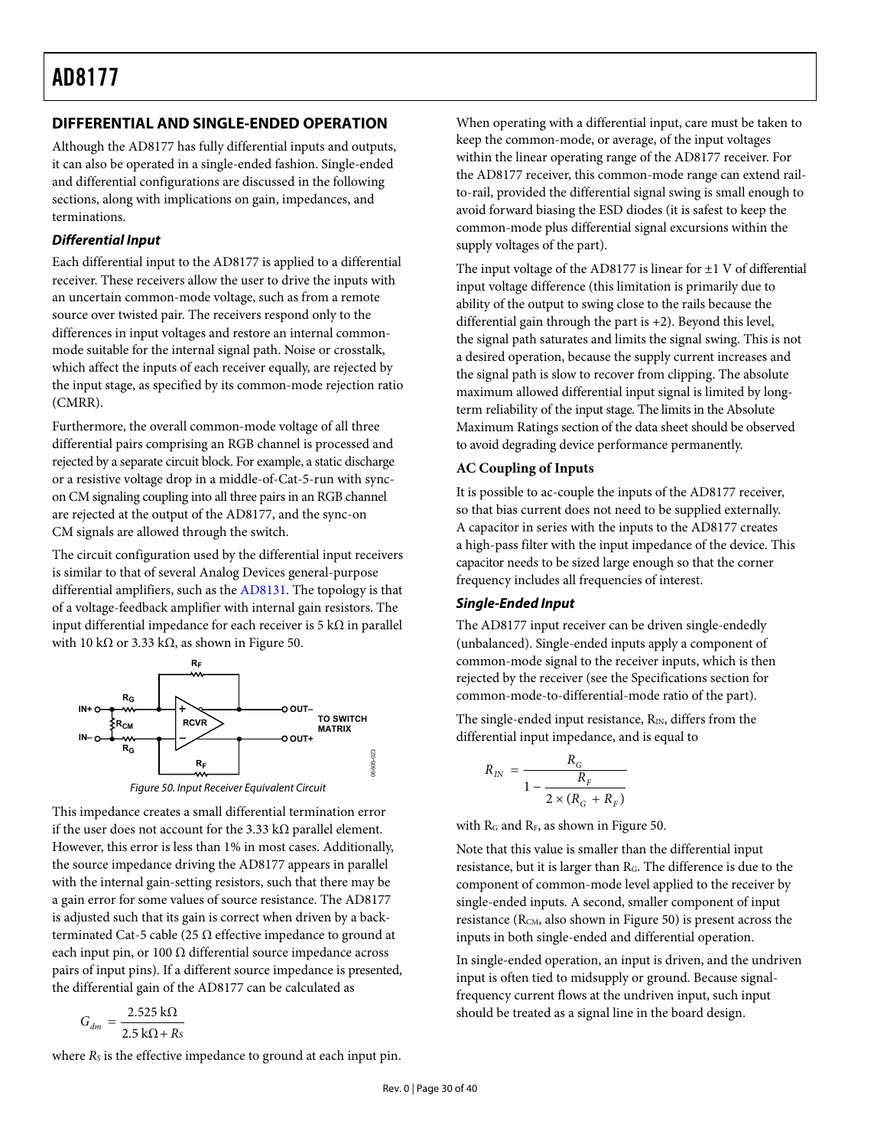### <span id="page-29-0"></span>**DIFFERENTIAL AND SINGLE-ENDED OPERATION**

Although the AD8177 has fully differential inputs and outputs, it can also be operated in a single-ended fashion. Single-ended and differential configurations are discussed in the following sections, along with implications on gain, impedances, and terminations.

### **Differential Input**

Each differential input to the AD8177 is applied to a differential receiver. These receivers allow the user to drive the inputs with an uncertain common-mode voltage, such as from a remote source over twisted pair. The receivers respond only to the differences in input voltages and restore an internal commonmode suitable for the internal signal path. Noise or crosstalk, which affect the inputs of each receiver equally, are rejected by the input stage, as specified by its common-mode rejection ratio (CMRR).

Furthermore, the overall common-mode voltage of all three differential pairs comprising an RGB channel is processed and rejected by a separate circuit block. For example, a static discharge or a resistive voltage drop in a middle-of-Cat-5-run with syncon CM signaling coupling into all three pairs in an RGB channel are rejected at the output of the AD8177, and the sync-on CM signals are allowed through the switch.

The circuit configuration used by the differential input receivers is similar to that of several Analog Devices general-purpose differential amplifiers, such as the [AD8131.](http://www.analog.com/ad8131) The topology is that of a voltage-feedback amplifier with internal gain resistors. The input differential impedance for each receiver is 5 kΩ in parallel with 10 kΩ or 3.33 kΩ, as shown in [Figure 50](#page-29-1).





<span id="page-29-1"></span>This impedance creates a small differential termination error if the user does not account for the 3.33 k $\Omega$  parallel element. However, this error is less than 1% in most cases. Additionally, the source impedance driving the AD8177 appears in parallel with the internal gain-setting resistors, such that there may be a gain error for some values of source resistance. The AD8177 is adjusted such that its gain is correct when driven by a backterminated Cat-5 cable (25  $\Omega$  effective impedance to ground at each input pin, or 100  $\Omega$  differential source impedance across pairs of input pins). If a different source impedance is presented, the differential gain of the AD8177 can be calculated as

$$
G_{dm} = \frac{2.525 \text{ k}\Omega}{2.5 \text{ k}\Omega + Rs}
$$

where  $R_s$  is the effective impedance to ground at each input pin.

When operating with a differential input, care must be taken to keep the common-mode, or average, of the input voltages within the linear operating range of the AD8177 receiver. For the AD8177 receiver, this common-mode range can extend railto-rail, provided the differential signal swing is small enough to avoid forward biasing the ESD diodes (it is safest to keep the common-mode plus differential signal excursions within the supply voltages of the part).

The input voltage of the AD8177 is linear for  $\pm 1$  V of differential input voltage difference (this limitation is primarily due to ability of the output to swing close to the rails because the differential gain through the part is +2). Beyond this level, the signal path saturates and limits the signal swing. This is not a desired operation, because the supply current increases and the signal path is slow to recover from clipping. The absolute maximum allowed differential input signal is limited by longterm reliability of the input stage. The limits in the [Absolute](#page-6-1)  [Maximum Ratings](#page-6-1) section of the data sheet should be observed to avoid degrading device performance permanently.

### **AC Coupling of Inputs**

It is possible to ac-couple the inputs of the AD8177 receiver, so that bias current does not need to be supplied externally. A capacitor in series with the inputs to the AD8177 creates a high-pass filter with the input impedance of the device. This capacitor needs to be sized large enough so that the corner frequency includes all frequencies of interest.

#### **Single-Ended Input**

The AD8177 input receiver can be driven single-endedly (unbalanced). Single-ended inputs apply a component of common-mode signal to the receiver inputs, which is then rejected by the receiver (see the [Specifications](#page-2-1) section for common-mode-to-differential-mode ratio of the part).

The single-ended input resistance,  $R_{IN}$ , differs from the differential input impedance, and is equal to

$$
R_{IN} = \frac{R_G}{1 - \frac{R_F}{2 \times (R_G + R_F)}}
$$

with  $R_G$  and  $R_F$ , as shown in [Figure 50](#page-29-1).

Note that this value is smaller than the differential input resistance, but it is larger than RG. The difference is due to the component of common-mode level applied to the receiver by single-ended inputs. A second, smaller component of input resistance ( $R_{CM}$ , also shown in [Figure 50](#page-29-1)) is present across the inputs in both single-ended and differential operation.

In single-ended operation, an input is driven, and the undriven input is often tied to midsupply or ground. Because signalfrequency current flows at the undriven input, such input should be treated as a signal line in the board design.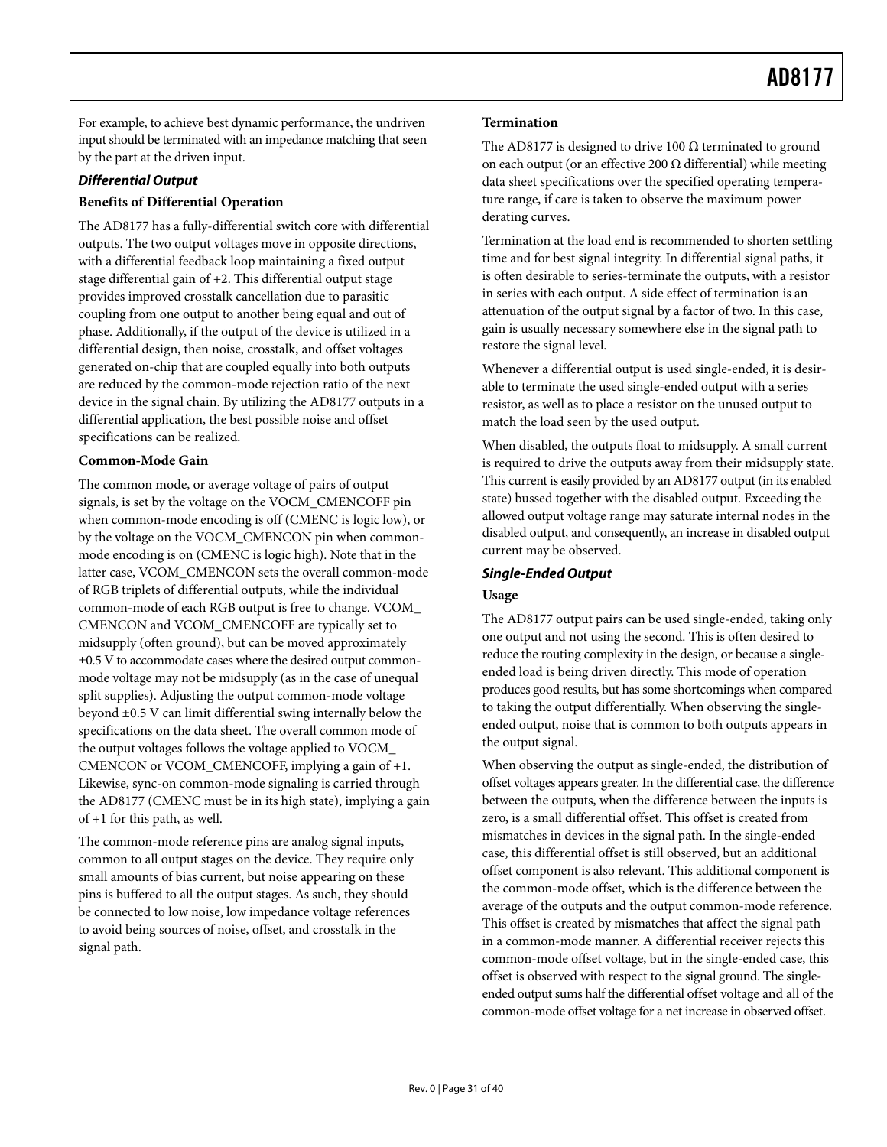For example, to achieve best dynamic performance, the undriven input should be terminated with an impedance matching that seen by the part at the driven input.

### **Differential Output**

### **Benefits of Differential Operation**

The AD8177 has a fully-differential switch core with differential outputs. The two output voltages move in opposite directions, with a differential feedback loop maintaining a fixed output stage differential gain of +2. This differential output stage provides improved crosstalk cancellation due to parasitic coupling from one output to another being equal and out of phase. Additionally, if the output of the device is utilized in a differential design, then noise, crosstalk, and offset voltages generated on-chip that are coupled equally into both outputs are reduced by the common-mode rejection ratio of the next device in the signal chain. By utilizing the AD8177 outputs in a differential application, the best possible noise and offset specifications can be realized.

#### **Common-Mode Gain**

The common mode, or average voltage of pairs of output signals, is set by the voltage on the VOCM\_CMENCOFF pin when common-mode encoding is off (CMENC is logic low), or by the voltage on the VOCM\_CMENCON pin when commonmode encoding is on (CMENC is logic high). Note that in the latter case, VCOM\_CMENCON sets the overall common-mode of RGB triplets of differential outputs, while the individual common-mode of each RGB output is free to change. VCOM\_ CMENCON and VCOM\_CMENCOFF are typically set to midsupply (often ground), but can be moved approximately ±0.5 V to accommodate cases where the desired output commonmode voltage may not be midsupply (as in the case of unequal split supplies). Adjusting the output common-mode voltage beyond ±0.5 V can limit differential swing internally below the specifications on the data sheet. The overall common mode of the output voltages follows the voltage applied to VOCM\_ CMENCON or VCOM\_CMENCOFF, implying a gain of +1. Likewise, sync-on common-mode signaling is carried through the AD8177 (CMENC must be in its high state), implying a gain of +1 for this path, as well.

The common-mode reference pins are analog signal inputs, common to all output stages on the device. They require only small amounts of bias current, but noise appearing on these pins is buffered to all the output stages. As such, they should be connected to low noise, low impedance voltage references to avoid being sources of noise, offset, and crosstalk in the signal path.

### **Termination**

The AD8177 is designed to drive 100  $\Omega$  terminated to ground on each output (or an effective 200  $\Omega$  differential) while meeting data sheet specifications over the specified operating temperature range, if care is taken to observe the maximum power derating curves.

Termination at the load end is recommended to shorten settling time and for best signal integrity. In differential signal paths, it is often desirable to series-terminate the outputs, with a resistor in series with each output. A side effect of termination is an attenuation of the output signal by a factor of two. In this case, gain is usually necessary somewhere else in the signal path to restore the signal level.

Whenever a differential output is used single-ended, it is desirable to terminate the used single-ended output with a series resistor, as well as to place a resistor on the unused output to match the load seen by the used output.

When disabled, the outputs float to midsupply. A small current is required to drive the outputs away from their midsupply state. This current is easily provided by an AD8177 output (in its enabled state) bussed together with the disabled output. Exceeding the allowed output voltage range may saturate internal nodes in the disabled output, and consequently, an increase in disabled output current may be observed.

### **Single-Ended Output**

### **Usage**

The AD8177 output pairs can be used single-ended, taking only one output and not using the second. This is often desired to reduce the routing complexity in the design, or because a singleended load is being driven directly. This mode of operation produces good results, but has some shortcomings when compared to taking the output differentially. When observing the singleended output, noise that is common to both outputs appears in the output signal.

When observing the output as single-ended, the distribution of offset voltages appears greater. In the differential case, the difference between the outputs, when the difference between the inputs is zero, is a small differential offset. This offset is created from mismatches in devices in the signal path. In the single-ended case, this differential offset is still observed, but an additional offset component is also relevant. This additional component is the common-mode offset, which is the difference between the average of the outputs and the output common-mode reference. This offset is created by mismatches that affect the signal path in a common-mode manner. A differential receiver rejects this common-mode offset voltage, but in the single-ended case, this offset is observed with respect to the signal ground. The singleended output sums half the differential offset voltage and all of the common-mode offset voltage for a net increase in observed offset.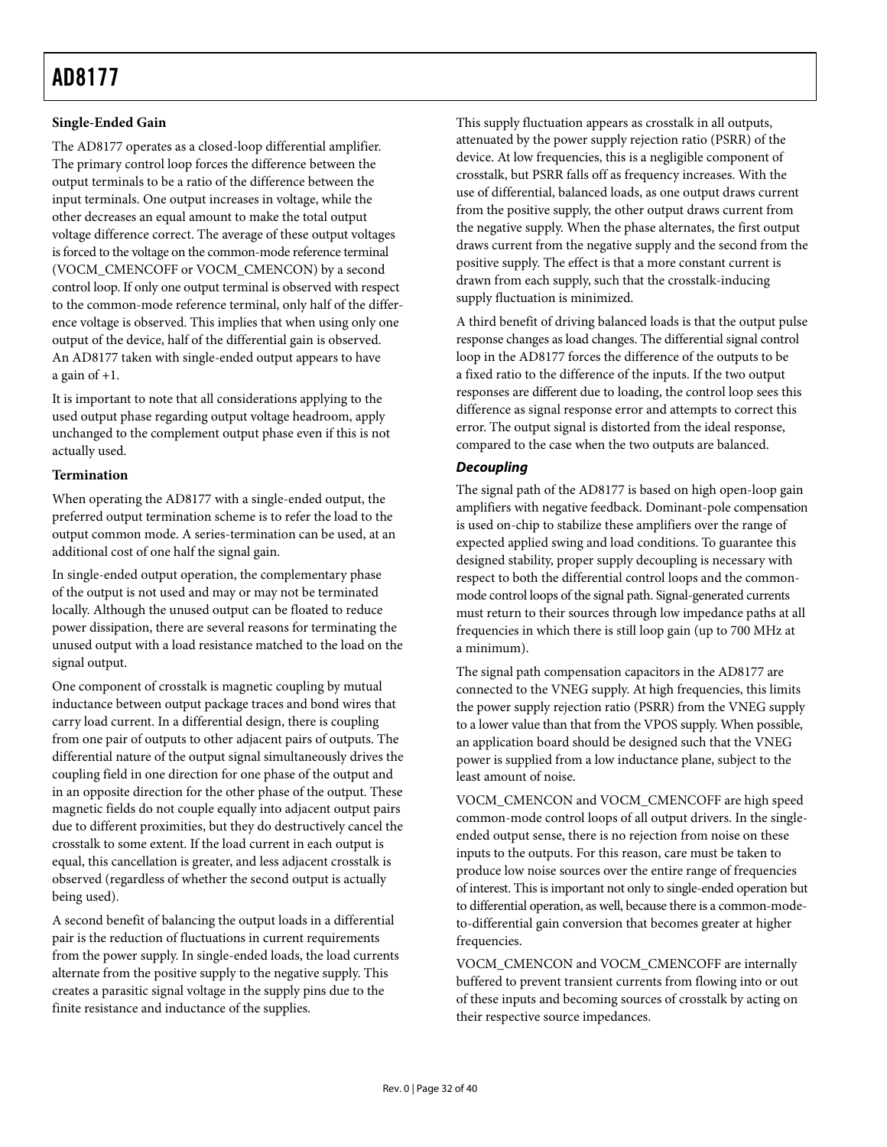### **Single-Ended Gain**

The AD8177 operates as a closed-loop differential amplifier. The primary control loop forces the difference between the output terminals to be a ratio of the difference between the input terminals. One output increases in voltage, while the other decreases an equal amount to make the total output voltage difference correct. The average of these output voltages is forced to the voltage on the common-mode reference terminal (VOCM\_CMENCOFF or VOCM\_CMENCON) by a second control loop. If only one output terminal is observed with respect to the common-mode reference terminal, only half of the difference voltage is observed. This implies that when using only one output of the device, half of the differential gain is observed. An AD8177 taken with single-ended output appears to have a gain of  $+1$ .

It is important to note that all considerations applying to the used output phase regarding output voltage headroom, apply unchanged to the complement output phase even if this is not actually used.

### **Termination**

When operating the AD8177 with a single-ended output, the preferred output termination scheme is to refer the load to the output common mode. A series-termination can be used, at an additional cost of one half the signal gain.

In single-ended output operation, the complementary phase of the output is not used and may or may not be terminated locally. Although the unused output can be floated to reduce power dissipation, there are several reasons for terminating the unused output with a load resistance matched to the load on the signal output.

One component of crosstalk is magnetic coupling by mutual inductance between output package traces and bond wires that carry load current. In a differential design, there is coupling from one pair of outputs to other adjacent pairs of outputs. The differential nature of the output signal simultaneously drives the coupling field in one direction for one phase of the output and in an opposite direction for the other phase of the output. These magnetic fields do not couple equally into adjacent output pairs due to different proximities, but they do destructively cancel the crosstalk to some extent. If the load current in each output is equal, this cancellation is greater, and less adjacent crosstalk is observed (regardless of whether the second output is actually being used).

A second benefit of balancing the output loads in a differential pair is the reduction of fluctuations in current requirements from the power supply. In single-ended loads, the load currents alternate from the positive supply to the negative supply. This creates a parasitic signal voltage in the supply pins due to the finite resistance and inductance of the supplies.

This supply fluctuation appears as crosstalk in all outputs, attenuated by the power supply rejection ratio (PSRR) of the device. At low frequencies, this is a negligible component of crosstalk, but PSRR falls off as frequency increases. With the use of differential, balanced loads, as one output draws current from the positive supply, the other output draws current from the negative supply. When the phase alternates, the first output draws current from the negative supply and the second from the positive supply. The effect is that a more constant current is drawn from each supply, such that the crosstalk-inducing supply fluctuation is minimized.

A third benefit of driving balanced loads is that the output pulse response changes as load changes. The differential signal control loop in the AD8177 forces the difference of the outputs to be a fixed ratio to the difference of the inputs. If the two output responses are different due to loading, the control loop sees this difference as signal response error and attempts to correct this error. The output signal is distorted from the ideal response, compared to the case when the two outputs are balanced.

### **Decoupling**

The signal path of the AD8177 is based on high open-loop gain amplifiers with negative feedback. Dominant-pole compensation is used on-chip to stabilize these amplifiers over the range of expected applied swing and load conditions. To guarantee this designed stability, proper supply decoupling is necessary with respect to both the differential control loops and the commonmode control loops of the signal path. Signal-generated currents must return to their sources through low impedance paths at all frequencies in which there is still loop gain (up to 700 MHz at a minimum).

The signal path compensation capacitors in the AD8177 are connected to the VNEG supply. At high frequencies, this limits the power supply rejection ratio (PSRR) from the VNEG supply to a lower value than that from the VPOS supply. When possible, an application board should be designed such that the VNEG power is supplied from a low inductance plane, subject to the least amount of noise.

VOCM\_CMENCON and VOCM\_CMENCOFF are high speed common-mode control loops of all output drivers. In the singleended output sense, there is no rejection from noise on these inputs to the outputs. For this reason, care must be taken to produce low noise sources over the entire range of frequencies of interest. This is important not only to single-ended operation but to differential operation, as well, because there is a common-modeto-differential gain conversion that becomes greater at higher frequencies.

VOCM\_CMENCON and VOCM\_CMENCOFF are internally buffered to prevent transient currents from flowing into or out of these inputs and becoming sources of crosstalk by acting on their respective source impedances.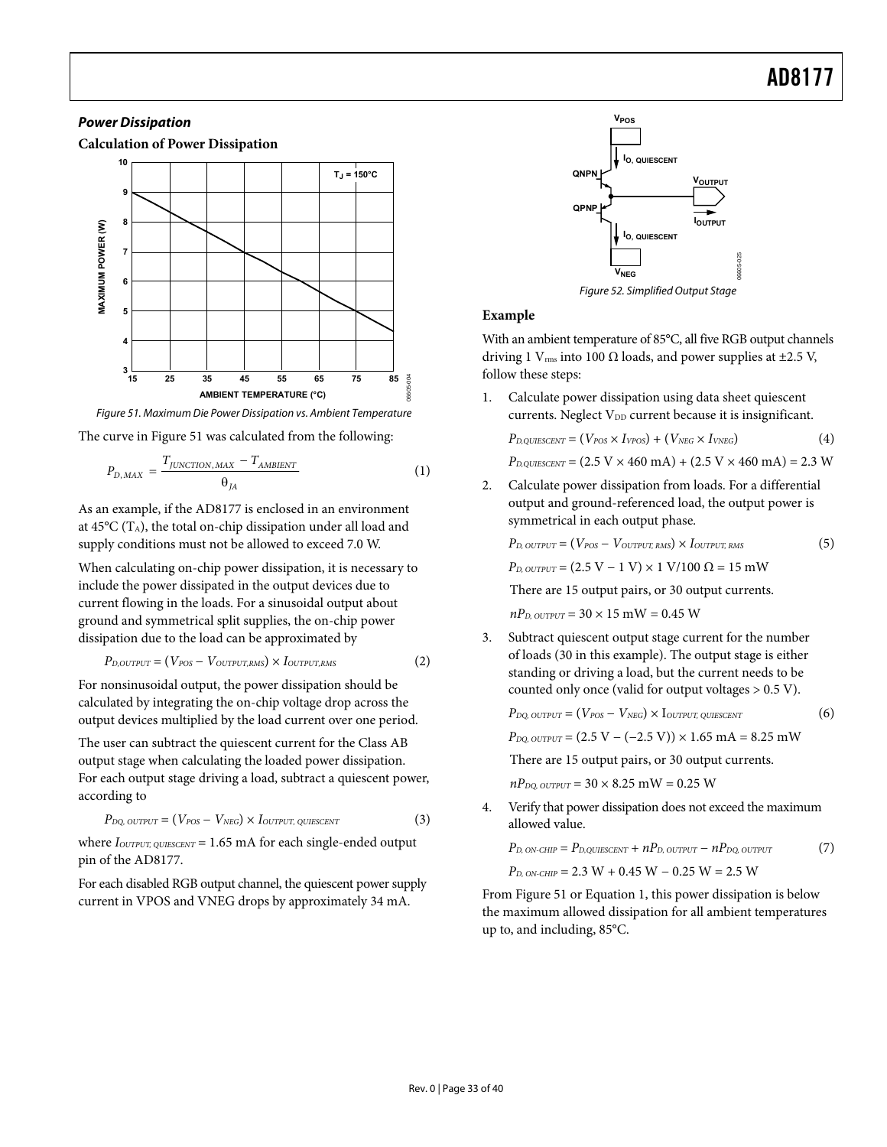### **Power Dissipation**

**Calculation of Power Dissipation** 



Figure 51. Maximum Die Power Dissipation vs. Ambient Temperature

<span id="page-32-0"></span>The curve in [Figure 51](#page-32-0) was calculated from the following:

$$
P_{D,MAX} = \frac{T_{JUNCTION, MAX} - T_{AMBIENT}}{\theta_{JA}} \tag{1}
$$

As an example, if the AD8177 is enclosed in an environment at 45°C (TA), the total on-chip dissipation under all load and supply conditions must not be allowed to exceed 7.0 W.

When calculating on-chip power dissipation, it is necessary to include the power dissipated in the output devices due to current flowing in the loads. For a sinusoidal output about ground and symmetrical split supplies, the on-chip power dissipation due to the load can be approximated by

$$
P_{D,OUTPUT} = (V_{POS} - V_{OUTPUT,RMS}) \times I_{OUTPUT,RMS}
$$
 (2)

For nonsinusoidal output, the power dissipation should be calculated by integrating the on-chip voltage drop across the output devices multiplied by the load current over one period.

The user can subtract the quiescent current for the Class AB output stage when calculating the loaded power dissipation. For each output stage driving a load, subtract a quiescent power, according to

$$
P_{DQ,\;OUTPUT} = (V_{POS} - V_{NEG}) \times I_{OUTPUT,\;QUIESCENT}
$$
 (3)

where  $I_{\text{OUTPUT, QUIESCENT}} = 1.65 \text{ mA}$  for each single-ended output pin of the AD8177.

For each disabled RGB output channel, the quiescent power supply current in VPOS and VNEG drops by approximately 34 mA.



#### **Example**

With an ambient temperature of 85°C, all five RGB output channels driving 1 V<sub>rms</sub> into 100  $\Omega$  loads, and power supplies at ±2.5 V, follow these steps:

1. Calculate power dissipation using data sheet quiescent currents. Neglect  $V_{DD}$  current because it is insignificant.

$$
P_{D, QUIESCENT} = (V_{POS} \times I_{VPOS}) + (V_{NEG} \times I_{VNEG}) \tag{4}
$$

$$
P_{D, QUIESCENT} = (2.5 \text{ V} \times 460 \text{ mA}) + (2.5 \text{ V} \times 460 \text{ mA}) = 2.3 \text{ W}
$$

2. Calculate power dissipation from loads. For a differential output and ground-referenced load, the output power is symmetrical in each output phase.

 $P_{D, \text{OUTPUT}} = (V_{POS} - V_{\text{OUTPUT}, \text{RMS}}) \times I_{\text{OUTPUT}, \text{RMS}}$  (5)

$$
P_{D, \text{OUTPUT}} = (2.5 \text{ V} - 1 \text{ V}) \times 1 \text{ V} / 100 \Omega = 15 \text{ mW}
$$

There are 15 output pairs, or 30 output currents.

 $nP_{D, \, \text{OUTPUT}} = 30 \times 15 \, \text{mW} = 0.45 \, \text{W}$ 

3. Subtract quiescent output stage current for the number of loads (30 in this example). The output stage is either standing or driving a load, but the current needs to be counted only once (valid for output voltages > 0.5 V).

$$
P_{DQ, \; OUTPUT} = (V_{POS} - V_{NEG}) \times I_{OUTPUT, \; QUIESCENT}
$$
 (6)

 $P_{DO, OUTPUT} = (2.5 \text{ V} - (-2.5 \text{ V})) \times 1.65 \text{ mA} = 8.25 \text{ mW}$ 

There are 15 output pairs, or 30 output currents.

 $nP_{DO, OUTPUT} = 30 \times 8.25$  mW = 0.25 W

Verify that power dissipation does not exceed the maximum allowed value.

$$
P_{D,\text{ON-CHIP}} = P_{D,\text{QUIESCENT}} + n P_{D,\text{OUTPUT}} - n P_{D\text{Q-OUTPUT}} \tag{7}
$$

$$
P_{D, ON\text{-}CHIP} = 2.3 W + 0.45 W - 0.25 W = 2.5 W
$$

From [Figure 51](#page-32-0) or Equation 1, this power dissipation is below the maximum allowed dissipation for all ambient temperatures up to, and including, 85°C.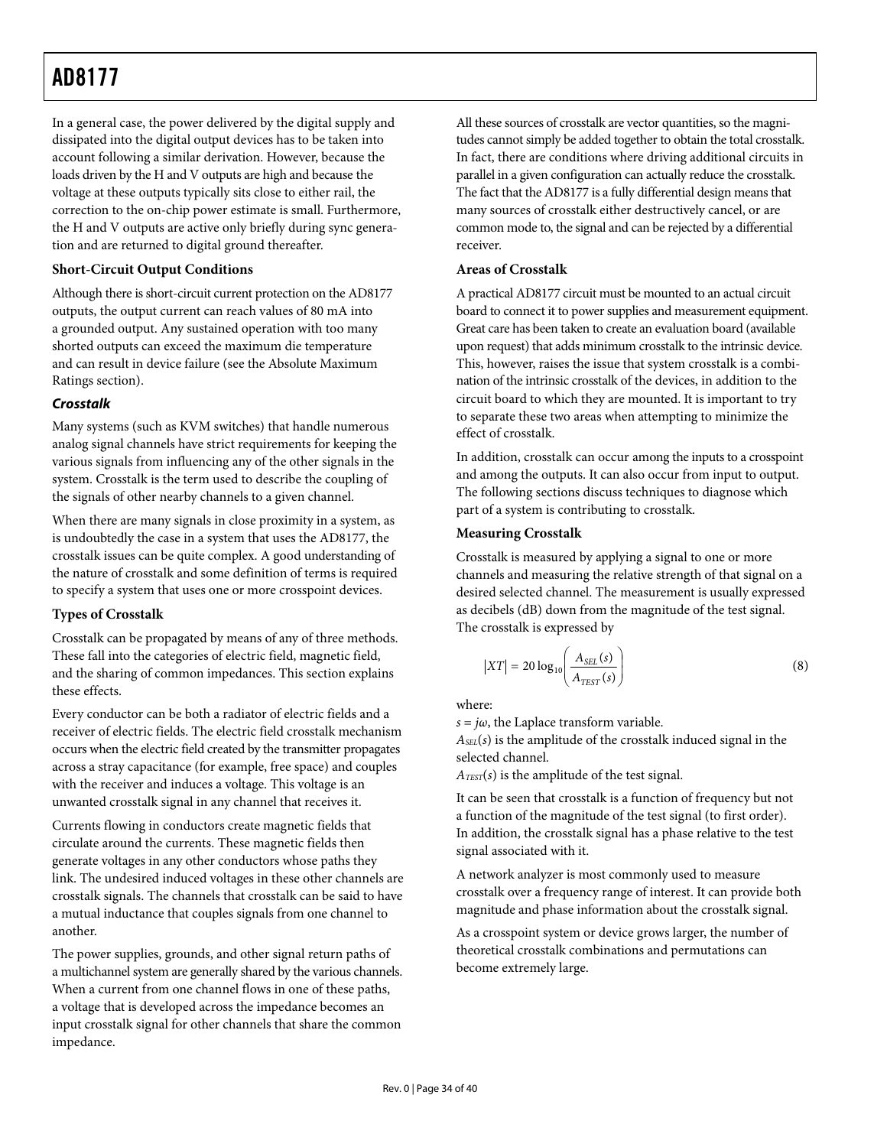In a general case, the power delivered by the digital supply and dissipated into the digital output devices has to be taken into account following a similar derivation. However, because the loads driven by the H and V outputs are high and because the voltage at these outputs typically sits close to either rail, the correction to the on-chip power estimate is small. Furthermore, the H and V outputs are active only briefly during sync generation and are returned to digital ground thereafter.

### **Short-Circuit Output Conditions**

Although there is short-circuit current protection on the AD8177 outputs, the output current can reach values of 80 mA into a grounded output. Any sustained operation with too many shorted outputs can exceed the maximum die temperature and can result in device failure (see the [Absolute Maximum](#page-6-1)  [Ratings](#page-6-1) section).

### **Crosstalk**

Many systems (such as KVM switches) that handle numerous analog signal channels have strict requirements for keeping the various signals from influencing any of the other signals in the system. Crosstalk is the term used to describe the coupling of the signals of other nearby channels to a given channel.

When there are many signals in close proximity in a system, as is undoubtedly the case in a system that uses the AD8177, the crosstalk issues can be quite complex. A good understanding of the nature of crosstalk and some definition of terms is required to specify a system that uses one or more crosspoint devices.

### **Types of Crosstalk**

Crosstalk can be propagated by means of any of three methods. These fall into the categories of electric field, magnetic field, and the sharing of common impedances. This section explains these effects.

Every conductor can be both a radiator of electric fields and a receiver of electric fields. The electric field crosstalk mechanism occurs when the electric field created by the transmitter propagates across a stray capacitance (for example, free space) and couples with the receiver and induces a voltage. This voltage is an unwanted crosstalk signal in any channel that receives it.

Currents flowing in conductors create magnetic fields that circulate around the currents. These magnetic fields then generate voltages in any other conductors whose paths they link. The undesired induced voltages in these other channels are crosstalk signals. The channels that crosstalk can be said to have a mutual inductance that couples signals from one channel to another.

The power supplies, grounds, and other signal return paths of a multichannel system are generally shared by the various channels. When a current from one channel flows in one of these paths, a voltage that is developed across the impedance becomes an input crosstalk signal for other channels that share the common impedance.

All these sources of crosstalk are vector quantities, so the magnitudes cannot simply be added together to obtain the total crosstalk. In fact, there are conditions where driving additional circuits in parallel in a given configuration can actually reduce the crosstalk. The fact that the AD8177 is a fully differential design means that many sources of crosstalk either destructively cancel, or are common mode to, the signal and can be rejected by a differential receiver.

### **Areas of Crosstalk**

A practical AD8177 circuit must be mounted to an actual circuit board to connect it to power supplies and measurement equipment. Great care has been taken to create an evaluation board (available upon request) that adds minimum crosstalk to the intrinsic device. This, however, raises the issue that system crosstalk is a combination of the intrinsic crosstalk of the devices, in addition to the circuit board to which they are mounted. It is important to try to separate these two areas when attempting to minimize the effect of crosstalk.

In addition, crosstalk can occur among the inputs to a crosspoint and among the outputs. It can also occur from input to output. The following sections discuss techniques to diagnose which part of a system is contributing to crosstalk.

## **Measuring Crosstalk**

Crosstalk is measured by applying a signal to one or more channels and measuring the relative strength of that signal on a desired selected channel. The measurement is usually expressed as decibels (dB) down from the magnitude of the test signal. The crosstalk is expressed by

$$
|XT| = 20 \log_{10} \left( \frac{A_{SEL}(s)}{A_{TEST}(s)} \right)
$$
 (8)

where:

 $s = j\omega$ , the Laplace transform variable.

*ASEL*(*s*) is the amplitude of the crosstalk induced signal in the selected channel.

*ATEST*(*s*) is the amplitude of the test signal.

It can be seen that crosstalk is a function of frequency but not a function of the magnitude of the test signal (to first order). In addition, the crosstalk signal has a phase relative to the test signal associated with it.

A network analyzer is most commonly used to measure crosstalk over a frequency range of interest. It can provide both magnitude and phase information about the crosstalk signal.

As a crosspoint system or device grows larger, the number of theoretical crosstalk combinations and permutations can become extremely large.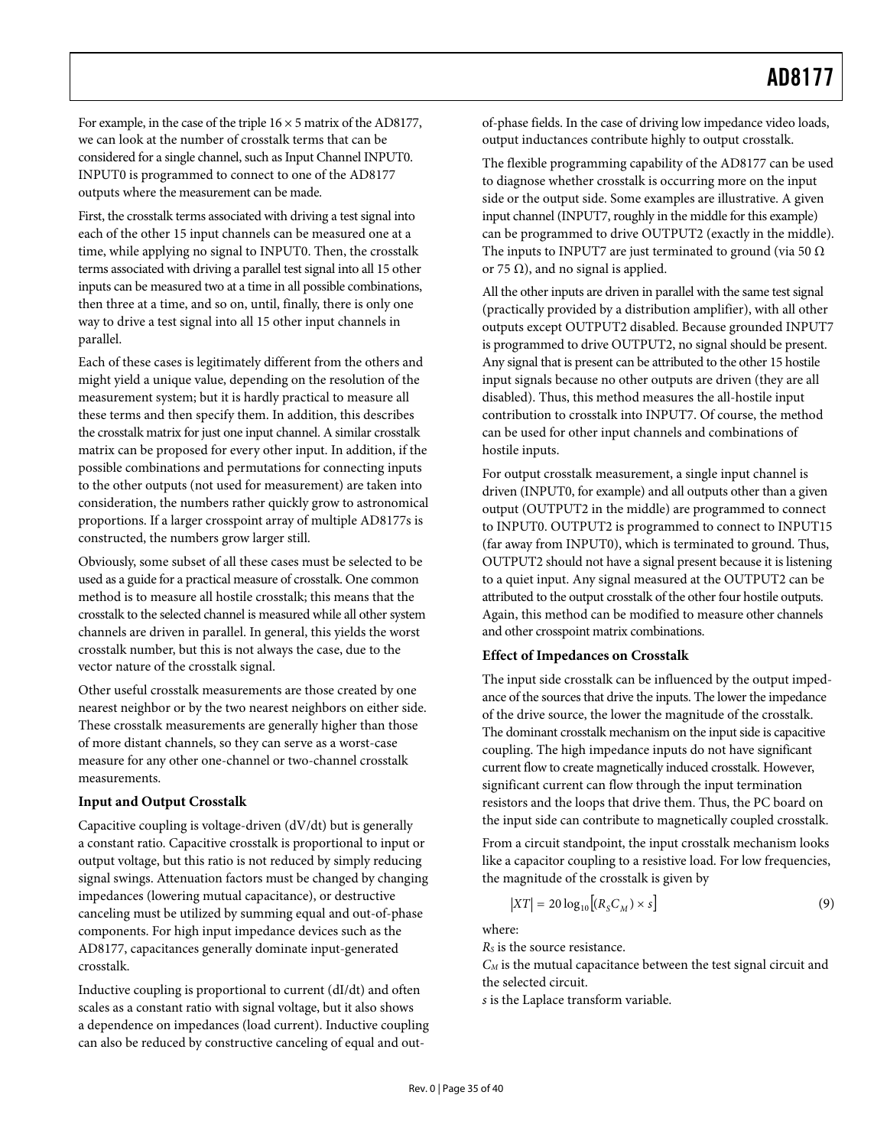For example, in the case of the triple  $16 \times 5$  matrix of the AD8177, we can look at the number of crosstalk terms that can be considered for a single channel, such as Input Channel INPUT0. INPUT0 is programmed to connect to one of the AD8177 outputs where the measurement can be made.

First, the crosstalk terms associated with driving a test signal into each of the other 15 input channels can be measured one at a time, while applying no signal to INPUT0. Then, the crosstalk terms associated with driving a parallel test signal into all 15 other inputs can be measured two at a time in all possible combinations, then three at a time, and so on, until, finally, there is only one way to drive a test signal into all 15 other input channels in parallel.

Each of these cases is legitimately different from the others and might yield a unique value, depending on the resolution of the measurement system; but it is hardly practical to measure all these terms and then specify them. In addition, this describes the crosstalk matrix for just one input channel. A similar crosstalk matrix can be proposed for every other input. In addition, if the possible combinations and permutations for connecting inputs to the other outputs (not used for measurement) are taken into consideration, the numbers rather quickly grow to astronomical proportions. If a larger crosspoint array of multiple AD8177s is constructed, the numbers grow larger still.

Obviously, some subset of all these cases must be selected to be used as a guide for a practical measure of crosstalk. One common method is to measure all hostile crosstalk; this means that the crosstalk to the selected channel is measured while all other system channels are driven in parallel. In general, this yields the worst crosstalk number, but this is not always the case, due to the vector nature of the crosstalk signal.

Other useful crosstalk measurements are those created by one nearest neighbor or by the two nearest neighbors on either side. These crosstalk measurements are generally higher than those of more distant channels, so they can serve as a worst-case measure for any other one-channel or two-channel crosstalk measurements.

### **Input and Output Crosstalk**

Capacitive coupling is voltage-driven (dV/dt) but is generally a constant ratio. Capacitive crosstalk is proportional to input or output voltage, but this ratio is not reduced by simply reducing signal swings. Attenuation factors must be changed by changing impedances (lowering mutual capacitance), or destructive canceling must be utilized by summing equal and out-of-phase components. For high input impedance devices such as the AD8177, capacitances generally dominate input-generated crosstalk.

Inductive coupling is proportional to current (dI/dt) and often scales as a constant ratio with signal voltage, but it also shows a dependence on impedances (load current). Inductive coupling can also be reduced by constructive canceling of equal and outof-phase fields. In the case of driving low impedance video loads, output inductances contribute highly to output crosstalk.

The flexible programming capability of the AD8177 can be used to diagnose whether crosstalk is occurring more on the input side or the output side. Some examples are illustrative. A given input channel (INPUT7, roughly in the middle for this example) can be programmed to drive OUTPUT2 (exactly in the middle). The inputs to INPUT7 are just terminated to ground (via 50  $\Omega$ ) or 75 Ω), and no signal is applied.

All the other inputs are driven in parallel with the same test signal (practically provided by a distribution amplifier), with all other outputs except OUTPUT2 disabled. Because grounded INPUT7 is programmed to drive OUTPUT2, no signal should be present. Any signal that is present can be attributed to the other 15 hostile input signals because no other outputs are driven (they are all disabled). Thus, this method measures the all-hostile input contribution to crosstalk into INPUT7. Of course, the method can be used for other input channels and combinations of hostile inputs.

For output crosstalk measurement, a single input channel is driven (INPUT0, for example) and all outputs other than a given output (OUTPUT2 in the middle) are programmed to connect to INPUT0. OUTPUT2 is programmed to connect to INPUT15 (far away from INPUT0), which is terminated to ground. Thus, OUTPUT2 should not have a signal present because it is listening to a quiet input. Any signal measured at the OUTPUT2 can be attributed to the output crosstalk of the other four hostile outputs. Again, this method can be modified to measure other channels and other crosspoint matrix combinations.

### **Effect of Impedances on Crosstalk**

The input side crosstalk can be influenced by the output impedance of the sources that drive the inputs. The lower the impedance of the drive source, the lower the magnitude of the crosstalk. The dominant crosstalk mechanism on the input side is capacitive coupling. The high impedance inputs do not have significant current flow to create magnetically induced crosstalk. However, significant current can flow through the input termination resistors and the loops that drive them. Thus, the PC board on the input side can contribute to magnetically coupled crosstalk.

From a circuit standpoint, the input crosstalk mechanism looks like a capacitor coupling to a resistive load. For low frequencies, the magnitude of the crosstalk is given by

$$
XT\vert = 20\log_{10}\left[ (R_s C_M) \times s \right] \tag{9}
$$

where:

*RS* is the source resistance.

*CM* is the mutual capacitance between the test signal circuit and the selected circuit.

*s* is the Laplace transform variable.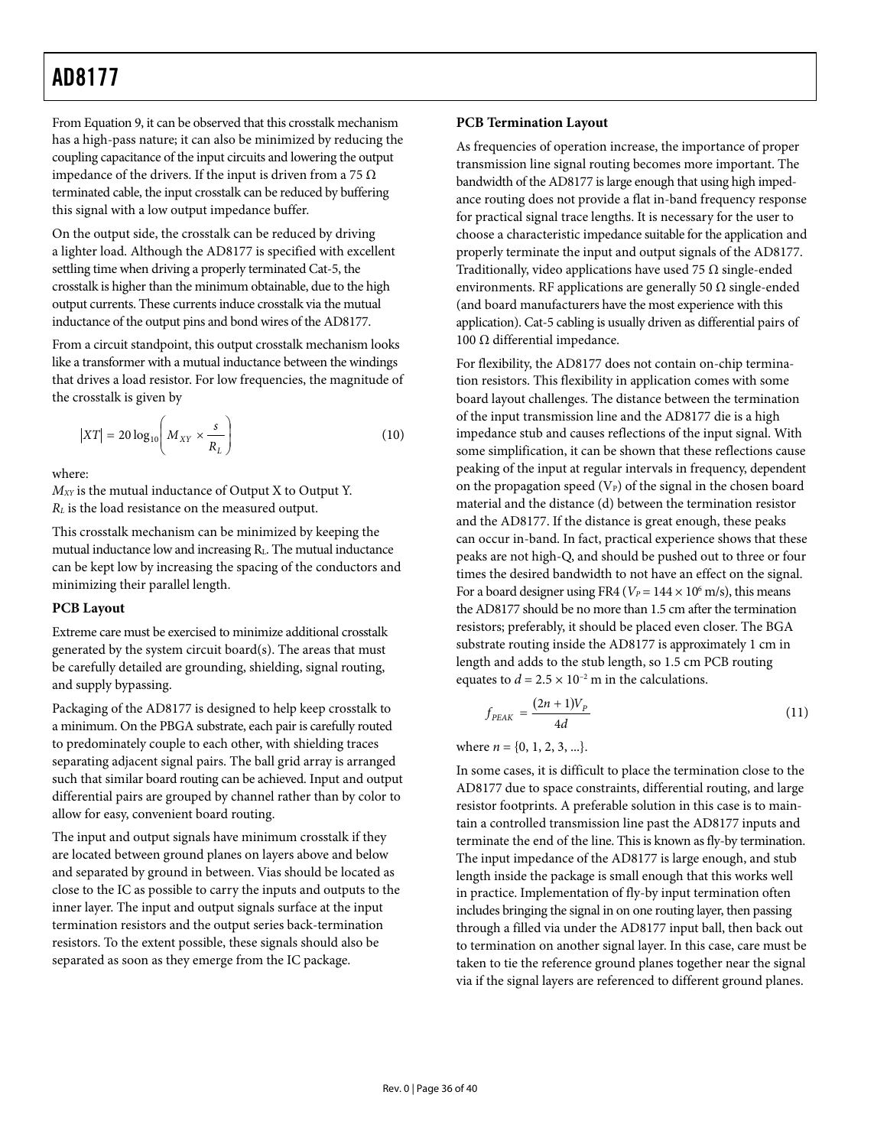From Equation 9, it can be observed that this crosstalk mechanism has a high-pass nature; it can also be minimized by reducing the coupling capacitance of the input circuits and lowering the output impedance of the drivers. If the input is driven from a 75  $\Omega$ terminated cable, the input crosstalk can be reduced by buffering this signal with a low output impedance buffer.

On the output side, the crosstalk can be reduced by driving a lighter load. Although the AD8177 is specified with excellent settling time when driving a properly terminated Cat-5, the crosstalk is higher than the minimum obtainable, due to the high output currents. These currents induce crosstalk via the mutual inductance of the output pins and bond wires of the AD8177.

From a circuit standpoint, this output crosstalk mechanism looks like a transformer with a mutual inductance between the windings that drives a load resistor. For low frequencies, the magnitude of the crosstalk is given by

$$
|XT| = 20 \log_{10} \left( M_{XY} \times \frac{s}{R_L} \right) \tag{10}
$$

where:

*MXY* is the mutual inductance of Output X to Output Y. *RL* is the load resistance on the measured output.

This crosstalk mechanism can be minimized by keeping the mutual inductance low and increasing R<sub>L</sub>. The mutual inductance can be kept low by increasing the spacing of the conductors and minimizing their parallel length.

### **PCB Layout**

Extreme care must be exercised to minimize additional crosstalk generated by the system circuit board(s). The areas that must be carefully detailed are grounding, shielding, signal routing, and supply bypassing.

Packaging of the AD8177 is designed to help keep crosstalk to a minimum. On the PBGA substrate, each pair is carefully routed to predominately couple to each other, with shielding traces separating adjacent signal pairs. The ball grid array is arranged such that similar board routing can be achieved. Input and output differential pairs are grouped by channel rather than by color to allow for easy, convenient board routing.

The input and output signals have minimum crosstalk if they are located between ground planes on layers above and below and separated by ground in between. Vias should be located as close to the IC as possible to carry the inputs and outputs to the inner layer. The input and output signals surface at the input termination resistors and the output series back-termination resistors. To the extent possible, these signals should also be separated as soon as they emerge from the IC package.

### **PCB Termination Layout**

As frequencies of operation increase, the importance of proper transmission line signal routing becomes more important. The bandwidth of the AD8177 is large enough that using high impedance routing does not provide a flat in-band frequency response for practical signal trace lengths. It is necessary for the user to choose a characteristic impedance suitable for the application and properly terminate the input and output signals of the AD8177. Traditionally, video applications have used 75  $\Omega$  single-ended environments. RF applications are generally 50  $\Omega$  single-ended (and board manufacturers have the most experience with this application). Cat-5 cabling is usually driven as differential pairs of 100 Ω differential impedance.

For flexibility, the AD8177 does not contain on-chip termination resistors. This flexibility in application comes with some board layout challenges. The distance between the termination of the input transmission line and the AD8177 die is a high impedance stub and causes reflections of the input signal. With some simplification, it can be shown that these reflections cause peaking of the input at regular intervals in frequency, dependent on the propagation speed  $(V_P)$  of the signal in the chosen board material and the distance (d) between the termination resistor and the AD8177. If the distance is great enough, these peaks can occur in-band. In fact, practical experience shows that these peaks are not high-Q, and should be pushed out to three or four times the desired bandwidth to not have an effect on the signal. For a board designer using FR4 ( $V_P$  = 144  $\times$  10<sup>6</sup> m/s), this means the AD8177 should be no more than 1.5 cm after the termination resistors; preferably, it should be placed even closer. The BGA substrate routing inside the AD8177 is approximately 1 cm in length and adds to the stub length, so 1.5 cm PCB routing equates to  $d = 2.5 \times 10^{-2}$  m in the calculations.

$$
f_{PEAK} = \frac{(2n+1)V_p}{4d} \tag{11}
$$

where  $n = \{0, 1, 2, 3, ...\}$ .

In some cases, it is difficult to place the termination close to the AD8177 due to space constraints, differential routing, and large resistor footprints. A preferable solution in this case is to maintain a controlled transmission line past the AD8177 inputs and terminate the end of the line. This is known as fly-by termination. The input impedance of the AD8177 is large enough, and stub length inside the package is small enough that this works well in practice. Implementation of fly-by input termination often includes bringing the signal in on one routing layer, then passing through a filled via under the AD8177 input ball, then back out to termination on another signal layer. In this case, care must be taken to tie the reference ground planes together near the signal via if the signal layers are referenced to different ground planes.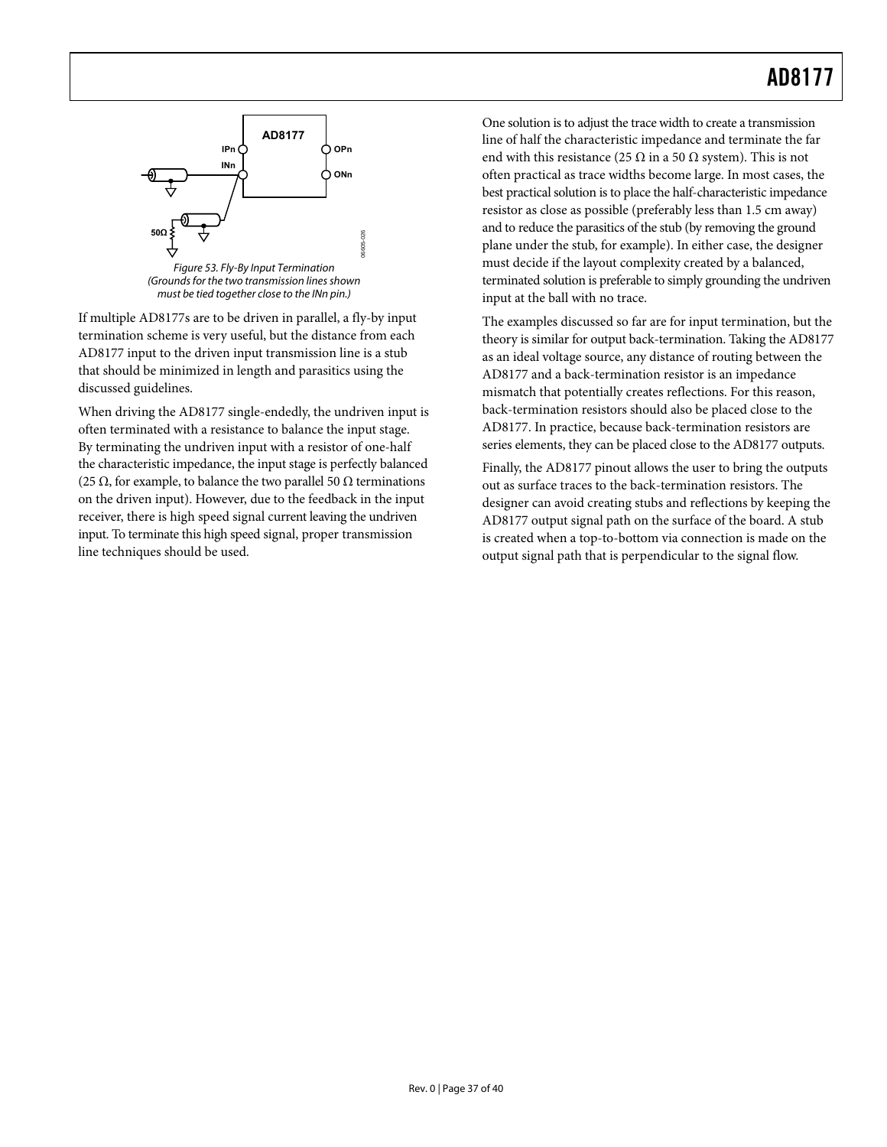

must be tied together close to the INn pin.)

If multiple AD8177s are to be driven in parallel, a fly-by input termination scheme is very useful, but the distance from each AD8177 input to the driven input transmission line is a stub that should be minimized in length and parasitics using the discussed guidelines.

When driving the AD8177 single-endedly, the undriven input is often terminated with a resistance to balance the input stage. By terminating the undriven input with a resistor of one-half the characteristic impedance, the input stage is perfectly balanced (25  $\Omega$ , for example, to balance the two parallel 50  $\Omega$  terminations on the driven input). However, due to the feedback in the input receiver, there is high speed signal current leaving the undriven input. To terminate this high speed signal, proper transmission line techniques should be used.

One solution is to adjust the trace width to create a transmission line of half the characteristic impedance and terminate the far end with this resistance (25  $\Omega$  in a 50  $\Omega$  system). This is not often practical as trace widths become large. In most cases, the best practical solution is to place the half-characteristic impedance resistor as close as possible (preferably less than 1.5 cm away) and to reduce the parasitics of the stub (by removing the ground plane under the stub, for example). In either case, the designer must decide if the layout complexity created by a balanced, terminated solution is preferable to simply grounding the undriven input at the ball with no trace.

The examples discussed so far are for input termination, but the theory is similar for output back-termination. Taking the AD8177 as an ideal voltage source, any distance of routing between the AD8177 and a back-termination resistor is an impedance mismatch that potentially creates reflections. For this reason, back-termination resistors should also be placed close to the AD8177. In practice, because back-termination resistors are series elements, they can be placed close to the AD8177 outputs.

Finally, the AD8177 pinout allows the user to bring the outputs out as surface traces to the back-termination resistors. The designer can avoid creating stubs and reflections by keeping the AD8177 output signal path on the surface of the board. A stub is created when a top-to-bottom via connection is made on the output signal path that is perpendicular to the signal flow.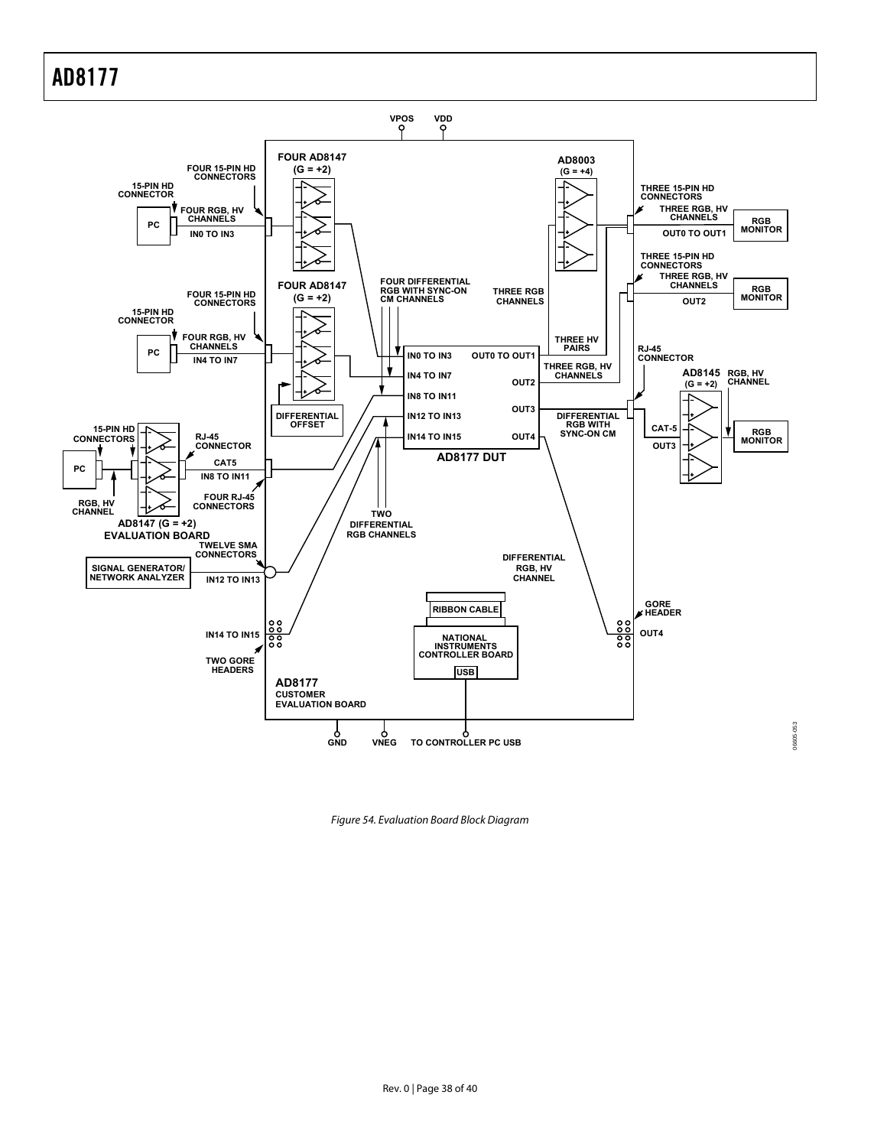

Figure 54. Evaluation Board Block Diagram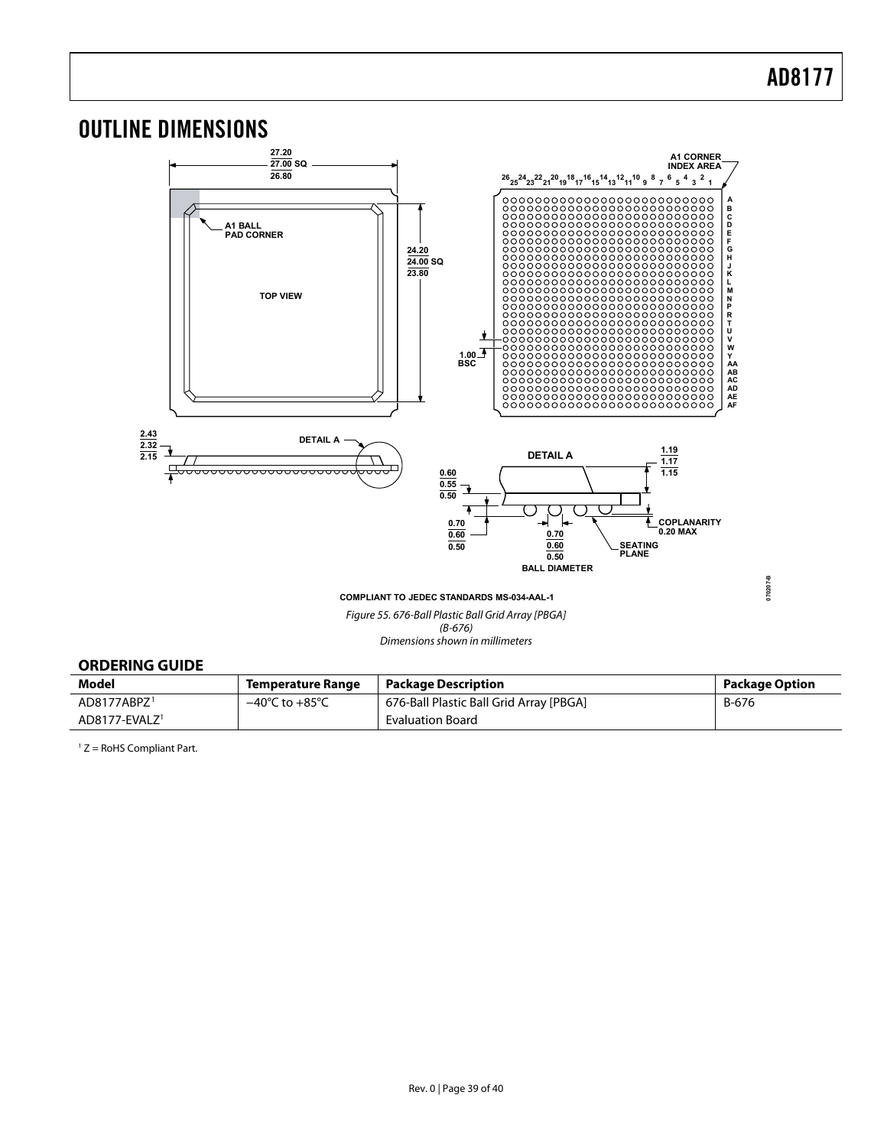**070207-B**

<span id="page-38-0"></span>

Figure 55. 676-Ball Plastic Ball Grid Array [PBGA] (B-676)

Dimensions shown in millimeters

### **ORDERING GUIDE**

| Model                     | <b>Temperature Range</b>           | <b>Package Description</b>              | Package Option |
|---------------------------|------------------------------------|-----------------------------------------|----------------|
| AD8177ABPZ <sup>1</sup>   | $-40^{\circ}$ C to $+85^{\circ}$ C | 676-Ball Plastic Ball Grid Array [PBGA] | B-676          |
| AD8177-EVALZ <sup>1</sup> |                                    | <b>Evaluation Board</b>                 |                |

1 Z = RoHS Compliant Part.

<span id="page-38-1"></span>l,